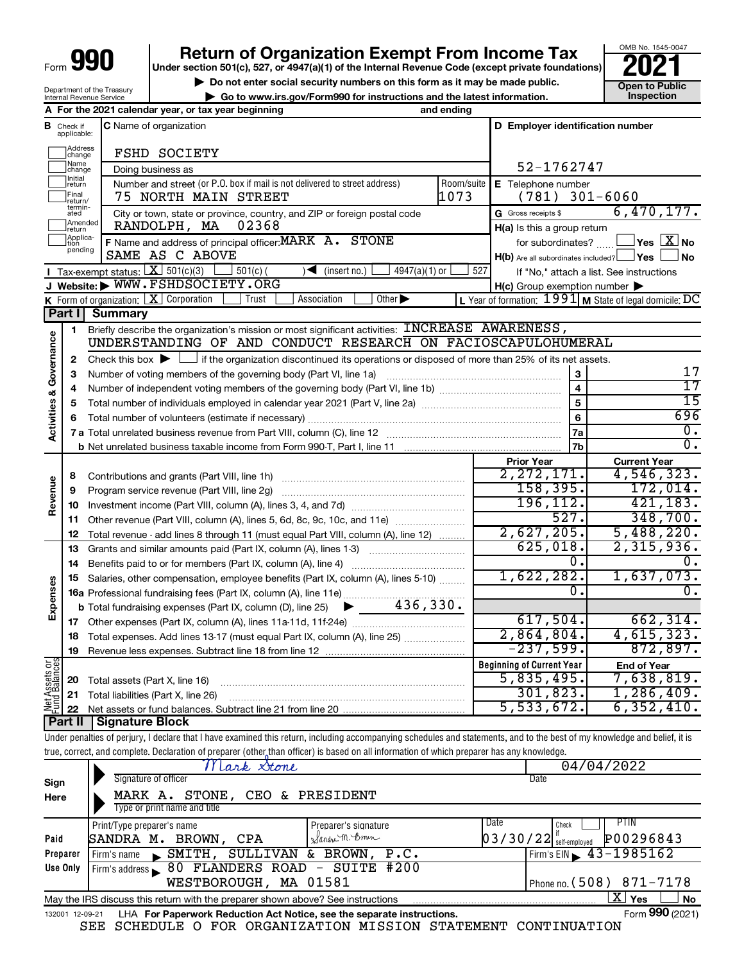| Form | П<br>١<br>I |  |
|------|-------------|--|
|      |             |  |

Department of the Treasury Internal Revenue Service

# **Return of Organization Exempt From Income Tax**<br>r section 501(c), 527, or 4947(a)(1) of the Internal Revenue Code (except private foundations)<br>**202**

**Under section 501(c), 527, or 4947(a)(1) of the Internal Revenue Code (except private foundations)**

OMB No. 1545-0047

**b** Do not enter social security numbers on this form as it may be made public.<br> **Go to www.irs.gov/Form990 for instructions and the latest information. 
Inspection** 

**| Go to www.irs.gov/Form990 for instructions and the latest information. Inspection**



|                 | Mark Stone                                                                                         |                        | 04/04/2022                            |  |  |  |  |  |
|-----------------|----------------------------------------------------------------------------------------------------|------------------------|---------------------------------------|--|--|--|--|--|
| Sign            | Signature of officer                                                                               |                        | Date                                  |  |  |  |  |  |
| Here            | STONE, CEO & PRESIDENT<br>MARK A.                                                                  |                        |                                       |  |  |  |  |  |
|                 | Type or print name and title                                                                       |                        |                                       |  |  |  |  |  |
|                 | Print/Type preparer's name                                                                         | Preparer's signature   | PTIN<br>Date<br>Check                 |  |  |  |  |  |
| Paid            | SANDRA M. BROWN, CPA                                                                               | Sandre M. Bonn         | P00296843<br>$03/30/22$ self-employed |  |  |  |  |  |
| Preparer        | Firm's name SMITH,                                                                                 | SULLIVAN & BROWN, P.C. | Firm's EIN $\sqrt{43-1985162}$        |  |  |  |  |  |
| Use Only        | Firm's address 80 FLANDERS ROAD - SUITE #200                                                       |                        |                                       |  |  |  |  |  |
|                 | Phone no. $(508)$ 871-7178<br>WESTBOROUGH, MA 01581                                                |                        |                                       |  |  |  |  |  |
|                 | X.<br>No<br>Yes<br>May the IRS discuss this return with the preparer shown above? See instructions |                        |                                       |  |  |  |  |  |
| 132001 12-09-21 | LHA For Paperwork Reduction Act Notice, see the separate instructions.                             |                        | Form 990 (2021)                       |  |  |  |  |  |

SEE SCHEDULE O FOR ORGANIZATION MISSION STATEMENT CONTINUATION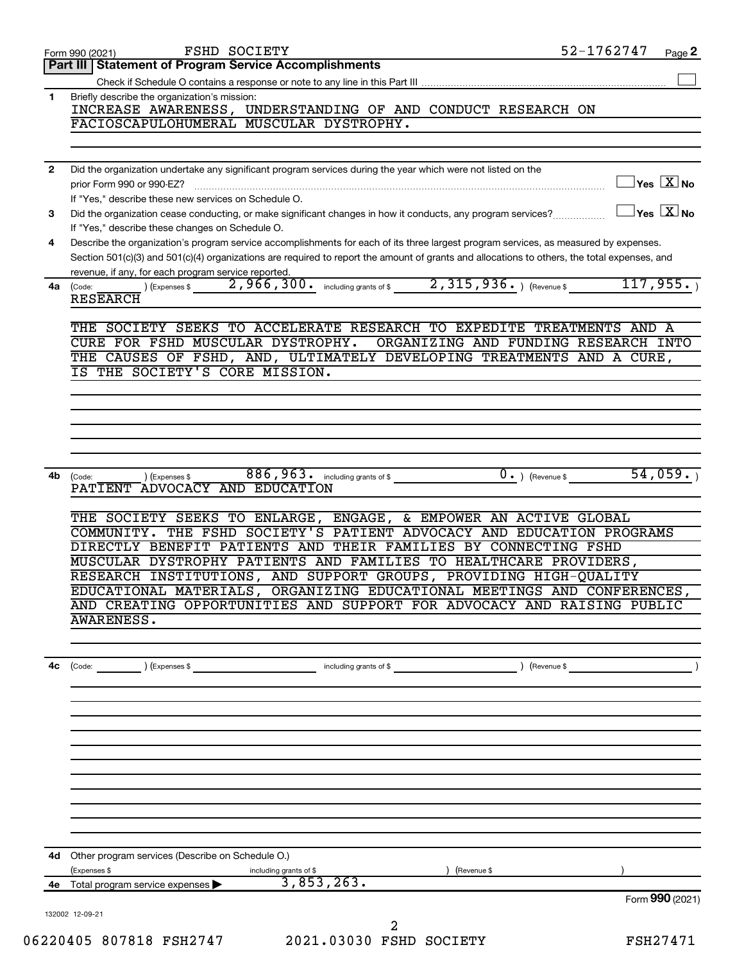|              | <b>FSHD SOCIETY</b><br>Form 990 (2021)                                                                                                                                                                                                                                                       | 52-1762747                              | Page 2          |
|--------------|----------------------------------------------------------------------------------------------------------------------------------------------------------------------------------------------------------------------------------------------------------------------------------------------|-----------------------------------------|-----------------|
|              | <b>Statement of Program Service Accomplishments</b><br>Part III                                                                                                                                                                                                                              |                                         |                 |
|              |                                                                                                                                                                                                                                                                                              |                                         |                 |
| 1            | Briefly describe the organization's mission:<br>INCREASE AWARENESS, UNDERSTANDING OF AND CONDUCT RESEARCH ON<br>FACIOSCAPULOHUMERAL MUSCULAR DYSTROPHY.                                                                                                                                      |                                         |                 |
|              |                                                                                                                                                                                                                                                                                              |                                         |                 |
|              |                                                                                                                                                                                                                                                                                              |                                         |                 |
| $\mathbf{2}$ | Did the organization undertake any significant program services during the year which were not listed on the                                                                                                                                                                                 |                                         |                 |
|              | prior Form 990 or 990-EZ?                                                                                                                                                                                                                                                                    | $\Box$ Yes $[\overline{\mathrm{X}}]$ No |                 |
|              | If "Yes," describe these new services on Schedule O.                                                                                                                                                                                                                                         | $\Box$ Yes $\boxed{\text{X}}$ No        |                 |
| 3            | Did the organization cease conducting, or make significant changes in how it conducts, any program services?<br>If "Yes," describe these changes on Schedule O.                                                                                                                              |                                         |                 |
| 4            | Describe the organization's program service accomplishments for each of its three largest program services, as measured by expenses.                                                                                                                                                         |                                         |                 |
|              | Section 501(c)(3) and 501(c)(4) organizations are required to report the amount of grants and allocations to others, the total expenses, and                                                                                                                                                 |                                         |                 |
| 4a           | revenue, if any, for each program service reported.<br>(Code:                                                                                                                                                                                                                                |                                         |                 |
|              | <b>RESEARCH</b>                                                                                                                                                                                                                                                                              |                                         |                 |
|              | THE SOCIETY SEEKS TO ACCELERATE RESEARCH TO EXPEDITE TREATMENTS AND A                                                                                                                                                                                                                        |                                         |                 |
|              | CURE FOR FSHD MUSCULAR DYSTROPHY.<br>ORGANIZING AND FUNDING RESEARCH INTO                                                                                                                                                                                                                    |                                         |                 |
|              | THE CAUSES OF FSHD, AND, ULTIMATELY DEVELOPING TREATMENTS AND A CURE,                                                                                                                                                                                                                        |                                         |                 |
|              | IS THE SOCIETY'S CORE MISSION.                                                                                                                                                                                                                                                               |                                         |                 |
|              |                                                                                                                                                                                                                                                                                              |                                         |                 |
|              |                                                                                                                                                                                                                                                                                              |                                         |                 |
|              |                                                                                                                                                                                                                                                                                              |                                         |                 |
|              |                                                                                                                                                                                                                                                                                              |                                         |                 |
|              |                                                                                                                                                                                                                                                                                              |                                         |                 |
| 4b           | $886,963$ and $54,059$ and $1$ $0$ and $1$ $($ Revenue \$ $54,059$ and $54,059$ and $54,059$ and $54,059$ and $54,059$ and $54,059$ and $54,059$ and $54,059$ and $54,059$ and $54,059$ and $54,059$ and $54,059$ and $54,059$<br>) (Expenses \$<br>(Code:<br>PATIENT ADVOCACY AND EDUCATION |                                         |                 |
|              | THE SOCIETY SEEKS TO ENLARGE, ENGAGE, & EMPOWER AN ACTIVE GLOBAL                                                                                                                                                                                                                             |                                         |                 |
|              | COMMUNITY. THE FSHD SOCIETY'S PATIENT ADVOCACY AND EDUCATION PROGRAMS                                                                                                                                                                                                                        |                                         |                 |
|              | DIRECTLY BENEFIT PATIENTS AND THEIR FAMILIES BY CONNECTING FSHD                                                                                                                                                                                                                              |                                         |                 |
|              | MUSCULAR DYSTROPHY PATIENTS AND FAMILIES TO HEALTHCARE PROVIDERS,                                                                                                                                                                                                                            |                                         |                 |
|              | RESEARCH INSTITUTIONS, AND SUPPORT GROUPS, PROVIDING HIGH-QUALITY                                                                                                                                                                                                                            |                                         |                 |
|              | EDUCATIONAL MATERIALS, ORGANIZING EDUCATIONAL MEETINGS AND CONFERENCES,                                                                                                                                                                                                                      |                                         |                 |
|              | AND CREATING OPPORTUNITIES AND SUPPORT FOR ADVOCACY AND RAISING PUBLIC<br><b>AWARENESS.</b>                                                                                                                                                                                                  |                                         |                 |
|              |                                                                                                                                                                                                                                                                                              |                                         |                 |
|              |                                                                                                                                                                                                                                                                                              |                                         |                 |
| 4c           | $\left(\text{Code:}\right)$ $\left(\text{Expenses }$ \$<br>including grants of \$                                                                                                                                                                                                            | (Revenue \$                             |                 |
|              |                                                                                                                                                                                                                                                                                              |                                         |                 |
|              |                                                                                                                                                                                                                                                                                              |                                         |                 |
|              |                                                                                                                                                                                                                                                                                              |                                         |                 |
|              |                                                                                                                                                                                                                                                                                              |                                         |                 |
|              |                                                                                                                                                                                                                                                                                              |                                         |                 |
|              |                                                                                                                                                                                                                                                                                              |                                         |                 |
|              |                                                                                                                                                                                                                                                                                              |                                         |                 |
|              |                                                                                                                                                                                                                                                                                              |                                         |                 |
|              |                                                                                                                                                                                                                                                                                              |                                         |                 |
|              |                                                                                                                                                                                                                                                                                              |                                         |                 |
| 4d           | Other program services (Describe on Schedule O.)                                                                                                                                                                                                                                             |                                         |                 |
|              | (Expenses \$<br>including grants of \$<br>(Revenue \$<br>3,853,263.<br>4e Total program service expenses >                                                                                                                                                                                   |                                         |                 |
|              |                                                                                                                                                                                                                                                                                              |                                         | Form 990 (2021) |
|              | 132002 12-09-21                                                                                                                                                                                                                                                                              |                                         |                 |
|              | 2                                                                                                                                                                                                                                                                                            |                                         |                 |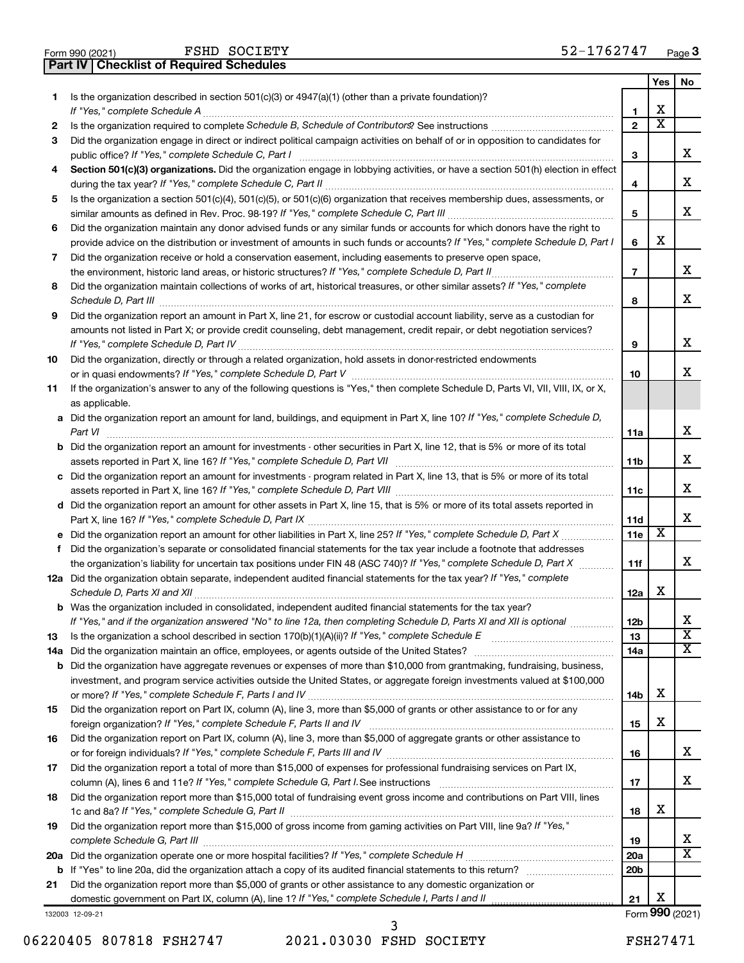|  | Form 990 (2021) |
|--|-----------------|
|  |                 |

**Part IV Checklist of Required Schedules** FSHD SOCIETY

|     |                                                                                                                                       |                 | Yes                     | No                          |
|-----|---------------------------------------------------------------------------------------------------------------------------------------|-----------------|-------------------------|-----------------------------|
| 1   | Is the organization described in section 501(c)(3) or $4947(a)(1)$ (other than a private foundation)?                                 |                 |                         |                             |
|     | If "Yes," complete Schedule A                                                                                                         | 1               | х                       |                             |
| 2   |                                                                                                                                       | $\overline{2}$  | $\overline{\textbf{x}}$ |                             |
| 3   | Did the organization engage in direct or indirect political campaign activities on behalf of or in opposition to candidates for       |                 |                         |                             |
|     | public office? If "Yes," complete Schedule C, Part I                                                                                  | 3               |                         | х                           |
| 4   | Section 501(c)(3) organizations. Did the organization engage in lobbying activities, or have a section 501(h) election in effect      |                 |                         |                             |
|     |                                                                                                                                       |                 |                         | х                           |
|     |                                                                                                                                       | 4               |                         |                             |
| 5   | Is the organization a section 501(c)(4), 501(c)(5), or 501(c)(6) organization that receives membership dues, assessments, or          |                 |                         |                             |
|     |                                                                                                                                       | 5               |                         | x                           |
| 6   | Did the organization maintain any donor advised funds or any similar funds or accounts for which donors have the right to             |                 |                         |                             |
|     | provide advice on the distribution or investment of amounts in such funds or accounts? If "Yes," complete Schedule D, Part I          | 6               | х                       |                             |
| 7   | Did the organization receive or hold a conservation easement, including easements to preserve open space,                             |                 |                         |                             |
|     | .                                                                                                                                     | $\overline{7}$  |                         | х                           |
| 8   | Did the organization maintain collections of works of art, historical treasures, or other similar assets? If "Yes," complete          |                 |                         |                             |
|     | Schedule D, Part III <b>www.communications.communications.communications.communications</b>                                           | 8               |                         | x                           |
| 9   | Did the organization report an amount in Part X, line 21, for escrow or custodial account liability, serve as a custodian for         |                 |                         |                             |
|     | amounts not listed in Part X; or provide credit counseling, debt management, credit repair, or debt negotiation services?             |                 |                         |                             |
|     | If "Yes," complete Schedule D, Part IV                                                                                                | 9               |                         | x                           |
| 10  | Did the organization, directly or through a related organization, hold assets in donor-restricted endowments                          |                 |                         |                             |
|     |                                                                                                                                       | 10              |                         | x                           |
|     |                                                                                                                                       |                 |                         |                             |
| 11  | If the organization's answer to any of the following questions is "Yes," then complete Schedule D, Parts VI, VII, VIII, IX, or X,     |                 |                         |                             |
|     | as applicable.                                                                                                                        |                 |                         |                             |
|     | a Did the organization report an amount for land, buildings, and equipment in Part X, line 10? If "Yes," complete Schedule D,         |                 |                         |                             |
|     | Part VI                                                                                                                               | 11a             |                         | x                           |
|     | <b>b</b> Did the organization report an amount for investments - other securities in Part X, line 12, that is 5% or more of its total |                 |                         |                             |
|     |                                                                                                                                       | 11b             |                         | x                           |
|     | c Did the organization report an amount for investments - program related in Part X, line 13, that is 5% or more of its total         |                 |                         |                             |
|     |                                                                                                                                       | 11c             |                         | х                           |
|     | d Did the organization report an amount for other assets in Part X, line 15, that is 5% or more of its total assets reported in       |                 |                         |                             |
|     |                                                                                                                                       | 11d             |                         | x                           |
|     |                                                                                                                                       | 11 <sub>c</sub> | х                       |                             |
| f   | Did the organization's separate or consolidated financial statements for the tax year include a footnote that addresses               |                 |                         |                             |
|     | the organization's liability for uncertain tax positions under FIN 48 (ASC 740)? If "Yes," complete Schedule D, Part X                | 11f             |                         | x                           |
|     | 12a Did the organization obtain separate, independent audited financial statements for the tax year? If "Yes," complete               |                 |                         |                             |
|     | Schedule D, Parts XI and XII                                                                                                          | 12a             | х                       |                             |
|     |                                                                                                                                       |                 |                         |                             |
|     | <b>b</b> Was the organization included in consolidated, independent audited financial statements for the tax year?                    |                 |                         |                             |
|     | If "Yes," and if the organization answered "No" to line 12a, then completing Schedule D, Parts XI and XII is optional                 | 12b             |                         | ∡⊾<br>$\overline{\text{x}}$ |
| 13  | Is the organization a school described in section 170(b)(1)(A)(ii)? If "Yes," complete Schedule E                                     | 13              |                         |                             |
| 14a | Did the organization maintain an office, employees, or agents outside of the United States?                                           | 14a             |                         | х                           |
|     | <b>b</b> Did the organization have aggregate revenues or expenses of more than \$10,000 from grantmaking, fundraising, business,      |                 |                         |                             |
|     | investment, and program service activities outside the United States, or aggregate foreign investments valued at \$100,000            |                 |                         |                             |
|     |                                                                                                                                       | 14b             | х                       |                             |
| 15  | Did the organization report on Part IX, column (A), line 3, more than \$5,000 of grants or other assistance to or for any             |                 |                         |                             |
|     | foreign organization? If "Yes," complete Schedule F, Parts II and IV                                                                  | 15              | х                       |                             |
| 16  | Did the organization report on Part IX, column (A), line 3, more than \$5,000 of aggregate grants or other assistance to              |                 |                         |                             |
|     |                                                                                                                                       | 16              |                         | х                           |
| 17  | Did the organization report a total of more than \$15,000 of expenses for professional fundraising services on Part IX,               |                 |                         |                             |
|     | column (A), lines 6 and 11e? If "Yes," complete Schedule G, Part I. See instructions                                                  | 17              |                         | x                           |
| 18  | Did the organization report more than \$15,000 total of fundraising event gross income and contributions on Part VIII, lines          |                 |                         |                             |
|     |                                                                                                                                       |                 | х                       |                             |
|     |                                                                                                                                       | 18              |                         |                             |
| 19  | Did the organization report more than \$15,000 of gross income from gaming activities on Part VIII, line 9a? If "Yes,"                |                 |                         |                             |
|     |                                                                                                                                       | 19              |                         | х                           |
|     |                                                                                                                                       | 20a             |                         | $\overline{\textbf{X}}$     |
|     |                                                                                                                                       | 20 <sub>b</sub> |                         |                             |
| 21  | Did the organization report more than \$5,000 of grants or other assistance to any domestic organization or                           |                 |                         |                             |
|     |                                                                                                                                       | 21              | х                       |                             |
|     | 132003 12-09-21                                                                                                                       |                 |                         | Form 990 (2021)             |

06220405 807818 FSH2747 2021.03030 FSHD SOCIETY FSH27471 3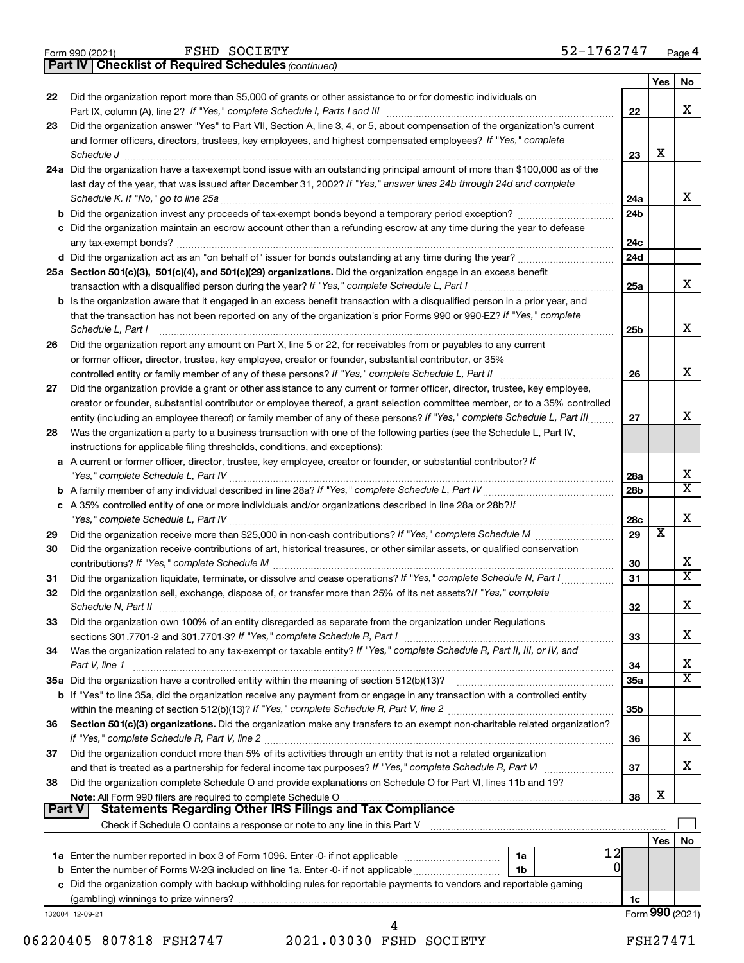|  | Form 990 (2021) |
|--|-----------------|
|  |                 |

FSHD SOCIETY

*(continued)* **Part IV Checklist of Required Schedules**

|               |                                                                                                                                                   |                        | Yes | No                           |
|---------------|---------------------------------------------------------------------------------------------------------------------------------------------------|------------------------|-----|------------------------------|
| 22            | Did the organization report more than \$5,000 of grants or other assistance to or for domestic individuals on                                     |                        |     |                              |
|               | Part IX, column (A), line 2? If "Yes," complete Schedule I, Parts I and III                                                                       | 22                     |     | x                            |
| 23            | Did the organization answer "Yes" to Part VII, Section A, line 3, 4, or 5, about compensation of the organization's current                       |                        |     |                              |
|               | and former officers, directors, trustees, key employees, and highest compensated employees? If "Yes," complete                                    |                        | X   |                              |
|               | Schedule J                                                                                                                                        | 23                     |     |                              |
|               | 24a Did the organization have a tax-exempt bond issue with an outstanding principal amount of more than \$100,000 as of the                       |                        |     |                              |
|               | last day of the year, that was issued after December 31, 2002? If "Yes," answer lines 24b through 24d and complete                                |                        |     | x                            |
|               | Schedule K. If "No," go to line 25a<br><b>b</b> Did the organization invest any proceeds of tax-exempt bonds beyond a temporary period exception? | 24a<br>24 <sub>b</sub> |     |                              |
|               | c Did the organization maintain an escrow account other than a refunding escrow at any time during the year to defease                            |                        |     |                              |
|               | any tax-exempt bonds?                                                                                                                             | 24c                    |     |                              |
|               | d Did the organization act as an "on behalf of" issuer for bonds outstanding at any time during the year?                                         | 24 <sub>d</sub>        |     |                              |
|               | 25a Section 501(c)(3), 501(c)(4), and 501(c)(29) organizations. Did the organization engage in an excess benefit                                  |                        |     |                              |
|               |                                                                                                                                                   | 25a                    |     | x                            |
|               | <b>b</b> Is the organization aware that it engaged in an excess benefit transaction with a disqualified person in a prior year, and               |                        |     |                              |
|               | that the transaction has not been reported on any of the organization's prior Forms 990 or 990-EZ? If "Yes," complete                             |                        |     |                              |
|               | Schedule L, Part I                                                                                                                                | 25b                    |     | х                            |
| 26            | Did the organization report any amount on Part X, line 5 or 22, for receivables from or payables to any current                                   |                        |     |                              |
|               | or former officer, director, trustee, key employee, creator or founder, substantial contributor, or 35%                                           |                        |     |                              |
|               | controlled entity or family member of any of these persons? If "Yes," complete Schedule L, Part II                                                | 26                     |     | x                            |
| 27            | Did the organization provide a grant or other assistance to any current or former officer, director, trustee, key employee,                       |                        |     |                              |
|               | creator or founder, substantial contributor or employee thereof, a grant selection committee member, or to a 35% controlled                       |                        |     |                              |
|               | entity (including an employee thereof) or family member of any of these persons? If "Yes," complete Schedule L, Part III                          | 27                     |     | х                            |
| 28            | Was the organization a party to a business transaction with one of the following parties (see the Schedule L, Part IV,                            |                        |     |                              |
|               | instructions for applicable filing thresholds, conditions, and exceptions):                                                                       |                        |     |                              |
|               | a A current or former officer, director, trustee, key employee, creator or founder, or substantial contributor? If                                |                        |     |                              |
|               | "Yes," complete Schedule L, Part IV                                                                                                               | 28a                    |     | x                            |
|               |                                                                                                                                                   | 28 <sub>b</sub>        |     | $\overline{\mathtt{x}}$      |
|               | c A 35% controlled entity of one or more individuals and/or organizations described in line 28a or 28b?/f                                         |                        |     |                              |
|               |                                                                                                                                                   | 28c                    |     | х                            |
| 29            |                                                                                                                                                   | 29                     | X   |                              |
| 30            | Did the organization receive contributions of art, historical treasures, or other similar assets, or qualified conservation                       |                        |     |                              |
|               |                                                                                                                                                   | 30                     |     | x<br>$\overline{\mathtt{x}}$ |
| 31            | Did the organization liquidate, terminate, or dissolve and cease operations? If "Yes," complete Schedule N, Part I                                | 31                     |     |                              |
| 32            | Did the organization sell, exchange, dispose of, or transfer more than 25% of its net assets? If "Yes," complete                                  |                        |     | X                            |
|               | Schedule N, Part II                                                                                                                               | 32                     |     |                              |
| 33            | Did the organization own 100% of an entity disregarded as separate from the organization under Regulations                                        |                        |     | x                            |
|               | Was the organization related to any tax-exempt or taxable entity? If "Yes," complete Schedule R, Part II, III, or IV, and                         | 33                     |     |                              |
| 34            |                                                                                                                                                   | 34                     |     | x                            |
|               | Part V, line 1<br>35a Did the organization have a controlled entity within the meaning of section 512(b)(13)?                                     | 35a                    |     | $\overline{\textbf{x}}$      |
|               | b If "Yes" to line 35a, did the organization receive any payment from or engage in any transaction with a controlled entity                       |                        |     |                              |
|               |                                                                                                                                                   | 35b                    |     |                              |
| 36            | Section 501(c)(3) organizations. Did the organization make any transfers to an exempt non-charitable related organization?                        |                        |     |                              |
|               |                                                                                                                                                   | 36                     |     | x                            |
| 37            | Did the organization conduct more than 5% of its activities through an entity that is not a related organization                                  |                        |     |                              |
|               | and that is treated as a partnership for federal income tax purposes? If "Yes," complete Schedule R, Part VI                                      | 37                     |     | x                            |
| 38            | Did the organization complete Schedule O and provide explanations on Schedule O for Part VI, lines 11b and 19?                                    |                        |     |                              |
|               |                                                                                                                                                   | 38                     | X   |                              |
| <b>Part V</b> | <b>Statements Regarding Other IRS Filings and Tax Compliance</b>                                                                                  |                        |     |                              |
|               |                                                                                                                                                   |                        |     |                              |
|               |                                                                                                                                                   |                        | Yes | No                           |
|               | 12<br>1a                                                                                                                                          |                        |     |                              |
|               | 0<br><b>b</b> Enter the number of Forms W-2G included on line 1a. Enter -0- if not applicable<br>1b                                               |                        |     |                              |
|               | c Did the organization comply with backup withholding rules for reportable payments to vendors and reportable gaming                              |                        |     |                              |
|               |                                                                                                                                                   | 1c                     |     |                              |
|               | 132004 12-09-21                                                                                                                                   |                        |     | Form 990 (2021)              |

<sup>06220405 807818</sup> FSH2747 2021.03030 FSHD SOCIETY FSH27471 4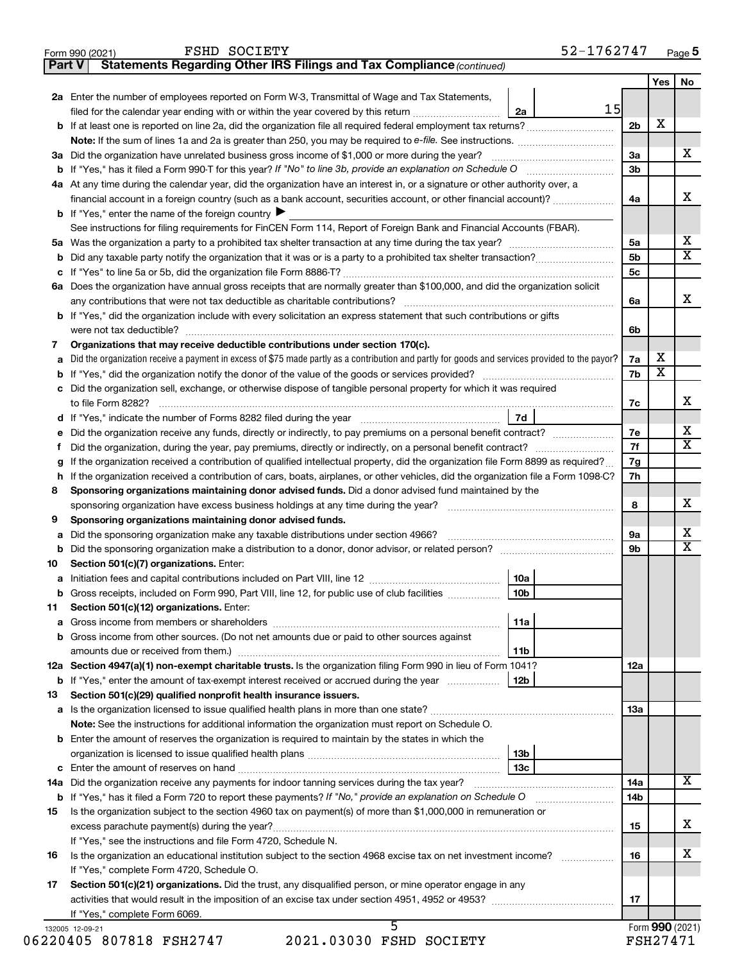**Part V Statements Regarding Other IRS Filings and Tax Compliance**

*(continued)*

| 15<br>filed for the calendar year ending with or within the year covered by this return <i>manumumumum</i><br>2a<br>2b<br>3a Did the organization have unrelated business gross income of \$1,000 or more during the year?<br>За<br>3b<br>4a At any time during the calendar year, did the organization have an interest in, or a signature or other authority over, a<br>financial account in a foreign country (such as a bank account, securities account, or other financial account)?<br>4a<br><b>b</b> If "Yes," enter the name of the foreign country<br>See instructions for filing requirements for FinCEN Form 114, Report of Foreign Bank and Financial Accounts (FBAR).<br>5а<br>5 <sub>b</sub><br>5c<br>6a Does the organization have annual gross receipts that are normally greater than \$100,000, and did the organization solicit<br>6a<br><b>b</b> If "Yes," did the organization include with every solicitation an express statement that such contributions or gifts<br>were not tax deductible?<br>6b<br>Organizations that may receive deductible contributions under section 170(c).<br>7<br>Did the organization receive a payment in excess of \$75 made partly as a contribution and partly for goods and services provided to the payor?<br>7a<br>a<br>7b<br><b>b</b> If "Yes," did the organization notify the donor of the value of the goods or services provided?<br>c Did the organization sell, exchange, or otherwise dispose of tangible personal property for which it was required<br>to file Form 8282?<br>7c<br>7d<br>Did the organization receive any funds, directly or indirectly, to pay premiums on a personal benefit contract?<br>7е<br>е<br>7f<br>Ť<br>If the organization received a contribution of qualified intellectual property, did the organization file Form 8899 as required?<br>7g<br>g<br>h If the organization received a contribution of cars, boats, airplanes, or other vehicles, did the organization file a Form 1098-C?<br>7h<br>Sponsoring organizations maintaining donor advised funds. Did a donor advised fund maintained by the<br>8<br>sponsoring organization have excess business holdings at any time during the year?<br>8<br>Sponsoring organizations maintaining donor advised funds.<br>9<br>Did the sponsoring organization make any taxable distributions under section 4966?<br><b>9a</b><br>а<br>9b<br>b<br>Section 501(c)(7) organizations. Enter:<br>10<br>10a<br>а<br>b Gross receipts, included on Form 990, Part VIII, line 12, for public use of club facilities<br>10 <sub>b</sub><br>Section 501(c)(12) organizations. Enter:<br>11<br>11a<br><b>b</b> Gross income from other sources. (Do not net amounts due or paid to other sources against<br>11b<br>12a Section 4947(a)(1) non-exempt charitable trusts. Is the organization filing Form 990 in lieu of Form 1041?<br>12a<br>Section 501(c)(29) qualified nonprofit health insurance issuers.<br>13<br>13a<br>Note: See the instructions for additional information the organization must report on Schedule O.<br><b>b</b> Enter the amount of reserves the organization is required to maintain by the states in which the<br>13b<br>14a<br>14a<br>b If "Yes," has it filed a Form 720 to report these payments? If "No," provide an explanation on Schedule O<br>14b<br>Is the organization subject to the section 4960 tax on payment(s) of more than \$1,000,000 in remuneration or<br>15<br>15<br>If "Yes," see the instructions and file Form 4720, Schedule N.<br>Is the organization an educational institution subject to the section 4968 excise tax on net investment income?<br>16<br>16<br>If "Yes," complete Form 4720, Schedule O.<br>Section 501(c)(21) organizations. Did the trust, any disqualified person, or mine operator engage in any<br>17<br>17<br>If "Yes," complete Form 6069. | 2a Enter the number of employees reported on Form W-3, Transmittal of Wage and Tax Statements, |  | Yes I                   | No |
|------------------------------------------------------------------------------------------------------------------------------------------------------------------------------------------------------------------------------------------------------------------------------------------------------------------------------------------------------------------------------------------------------------------------------------------------------------------------------------------------------------------------------------------------------------------------------------------------------------------------------------------------------------------------------------------------------------------------------------------------------------------------------------------------------------------------------------------------------------------------------------------------------------------------------------------------------------------------------------------------------------------------------------------------------------------------------------------------------------------------------------------------------------------------------------------------------------------------------------------------------------------------------------------------------------------------------------------------------------------------------------------------------------------------------------------------------------------------------------------------------------------------------------------------------------------------------------------------------------------------------------------------------------------------------------------------------------------------------------------------------------------------------------------------------------------------------------------------------------------------------------------------------------------------------------------------------------------------------------------------------------------------------------------------------------------------------------------------------------------------------------------------------------------------------------------------------------------------------------------------------------------------------------------------------------------------------------------------------------------------------------------------------------------------------------------------------------------------------------------------------------------------------------------------------------------------------------------------------------------------------------------------------------------------------------------------------------------------------------------------------------------------------------------------------------------------------------------------------------------------------------------------------------------------------------------------------------------------------------------------------------------------------------------------------------------------------------------------------------------------------------------------------------------------------------------------------------------------------------------------------------------------------------------------------------------------------------------------------------------------------------------------------------------------------------------------------------------------------------------------------------------------------------------------------------------------------------------------------------------------------------------------------------------------------------------------------------------------------------------------------------------------------------------------------------------------------------------------------------------|------------------------------------------------------------------------------------------------|--|-------------------------|----|
|                                                                                                                                                                                                                                                                                                                                                                                                                                                                                                                                                                                                                                                                                                                                                                                                                                                                                                                                                                                                                                                                                                                                                                                                                                                                                                                                                                                                                                                                                                                                                                                                                                                                                                                                                                                                                                                                                                                                                                                                                                                                                                                                                                                                                                                                                                                                                                                                                                                                                                                                                                                                                                                                                                                                                                                                                                                                                                                                                                                                                                                                                                                                                                                                                                                                                                                                                                                                                                                                                                                                                                                                                                                                                                                                                                                                                                                                  |                                                                                                |  |                         |    |
|                                                                                                                                                                                                                                                                                                                                                                                                                                                                                                                                                                                                                                                                                                                                                                                                                                                                                                                                                                                                                                                                                                                                                                                                                                                                                                                                                                                                                                                                                                                                                                                                                                                                                                                                                                                                                                                                                                                                                                                                                                                                                                                                                                                                                                                                                                                                                                                                                                                                                                                                                                                                                                                                                                                                                                                                                                                                                                                                                                                                                                                                                                                                                                                                                                                                                                                                                                                                                                                                                                                                                                                                                                                                                                                                                                                                                                                                  |                                                                                                |  | х                       |    |
|                                                                                                                                                                                                                                                                                                                                                                                                                                                                                                                                                                                                                                                                                                                                                                                                                                                                                                                                                                                                                                                                                                                                                                                                                                                                                                                                                                                                                                                                                                                                                                                                                                                                                                                                                                                                                                                                                                                                                                                                                                                                                                                                                                                                                                                                                                                                                                                                                                                                                                                                                                                                                                                                                                                                                                                                                                                                                                                                                                                                                                                                                                                                                                                                                                                                                                                                                                                                                                                                                                                                                                                                                                                                                                                                                                                                                                                                  |                                                                                                |  |                         |    |
|                                                                                                                                                                                                                                                                                                                                                                                                                                                                                                                                                                                                                                                                                                                                                                                                                                                                                                                                                                                                                                                                                                                                                                                                                                                                                                                                                                                                                                                                                                                                                                                                                                                                                                                                                                                                                                                                                                                                                                                                                                                                                                                                                                                                                                                                                                                                                                                                                                                                                                                                                                                                                                                                                                                                                                                                                                                                                                                                                                                                                                                                                                                                                                                                                                                                                                                                                                                                                                                                                                                                                                                                                                                                                                                                                                                                                                                                  |                                                                                                |  |                         |    |
|                                                                                                                                                                                                                                                                                                                                                                                                                                                                                                                                                                                                                                                                                                                                                                                                                                                                                                                                                                                                                                                                                                                                                                                                                                                                                                                                                                                                                                                                                                                                                                                                                                                                                                                                                                                                                                                                                                                                                                                                                                                                                                                                                                                                                                                                                                                                                                                                                                                                                                                                                                                                                                                                                                                                                                                                                                                                                                                                                                                                                                                                                                                                                                                                                                                                                                                                                                                                                                                                                                                                                                                                                                                                                                                                                                                                                                                                  |                                                                                                |  |                         |    |
|                                                                                                                                                                                                                                                                                                                                                                                                                                                                                                                                                                                                                                                                                                                                                                                                                                                                                                                                                                                                                                                                                                                                                                                                                                                                                                                                                                                                                                                                                                                                                                                                                                                                                                                                                                                                                                                                                                                                                                                                                                                                                                                                                                                                                                                                                                                                                                                                                                                                                                                                                                                                                                                                                                                                                                                                                                                                                                                                                                                                                                                                                                                                                                                                                                                                                                                                                                                                                                                                                                                                                                                                                                                                                                                                                                                                                                                                  |                                                                                                |  |                         |    |
|                                                                                                                                                                                                                                                                                                                                                                                                                                                                                                                                                                                                                                                                                                                                                                                                                                                                                                                                                                                                                                                                                                                                                                                                                                                                                                                                                                                                                                                                                                                                                                                                                                                                                                                                                                                                                                                                                                                                                                                                                                                                                                                                                                                                                                                                                                                                                                                                                                                                                                                                                                                                                                                                                                                                                                                                                                                                                                                                                                                                                                                                                                                                                                                                                                                                                                                                                                                                                                                                                                                                                                                                                                                                                                                                                                                                                                                                  |                                                                                                |  |                         |    |
|                                                                                                                                                                                                                                                                                                                                                                                                                                                                                                                                                                                                                                                                                                                                                                                                                                                                                                                                                                                                                                                                                                                                                                                                                                                                                                                                                                                                                                                                                                                                                                                                                                                                                                                                                                                                                                                                                                                                                                                                                                                                                                                                                                                                                                                                                                                                                                                                                                                                                                                                                                                                                                                                                                                                                                                                                                                                                                                                                                                                                                                                                                                                                                                                                                                                                                                                                                                                                                                                                                                                                                                                                                                                                                                                                                                                                                                                  |                                                                                                |  |                         |    |
|                                                                                                                                                                                                                                                                                                                                                                                                                                                                                                                                                                                                                                                                                                                                                                                                                                                                                                                                                                                                                                                                                                                                                                                                                                                                                                                                                                                                                                                                                                                                                                                                                                                                                                                                                                                                                                                                                                                                                                                                                                                                                                                                                                                                                                                                                                                                                                                                                                                                                                                                                                                                                                                                                                                                                                                                                                                                                                                                                                                                                                                                                                                                                                                                                                                                                                                                                                                                                                                                                                                                                                                                                                                                                                                                                                                                                                                                  |                                                                                                |  |                         |    |
|                                                                                                                                                                                                                                                                                                                                                                                                                                                                                                                                                                                                                                                                                                                                                                                                                                                                                                                                                                                                                                                                                                                                                                                                                                                                                                                                                                                                                                                                                                                                                                                                                                                                                                                                                                                                                                                                                                                                                                                                                                                                                                                                                                                                                                                                                                                                                                                                                                                                                                                                                                                                                                                                                                                                                                                                                                                                                                                                                                                                                                                                                                                                                                                                                                                                                                                                                                                                                                                                                                                                                                                                                                                                                                                                                                                                                                                                  |                                                                                                |  |                         |    |
|                                                                                                                                                                                                                                                                                                                                                                                                                                                                                                                                                                                                                                                                                                                                                                                                                                                                                                                                                                                                                                                                                                                                                                                                                                                                                                                                                                                                                                                                                                                                                                                                                                                                                                                                                                                                                                                                                                                                                                                                                                                                                                                                                                                                                                                                                                                                                                                                                                                                                                                                                                                                                                                                                                                                                                                                                                                                                                                                                                                                                                                                                                                                                                                                                                                                                                                                                                                                                                                                                                                                                                                                                                                                                                                                                                                                                                                                  |                                                                                                |  |                         |    |
|                                                                                                                                                                                                                                                                                                                                                                                                                                                                                                                                                                                                                                                                                                                                                                                                                                                                                                                                                                                                                                                                                                                                                                                                                                                                                                                                                                                                                                                                                                                                                                                                                                                                                                                                                                                                                                                                                                                                                                                                                                                                                                                                                                                                                                                                                                                                                                                                                                                                                                                                                                                                                                                                                                                                                                                                                                                                                                                                                                                                                                                                                                                                                                                                                                                                                                                                                                                                                                                                                                                                                                                                                                                                                                                                                                                                                                                                  |                                                                                                |  |                         |    |
|                                                                                                                                                                                                                                                                                                                                                                                                                                                                                                                                                                                                                                                                                                                                                                                                                                                                                                                                                                                                                                                                                                                                                                                                                                                                                                                                                                                                                                                                                                                                                                                                                                                                                                                                                                                                                                                                                                                                                                                                                                                                                                                                                                                                                                                                                                                                                                                                                                                                                                                                                                                                                                                                                                                                                                                                                                                                                                                                                                                                                                                                                                                                                                                                                                                                                                                                                                                                                                                                                                                                                                                                                                                                                                                                                                                                                                                                  |                                                                                                |  |                         |    |
|                                                                                                                                                                                                                                                                                                                                                                                                                                                                                                                                                                                                                                                                                                                                                                                                                                                                                                                                                                                                                                                                                                                                                                                                                                                                                                                                                                                                                                                                                                                                                                                                                                                                                                                                                                                                                                                                                                                                                                                                                                                                                                                                                                                                                                                                                                                                                                                                                                                                                                                                                                                                                                                                                                                                                                                                                                                                                                                                                                                                                                                                                                                                                                                                                                                                                                                                                                                                                                                                                                                                                                                                                                                                                                                                                                                                                                                                  |                                                                                                |  |                         |    |
|                                                                                                                                                                                                                                                                                                                                                                                                                                                                                                                                                                                                                                                                                                                                                                                                                                                                                                                                                                                                                                                                                                                                                                                                                                                                                                                                                                                                                                                                                                                                                                                                                                                                                                                                                                                                                                                                                                                                                                                                                                                                                                                                                                                                                                                                                                                                                                                                                                                                                                                                                                                                                                                                                                                                                                                                                                                                                                                                                                                                                                                                                                                                                                                                                                                                                                                                                                                                                                                                                                                                                                                                                                                                                                                                                                                                                                                                  |                                                                                                |  |                         |    |
|                                                                                                                                                                                                                                                                                                                                                                                                                                                                                                                                                                                                                                                                                                                                                                                                                                                                                                                                                                                                                                                                                                                                                                                                                                                                                                                                                                                                                                                                                                                                                                                                                                                                                                                                                                                                                                                                                                                                                                                                                                                                                                                                                                                                                                                                                                                                                                                                                                                                                                                                                                                                                                                                                                                                                                                                                                                                                                                                                                                                                                                                                                                                                                                                                                                                                                                                                                                                                                                                                                                                                                                                                                                                                                                                                                                                                                                                  |                                                                                                |  |                         |    |
|                                                                                                                                                                                                                                                                                                                                                                                                                                                                                                                                                                                                                                                                                                                                                                                                                                                                                                                                                                                                                                                                                                                                                                                                                                                                                                                                                                                                                                                                                                                                                                                                                                                                                                                                                                                                                                                                                                                                                                                                                                                                                                                                                                                                                                                                                                                                                                                                                                                                                                                                                                                                                                                                                                                                                                                                                                                                                                                                                                                                                                                                                                                                                                                                                                                                                                                                                                                                                                                                                                                                                                                                                                                                                                                                                                                                                                                                  |                                                                                                |  |                         |    |
|                                                                                                                                                                                                                                                                                                                                                                                                                                                                                                                                                                                                                                                                                                                                                                                                                                                                                                                                                                                                                                                                                                                                                                                                                                                                                                                                                                                                                                                                                                                                                                                                                                                                                                                                                                                                                                                                                                                                                                                                                                                                                                                                                                                                                                                                                                                                                                                                                                                                                                                                                                                                                                                                                                                                                                                                                                                                                                                                                                                                                                                                                                                                                                                                                                                                                                                                                                                                                                                                                                                                                                                                                                                                                                                                                                                                                                                                  |                                                                                                |  | х                       |    |
|                                                                                                                                                                                                                                                                                                                                                                                                                                                                                                                                                                                                                                                                                                                                                                                                                                                                                                                                                                                                                                                                                                                                                                                                                                                                                                                                                                                                                                                                                                                                                                                                                                                                                                                                                                                                                                                                                                                                                                                                                                                                                                                                                                                                                                                                                                                                                                                                                                                                                                                                                                                                                                                                                                                                                                                                                                                                                                                                                                                                                                                                                                                                                                                                                                                                                                                                                                                                                                                                                                                                                                                                                                                                                                                                                                                                                                                                  |                                                                                                |  | $\overline{\texttt{x}}$ |    |
|                                                                                                                                                                                                                                                                                                                                                                                                                                                                                                                                                                                                                                                                                                                                                                                                                                                                                                                                                                                                                                                                                                                                                                                                                                                                                                                                                                                                                                                                                                                                                                                                                                                                                                                                                                                                                                                                                                                                                                                                                                                                                                                                                                                                                                                                                                                                                                                                                                                                                                                                                                                                                                                                                                                                                                                                                                                                                                                                                                                                                                                                                                                                                                                                                                                                                                                                                                                                                                                                                                                                                                                                                                                                                                                                                                                                                                                                  |                                                                                                |  |                         |    |
|                                                                                                                                                                                                                                                                                                                                                                                                                                                                                                                                                                                                                                                                                                                                                                                                                                                                                                                                                                                                                                                                                                                                                                                                                                                                                                                                                                                                                                                                                                                                                                                                                                                                                                                                                                                                                                                                                                                                                                                                                                                                                                                                                                                                                                                                                                                                                                                                                                                                                                                                                                                                                                                                                                                                                                                                                                                                                                                                                                                                                                                                                                                                                                                                                                                                                                                                                                                                                                                                                                                                                                                                                                                                                                                                                                                                                                                                  |                                                                                                |  |                         |    |
|                                                                                                                                                                                                                                                                                                                                                                                                                                                                                                                                                                                                                                                                                                                                                                                                                                                                                                                                                                                                                                                                                                                                                                                                                                                                                                                                                                                                                                                                                                                                                                                                                                                                                                                                                                                                                                                                                                                                                                                                                                                                                                                                                                                                                                                                                                                                                                                                                                                                                                                                                                                                                                                                                                                                                                                                                                                                                                                                                                                                                                                                                                                                                                                                                                                                                                                                                                                                                                                                                                                                                                                                                                                                                                                                                                                                                                                                  |                                                                                                |  |                         |    |
|                                                                                                                                                                                                                                                                                                                                                                                                                                                                                                                                                                                                                                                                                                                                                                                                                                                                                                                                                                                                                                                                                                                                                                                                                                                                                                                                                                                                                                                                                                                                                                                                                                                                                                                                                                                                                                                                                                                                                                                                                                                                                                                                                                                                                                                                                                                                                                                                                                                                                                                                                                                                                                                                                                                                                                                                                                                                                                                                                                                                                                                                                                                                                                                                                                                                                                                                                                                                                                                                                                                                                                                                                                                                                                                                                                                                                                                                  |                                                                                                |  |                         |    |
|                                                                                                                                                                                                                                                                                                                                                                                                                                                                                                                                                                                                                                                                                                                                                                                                                                                                                                                                                                                                                                                                                                                                                                                                                                                                                                                                                                                                                                                                                                                                                                                                                                                                                                                                                                                                                                                                                                                                                                                                                                                                                                                                                                                                                                                                                                                                                                                                                                                                                                                                                                                                                                                                                                                                                                                                                                                                                                                                                                                                                                                                                                                                                                                                                                                                                                                                                                                                                                                                                                                                                                                                                                                                                                                                                                                                                                                                  |                                                                                                |  |                         |    |
|                                                                                                                                                                                                                                                                                                                                                                                                                                                                                                                                                                                                                                                                                                                                                                                                                                                                                                                                                                                                                                                                                                                                                                                                                                                                                                                                                                                                                                                                                                                                                                                                                                                                                                                                                                                                                                                                                                                                                                                                                                                                                                                                                                                                                                                                                                                                                                                                                                                                                                                                                                                                                                                                                                                                                                                                                                                                                                                                                                                                                                                                                                                                                                                                                                                                                                                                                                                                                                                                                                                                                                                                                                                                                                                                                                                                                                                                  |                                                                                                |  |                         |    |
|                                                                                                                                                                                                                                                                                                                                                                                                                                                                                                                                                                                                                                                                                                                                                                                                                                                                                                                                                                                                                                                                                                                                                                                                                                                                                                                                                                                                                                                                                                                                                                                                                                                                                                                                                                                                                                                                                                                                                                                                                                                                                                                                                                                                                                                                                                                                                                                                                                                                                                                                                                                                                                                                                                                                                                                                                                                                                                                                                                                                                                                                                                                                                                                                                                                                                                                                                                                                                                                                                                                                                                                                                                                                                                                                                                                                                                                                  |                                                                                                |  |                         |    |
|                                                                                                                                                                                                                                                                                                                                                                                                                                                                                                                                                                                                                                                                                                                                                                                                                                                                                                                                                                                                                                                                                                                                                                                                                                                                                                                                                                                                                                                                                                                                                                                                                                                                                                                                                                                                                                                                                                                                                                                                                                                                                                                                                                                                                                                                                                                                                                                                                                                                                                                                                                                                                                                                                                                                                                                                                                                                                                                                                                                                                                                                                                                                                                                                                                                                                                                                                                                                                                                                                                                                                                                                                                                                                                                                                                                                                                                                  |                                                                                                |  |                         |    |
|                                                                                                                                                                                                                                                                                                                                                                                                                                                                                                                                                                                                                                                                                                                                                                                                                                                                                                                                                                                                                                                                                                                                                                                                                                                                                                                                                                                                                                                                                                                                                                                                                                                                                                                                                                                                                                                                                                                                                                                                                                                                                                                                                                                                                                                                                                                                                                                                                                                                                                                                                                                                                                                                                                                                                                                                                                                                                                                                                                                                                                                                                                                                                                                                                                                                                                                                                                                                                                                                                                                                                                                                                                                                                                                                                                                                                                                                  |                                                                                                |  |                         |    |
|                                                                                                                                                                                                                                                                                                                                                                                                                                                                                                                                                                                                                                                                                                                                                                                                                                                                                                                                                                                                                                                                                                                                                                                                                                                                                                                                                                                                                                                                                                                                                                                                                                                                                                                                                                                                                                                                                                                                                                                                                                                                                                                                                                                                                                                                                                                                                                                                                                                                                                                                                                                                                                                                                                                                                                                                                                                                                                                                                                                                                                                                                                                                                                                                                                                                                                                                                                                                                                                                                                                                                                                                                                                                                                                                                                                                                                                                  |                                                                                                |  |                         |    |
|                                                                                                                                                                                                                                                                                                                                                                                                                                                                                                                                                                                                                                                                                                                                                                                                                                                                                                                                                                                                                                                                                                                                                                                                                                                                                                                                                                                                                                                                                                                                                                                                                                                                                                                                                                                                                                                                                                                                                                                                                                                                                                                                                                                                                                                                                                                                                                                                                                                                                                                                                                                                                                                                                                                                                                                                                                                                                                                                                                                                                                                                                                                                                                                                                                                                                                                                                                                                                                                                                                                                                                                                                                                                                                                                                                                                                                                                  |                                                                                                |  |                         |    |
|                                                                                                                                                                                                                                                                                                                                                                                                                                                                                                                                                                                                                                                                                                                                                                                                                                                                                                                                                                                                                                                                                                                                                                                                                                                                                                                                                                                                                                                                                                                                                                                                                                                                                                                                                                                                                                                                                                                                                                                                                                                                                                                                                                                                                                                                                                                                                                                                                                                                                                                                                                                                                                                                                                                                                                                                                                                                                                                                                                                                                                                                                                                                                                                                                                                                                                                                                                                                                                                                                                                                                                                                                                                                                                                                                                                                                                                                  |                                                                                                |  |                         |    |
|                                                                                                                                                                                                                                                                                                                                                                                                                                                                                                                                                                                                                                                                                                                                                                                                                                                                                                                                                                                                                                                                                                                                                                                                                                                                                                                                                                                                                                                                                                                                                                                                                                                                                                                                                                                                                                                                                                                                                                                                                                                                                                                                                                                                                                                                                                                                                                                                                                                                                                                                                                                                                                                                                                                                                                                                                                                                                                                                                                                                                                                                                                                                                                                                                                                                                                                                                                                                                                                                                                                                                                                                                                                                                                                                                                                                                                                                  |                                                                                                |  |                         |    |
|                                                                                                                                                                                                                                                                                                                                                                                                                                                                                                                                                                                                                                                                                                                                                                                                                                                                                                                                                                                                                                                                                                                                                                                                                                                                                                                                                                                                                                                                                                                                                                                                                                                                                                                                                                                                                                                                                                                                                                                                                                                                                                                                                                                                                                                                                                                                                                                                                                                                                                                                                                                                                                                                                                                                                                                                                                                                                                                                                                                                                                                                                                                                                                                                                                                                                                                                                                                                                                                                                                                                                                                                                                                                                                                                                                                                                                                                  |                                                                                                |  |                         |    |
|                                                                                                                                                                                                                                                                                                                                                                                                                                                                                                                                                                                                                                                                                                                                                                                                                                                                                                                                                                                                                                                                                                                                                                                                                                                                                                                                                                                                                                                                                                                                                                                                                                                                                                                                                                                                                                                                                                                                                                                                                                                                                                                                                                                                                                                                                                                                                                                                                                                                                                                                                                                                                                                                                                                                                                                                                                                                                                                                                                                                                                                                                                                                                                                                                                                                                                                                                                                                                                                                                                                                                                                                                                                                                                                                                                                                                                                                  |                                                                                                |  |                         |    |
|                                                                                                                                                                                                                                                                                                                                                                                                                                                                                                                                                                                                                                                                                                                                                                                                                                                                                                                                                                                                                                                                                                                                                                                                                                                                                                                                                                                                                                                                                                                                                                                                                                                                                                                                                                                                                                                                                                                                                                                                                                                                                                                                                                                                                                                                                                                                                                                                                                                                                                                                                                                                                                                                                                                                                                                                                                                                                                                                                                                                                                                                                                                                                                                                                                                                                                                                                                                                                                                                                                                                                                                                                                                                                                                                                                                                                                                                  |                                                                                                |  |                         |    |
|                                                                                                                                                                                                                                                                                                                                                                                                                                                                                                                                                                                                                                                                                                                                                                                                                                                                                                                                                                                                                                                                                                                                                                                                                                                                                                                                                                                                                                                                                                                                                                                                                                                                                                                                                                                                                                                                                                                                                                                                                                                                                                                                                                                                                                                                                                                                                                                                                                                                                                                                                                                                                                                                                                                                                                                                                                                                                                                                                                                                                                                                                                                                                                                                                                                                                                                                                                                                                                                                                                                                                                                                                                                                                                                                                                                                                                                                  |                                                                                                |  |                         |    |
|                                                                                                                                                                                                                                                                                                                                                                                                                                                                                                                                                                                                                                                                                                                                                                                                                                                                                                                                                                                                                                                                                                                                                                                                                                                                                                                                                                                                                                                                                                                                                                                                                                                                                                                                                                                                                                                                                                                                                                                                                                                                                                                                                                                                                                                                                                                                                                                                                                                                                                                                                                                                                                                                                                                                                                                                                                                                                                                                                                                                                                                                                                                                                                                                                                                                                                                                                                                                                                                                                                                                                                                                                                                                                                                                                                                                                                                                  |                                                                                                |  |                         |    |
|                                                                                                                                                                                                                                                                                                                                                                                                                                                                                                                                                                                                                                                                                                                                                                                                                                                                                                                                                                                                                                                                                                                                                                                                                                                                                                                                                                                                                                                                                                                                                                                                                                                                                                                                                                                                                                                                                                                                                                                                                                                                                                                                                                                                                                                                                                                                                                                                                                                                                                                                                                                                                                                                                                                                                                                                                                                                                                                                                                                                                                                                                                                                                                                                                                                                                                                                                                                                                                                                                                                                                                                                                                                                                                                                                                                                                                                                  |                                                                                                |  |                         |    |
|                                                                                                                                                                                                                                                                                                                                                                                                                                                                                                                                                                                                                                                                                                                                                                                                                                                                                                                                                                                                                                                                                                                                                                                                                                                                                                                                                                                                                                                                                                                                                                                                                                                                                                                                                                                                                                                                                                                                                                                                                                                                                                                                                                                                                                                                                                                                                                                                                                                                                                                                                                                                                                                                                                                                                                                                                                                                                                                                                                                                                                                                                                                                                                                                                                                                                                                                                                                                                                                                                                                                                                                                                                                                                                                                                                                                                                                                  |                                                                                                |  |                         |    |
|                                                                                                                                                                                                                                                                                                                                                                                                                                                                                                                                                                                                                                                                                                                                                                                                                                                                                                                                                                                                                                                                                                                                                                                                                                                                                                                                                                                                                                                                                                                                                                                                                                                                                                                                                                                                                                                                                                                                                                                                                                                                                                                                                                                                                                                                                                                                                                                                                                                                                                                                                                                                                                                                                                                                                                                                                                                                                                                                                                                                                                                                                                                                                                                                                                                                                                                                                                                                                                                                                                                                                                                                                                                                                                                                                                                                                                                                  |                                                                                                |  |                         |    |
|                                                                                                                                                                                                                                                                                                                                                                                                                                                                                                                                                                                                                                                                                                                                                                                                                                                                                                                                                                                                                                                                                                                                                                                                                                                                                                                                                                                                                                                                                                                                                                                                                                                                                                                                                                                                                                                                                                                                                                                                                                                                                                                                                                                                                                                                                                                                                                                                                                                                                                                                                                                                                                                                                                                                                                                                                                                                                                                                                                                                                                                                                                                                                                                                                                                                                                                                                                                                                                                                                                                                                                                                                                                                                                                                                                                                                                                                  |                                                                                                |  |                         |    |
|                                                                                                                                                                                                                                                                                                                                                                                                                                                                                                                                                                                                                                                                                                                                                                                                                                                                                                                                                                                                                                                                                                                                                                                                                                                                                                                                                                                                                                                                                                                                                                                                                                                                                                                                                                                                                                                                                                                                                                                                                                                                                                                                                                                                                                                                                                                                                                                                                                                                                                                                                                                                                                                                                                                                                                                                                                                                                                                                                                                                                                                                                                                                                                                                                                                                                                                                                                                                                                                                                                                                                                                                                                                                                                                                                                                                                                                                  |                                                                                                |  |                         |    |
|                                                                                                                                                                                                                                                                                                                                                                                                                                                                                                                                                                                                                                                                                                                                                                                                                                                                                                                                                                                                                                                                                                                                                                                                                                                                                                                                                                                                                                                                                                                                                                                                                                                                                                                                                                                                                                                                                                                                                                                                                                                                                                                                                                                                                                                                                                                                                                                                                                                                                                                                                                                                                                                                                                                                                                                                                                                                                                                                                                                                                                                                                                                                                                                                                                                                                                                                                                                                                                                                                                                                                                                                                                                                                                                                                                                                                                                                  |                                                                                                |  |                         |    |
|                                                                                                                                                                                                                                                                                                                                                                                                                                                                                                                                                                                                                                                                                                                                                                                                                                                                                                                                                                                                                                                                                                                                                                                                                                                                                                                                                                                                                                                                                                                                                                                                                                                                                                                                                                                                                                                                                                                                                                                                                                                                                                                                                                                                                                                                                                                                                                                                                                                                                                                                                                                                                                                                                                                                                                                                                                                                                                                                                                                                                                                                                                                                                                                                                                                                                                                                                                                                                                                                                                                                                                                                                                                                                                                                                                                                                                                                  |                                                                                                |  |                         |    |
|                                                                                                                                                                                                                                                                                                                                                                                                                                                                                                                                                                                                                                                                                                                                                                                                                                                                                                                                                                                                                                                                                                                                                                                                                                                                                                                                                                                                                                                                                                                                                                                                                                                                                                                                                                                                                                                                                                                                                                                                                                                                                                                                                                                                                                                                                                                                                                                                                                                                                                                                                                                                                                                                                                                                                                                                                                                                                                                                                                                                                                                                                                                                                                                                                                                                                                                                                                                                                                                                                                                                                                                                                                                                                                                                                                                                                                                                  |                                                                                                |  |                         |    |
|                                                                                                                                                                                                                                                                                                                                                                                                                                                                                                                                                                                                                                                                                                                                                                                                                                                                                                                                                                                                                                                                                                                                                                                                                                                                                                                                                                                                                                                                                                                                                                                                                                                                                                                                                                                                                                                                                                                                                                                                                                                                                                                                                                                                                                                                                                                                                                                                                                                                                                                                                                                                                                                                                                                                                                                                                                                                                                                                                                                                                                                                                                                                                                                                                                                                                                                                                                                                                                                                                                                                                                                                                                                                                                                                                                                                                                                                  |                                                                                                |  |                         |    |
|                                                                                                                                                                                                                                                                                                                                                                                                                                                                                                                                                                                                                                                                                                                                                                                                                                                                                                                                                                                                                                                                                                                                                                                                                                                                                                                                                                                                                                                                                                                                                                                                                                                                                                                                                                                                                                                                                                                                                                                                                                                                                                                                                                                                                                                                                                                                                                                                                                                                                                                                                                                                                                                                                                                                                                                                                                                                                                                                                                                                                                                                                                                                                                                                                                                                                                                                                                                                                                                                                                                                                                                                                                                                                                                                                                                                                                                                  |                                                                                                |  |                         |    |
|                                                                                                                                                                                                                                                                                                                                                                                                                                                                                                                                                                                                                                                                                                                                                                                                                                                                                                                                                                                                                                                                                                                                                                                                                                                                                                                                                                                                                                                                                                                                                                                                                                                                                                                                                                                                                                                                                                                                                                                                                                                                                                                                                                                                                                                                                                                                                                                                                                                                                                                                                                                                                                                                                                                                                                                                                                                                                                                                                                                                                                                                                                                                                                                                                                                                                                                                                                                                                                                                                                                                                                                                                                                                                                                                                                                                                                                                  |                                                                                                |  |                         |    |
|                                                                                                                                                                                                                                                                                                                                                                                                                                                                                                                                                                                                                                                                                                                                                                                                                                                                                                                                                                                                                                                                                                                                                                                                                                                                                                                                                                                                                                                                                                                                                                                                                                                                                                                                                                                                                                                                                                                                                                                                                                                                                                                                                                                                                                                                                                                                                                                                                                                                                                                                                                                                                                                                                                                                                                                                                                                                                                                                                                                                                                                                                                                                                                                                                                                                                                                                                                                                                                                                                                                                                                                                                                                                                                                                                                                                                                                                  |                                                                                                |  |                         |    |
|                                                                                                                                                                                                                                                                                                                                                                                                                                                                                                                                                                                                                                                                                                                                                                                                                                                                                                                                                                                                                                                                                                                                                                                                                                                                                                                                                                                                                                                                                                                                                                                                                                                                                                                                                                                                                                                                                                                                                                                                                                                                                                                                                                                                                                                                                                                                                                                                                                                                                                                                                                                                                                                                                                                                                                                                                                                                                                                                                                                                                                                                                                                                                                                                                                                                                                                                                                                                                                                                                                                                                                                                                                                                                                                                                                                                                                                                  |                                                                                                |  |                         |    |
|                                                                                                                                                                                                                                                                                                                                                                                                                                                                                                                                                                                                                                                                                                                                                                                                                                                                                                                                                                                                                                                                                                                                                                                                                                                                                                                                                                                                                                                                                                                                                                                                                                                                                                                                                                                                                                                                                                                                                                                                                                                                                                                                                                                                                                                                                                                                                                                                                                                                                                                                                                                                                                                                                                                                                                                                                                                                                                                                                                                                                                                                                                                                                                                                                                                                                                                                                                                                                                                                                                                                                                                                                                                                                                                                                                                                                                                                  |                                                                                                |  |                         |    |
|                                                                                                                                                                                                                                                                                                                                                                                                                                                                                                                                                                                                                                                                                                                                                                                                                                                                                                                                                                                                                                                                                                                                                                                                                                                                                                                                                                                                                                                                                                                                                                                                                                                                                                                                                                                                                                                                                                                                                                                                                                                                                                                                                                                                                                                                                                                                                                                                                                                                                                                                                                                                                                                                                                                                                                                                                                                                                                                                                                                                                                                                                                                                                                                                                                                                                                                                                                                                                                                                                                                                                                                                                                                                                                                                                                                                                                                                  |                                                                                                |  |                         |    |
|                                                                                                                                                                                                                                                                                                                                                                                                                                                                                                                                                                                                                                                                                                                                                                                                                                                                                                                                                                                                                                                                                                                                                                                                                                                                                                                                                                                                                                                                                                                                                                                                                                                                                                                                                                                                                                                                                                                                                                                                                                                                                                                                                                                                                                                                                                                                                                                                                                                                                                                                                                                                                                                                                                                                                                                                                                                                                                                                                                                                                                                                                                                                                                                                                                                                                                                                                                                                                                                                                                                                                                                                                                                                                                                                                                                                                                                                  |                                                                                                |  |                         |    |
|                                                                                                                                                                                                                                                                                                                                                                                                                                                                                                                                                                                                                                                                                                                                                                                                                                                                                                                                                                                                                                                                                                                                                                                                                                                                                                                                                                                                                                                                                                                                                                                                                                                                                                                                                                                                                                                                                                                                                                                                                                                                                                                                                                                                                                                                                                                                                                                                                                                                                                                                                                                                                                                                                                                                                                                                                                                                                                                                                                                                                                                                                                                                                                                                                                                                                                                                                                                                                                                                                                                                                                                                                                                                                                                                                                                                                                                                  |                                                                                                |  |                         |    |
|                                                                                                                                                                                                                                                                                                                                                                                                                                                                                                                                                                                                                                                                                                                                                                                                                                                                                                                                                                                                                                                                                                                                                                                                                                                                                                                                                                                                                                                                                                                                                                                                                                                                                                                                                                                                                                                                                                                                                                                                                                                                                                                                                                                                                                                                                                                                                                                                                                                                                                                                                                                                                                                                                                                                                                                                                                                                                                                                                                                                                                                                                                                                                                                                                                                                                                                                                                                                                                                                                                                                                                                                                                                                                                                                                                                                                                                                  |                                                                                                |  |                         |    |
| 5<br>Form 990 (2021)<br>132005 12-09-21                                                                                                                                                                                                                                                                                                                                                                                                                                                                                                                                                                                                                                                                                                                                                                                                                                                                                                                                                                                                                                                                                                                                                                                                                                                                                                                                                                                                                                                                                                                                                                                                                                                                                                                                                                                                                                                                                                                                                                                                                                                                                                                                                                                                                                                                                                                                                                                                                                                                                                                                                                                                                                                                                                                                                                                                                                                                                                                                                                                                                                                                                                                                                                                                                                                                                                                                                                                                                                                                                                                                                                                                                                                                                                                                                                                                                          |                                                                                                |  |                         |    |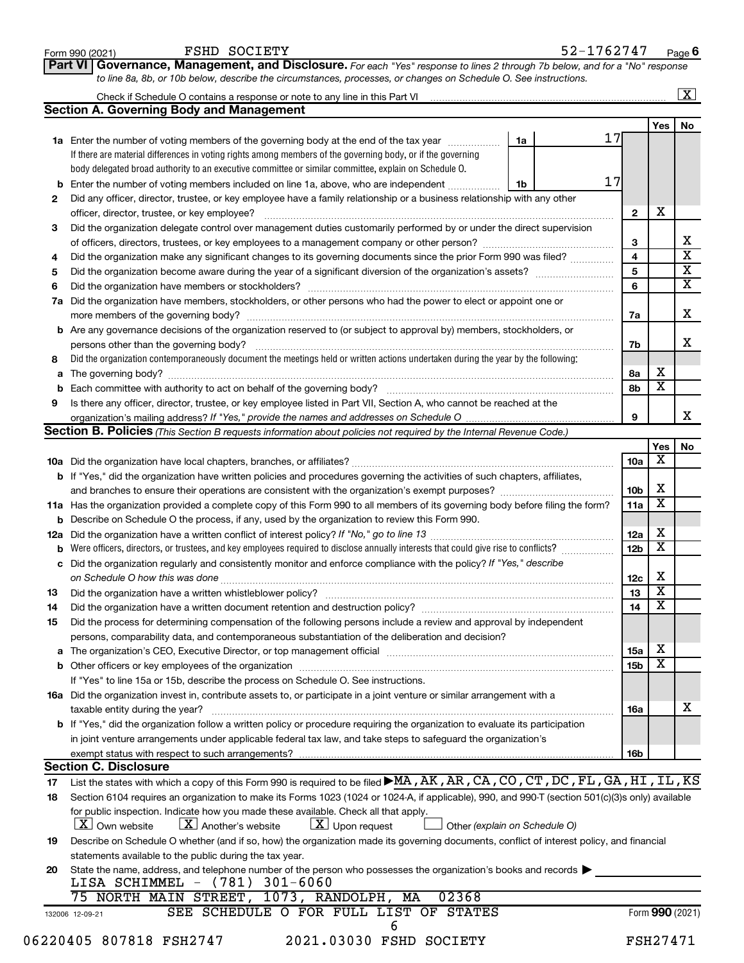| FSHD SOCIETY<br>Form 990 (2021)<br>Governance, Management, and Disclosure. For each "Yes" response to lines 2 through 7b below, and for a "No" response<br>Part VI                                                                 |                             | 52-1762747                    |                 |     | Page 6                  |
|------------------------------------------------------------------------------------------------------------------------------------------------------------------------------------------------------------------------------------|-----------------------------|-------------------------------|-----------------|-----|-------------------------|
| to line 8a, 8b, or 10b below, describe the circumstances, processes, or changes on Schedule O. See instructions.                                                                                                                   |                             |                               |                 |     |                         |
|                                                                                                                                                                                                                                    |                             |                               |                 |     | $\overline{\mathbf{x}}$ |
| <b>Section A. Governing Body and Management</b>                                                                                                                                                                                    |                             |                               |                 |     |                         |
|                                                                                                                                                                                                                                    |                             |                               |                 | Yes | No                      |
| 1a Enter the number of voting members of the governing body at the end of the tax year                                                                                                                                             |                             | 17<br>1a                      |                 |     |                         |
| If there are material differences in voting rights among members of the governing body, or if the governing                                                                                                                        |                             |                               |                 |     |                         |
| body delegated broad authority to an executive committee or similar committee, explain on Schedule O.                                                                                                                              |                             |                               |                 |     |                         |
| Enter the number of voting members included on line 1a, above, who are independent<br>b                                                                                                                                            |                             | 17<br>1b                      |                 |     |                         |
| Did any officer, director, trustee, or key employee have a family relationship or a business relationship with any other<br>2                                                                                                      |                             |                               |                 |     |                         |
|                                                                                                                                                                                                                                    |                             |                               | $\mathbf{2}$    | X   |                         |
| Did the organization delegate control over management duties customarily performed by or under the direct supervision<br>3                                                                                                         |                             |                               |                 |     |                         |
|                                                                                                                                                                                                                                    |                             |                               | 3               |     |                         |
| Did the organization make any significant changes to its governing documents since the prior Form 990 was filed?<br>4                                                                                                              |                             |                               | 4               |     |                         |
| 5                                                                                                                                                                                                                                  |                             |                               | 5               |     |                         |
| 6                                                                                                                                                                                                                                  |                             |                               | 6               |     |                         |
| Did the organization have members, stockholders, or other persons who had the power to elect or appoint one or<br>7a                                                                                                               |                             |                               |                 |     |                         |
|                                                                                                                                                                                                                                    |                             |                               | 7a              |     |                         |
| <b>b</b> Are any governance decisions of the organization reserved to (or subject to approval by) members, stockholders, or                                                                                                        |                             |                               |                 |     |                         |
| persons other than the governing body?                                                                                                                                                                                             |                             |                               | 7b              |     |                         |
| Did the organization contemporaneously document the meetings held or written actions undertaken during the year by the following:<br>8                                                                                             |                             |                               |                 |     |                         |
| a                                                                                                                                                                                                                                  |                             |                               | 8a              | x   |                         |
|                                                                                                                                                                                                                                    |                             |                               | 8b              | X   |                         |
| 9<br>Is there any officer, director, trustee, or key employee listed in Part VII, Section A, who cannot be reached at the                                                                                                          |                             |                               |                 |     |                         |
|                                                                                                                                                                                                                                    |                             |                               | 9               |     |                         |
| Section B. Policies (This Section B requests information about policies not required by the Internal Revenue Code.)                                                                                                                |                             |                               |                 |     |                         |
|                                                                                                                                                                                                                                    |                             |                               |                 | Yes |                         |
|                                                                                                                                                                                                                                    |                             |                               | 10a             | х   |                         |
| <b>b</b> If "Yes," did the organization have written policies and procedures governing the activities of such chapters, affiliates,                                                                                                |                             |                               |                 |     |                         |
|                                                                                                                                                                                                                                    |                             |                               | 10 <sub>b</sub> | х   |                         |
| 11a Has the organization provided a complete copy of this Form 990 to all members of its governing body before filing the form?                                                                                                    |                             |                               | 11a             | х   |                         |
| b Describe on Schedule O the process, if any, used by the organization to review this Form 990.                                                                                                                                    |                             |                               |                 |     |                         |
| 12a                                                                                                                                                                                                                                |                             |                               | 12a             | х   |                         |
| <b>b</b> Were officers, directors, or trustees, and key employees required to disclose annually interests that could give rise to conflicts?                                                                                       |                             |                               | 12 <sub>b</sub> | X   |                         |
| Did the organization regularly and consistently monitor and enforce compliance with the policy? If "Yes," describe<br>c                                                                                                            |                             |                               |                 |     |                         |
|                                                                                                                                                                                                                                    |                             |                               | 12c             | х   |                         |
| Did the organization have a written whistleblower policy?<br>13                                                                                                                                                                    |                             |                               | 13              | x   |                         |
| 14                                                                                                                                                                                                                                 |                             |                               | 14              | х   |                         |
| Did the process for determining compensation of the following persons include a review and approval by independent<br>15                                                                                                           |                             |                               |                 |     |                         |
| persons, comparability data, and contemporaneous substantiation of the deliberation and decision?                                                                                                                                  |                             |                               |                 |     |                         |
| The organization's CEO, Executive Director, or top management official [111] [11] manument content in the organization's CEO, Executive Director, or top management official [11] manument content in the original content of<br>a |                             |                               | 15a             | х   |                         |
|                                                                                                                                                                                                                                    |                             |                               | 15 <sub>b</sub> | х   |                         |
| If "Yes" to line 15a or 15b, describe the process on Schedule O. See instructions.                                                                                                                                                 |                             |                               |                 |     |                         |
| 16a Did the organization invest in, contribute assets to, or participate in a joint venture or similar arrangement with a                                                                                                          |                             |                               |                 |     |                         |
| taxable entity during the year?                                                                                                                                                                                                    |                             |                               | <b>16a</b>      |     |                         |
| b If "Yes," did the organization follow a written policy or procedure requiring the organization to evaluate its participation                                                                                                     |                             |                               |                 |     |                         |
| in joint venture arrangements under applicable federal tax law, and take steps to safeguard the organization's                                                                                                                     |                             |                               |                 |     |                         |
|                                                                                                                                                                                                                                    |                             |                               | 16 <sub>b</sub> |     |                         |
| <b>Section C. Disclosure</b>                                                                                                                                                                                                       |                             |                               |                 |     |                         |
| List the states with which a copy of this Form 990 is required to be filed MA, AK, AR, CA, CO, CT, DC, FL, GA, HI, IL, KS<br>17                                                                                                    |                             |                               |                 |     |                         |
| Section 6104 requires an organization to make its Forms 1023 (1024 or 1024-A, if applicable), 990, and 990-T (section 501(c)(3)s only) available<br>18                                                                             |                             |                               |                 |     |                         |
| for public inspection. Indicate how you made these available. Check all that apply.                                                                                                                                                |                             |                               |                 |     |                         |
| $\lfloor X \rfloor$ Own website<br>$\lfloor X \rfloor$ Another's website                                                                                                                                                           | $ \mathbf{X} $ Upon request | Other (explain on Schedule O) |                 |     |                         |
| Describe on Schedule O whether (and if so, how) the organization made its governing documents, conflict of interest policy, and financial<br>19                                                                                    |                             |                               |                 |     |                         |
| statements available to the public during the tax year.                                                                                                                                                                            |                             |                               |                 |     |                         |
| State the name, address, and telephone number of the person who possesses the organization's books and records<br>20                                                                                                               |                             |                               |                 |     |                         |
| LISA SCHIMMEL - (781) 301-6060                                                                                                                                                                                                     |                             |                               |                 |     |                         |
|                                                                                                                                                                                                                                    | 02368                       |                               |                 |     |                         |
| 75 NORTH MAIN STREET, 1073, RANDOLPH, MA                                                                                                                                                                                           |                             |                               |                 |     |                         |
| SEE SCHEDULE O FOR FULL LIST OF STATES                                                                                                                                                                                             |                             |                               | Form 990 (2021) |     |                         |
| 132006 12-09-21                                                                                                                                                                                                                    | 6                           |                               |                 |     |                         |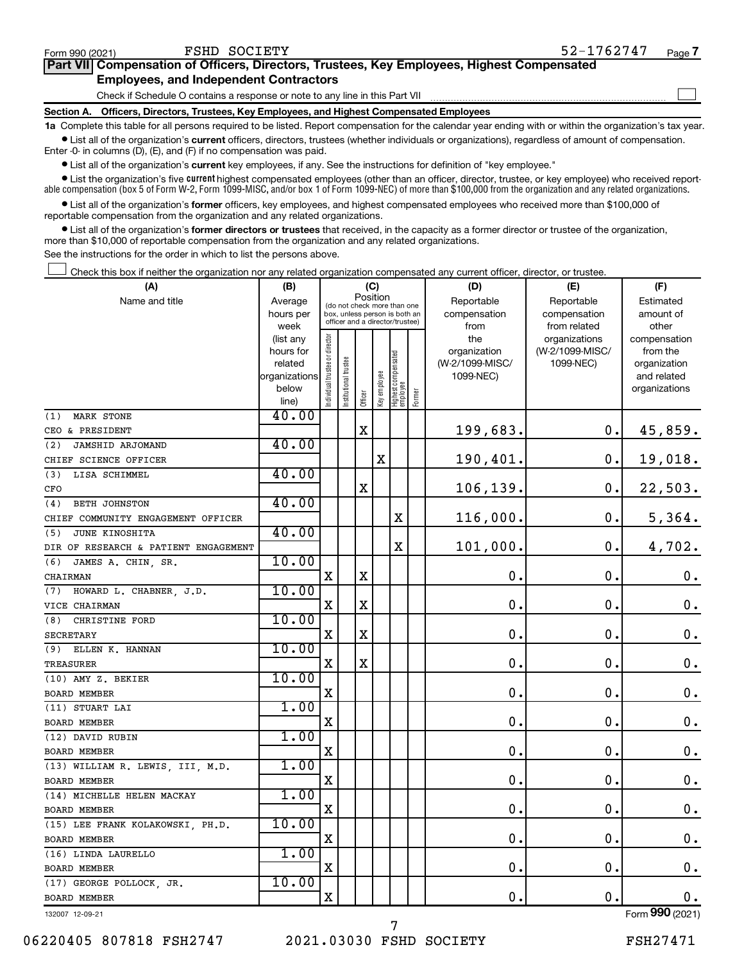| Form 990 (2021)                                                                            | FSHD SOCIETY                                                                               | 52-1762747 | Page 7 |  |  |  |
|--------------------------------------------------------------------------------------------|--------------------------------------------------------------------------------------------|------------|--------|--|--|--|
| Part VII Compensation of Officers, Directors, Trustees, Key Employees, Highest Compensated |                                                                                            |            |        |  |  |  |
|                                                                                            | <b>Employees, and Independent Contractors</b>                                              |            |        |  |  |  |
|                                                                                            | Check if Schedule O contains a response or note to any line in this Part VII               |            |        |  |  |  |
|                                                                                            | Section A. Officers, Directors, Trustees, Key Employees, and Highest Compensated Employees |            |        |  |  |  |

**1a**  Complete this table for all persons required to be listed. Report compensation for the calendar year ending with or within the organization's tax year.  $\bullet$  List all of the organization's current officers, directors, trustees (whether individuals or organizations), regardless of amount of compensation.

Enter -0- in columns (D), (E), and (F) if no compensation was paid.

**•** List all of the organization's **current** key employees, if any. See the instructions for definition of "key employee."

• List the organization's five *current* highest compensated employees (other than an officer, director, trustee, or key employee) who received reportable compensation (box 5 of Form W-2, Form 1099-MISC, and/or box 1 of Form 1099-NEC) of more than \$100,000 from the organization and any related organizations.

 $\bullet$  List all of the organization's former officers, key employees, and highest compensated employees who received more than \$100,000 of reportable compensation from the organization and any related organizations.

**•** List all of the organization's former directors or trustees that received, in the capacity as a former director or trustee of the organization, more than \$10,000 of reportable compensation from the organization and any related organizations.

See the instructions for the order in which to list the persons above.

Check this box if neither the organization nor any related organization compensated any current officer, director, or trustee.  $\Box$ 

| (A)                                  | (B)                  |                                |                                                                  | (C)         |              |                                   |        | (D)                             | (E)                          | (F)                      |
|--------------------------------------|----------------------|--------------------------------|------------------------------------------------------------------|-------------|--------------|-----------------------------------|--------|---------------------------------|------------------------------|--------------------------|
| Name and title                       | Average              |                                | (do not check more than one                                      | Position    |              |                                   |        | Reportable                      | Reportable                   | Estimated                |
|                                      | hours per            |                                | box, unless person is both an<br>officer and a director/trustee) |             |              |                                   |        | compensation                    | compensation                 | amount of                |
|                                      | week                 |                                |                                                                  |             |              |                                   |        | from                            | from related                 | other                    |
|                                      | (list any            |                                |                                                                  |             |              |                                   |        | the                             | organizations                | compensation             |
|                                      | hours for<br>related |                                |                                                                  |             |              |                                   |        | organization<br>(W-2/1099-MISC/ | (W-2/1099-MISC/<br>1099-NEC) | from the<br>organization |
|                                      | organizations        |                                |                                                                  |             |              |                                   |        | 1099-NEC)                       |                              | and related              |
|                                      | below                |                                |                                                                  |             |              |                                   |        |                                 |                              | organizations            |
|                                      | line)                | Individual trustee or director | Institutional trustee                                            | Officer     | Key employee | Highest compensated<br>  employee | Former |                                 |                              |                          |
| <b>MARK STONE</b><br>(1)             | 40.00                |                                |                                                                  |             |              |                                   |        |                                 |                              |                          |
| CEO & PRESIDENT                      |                      |                                |                                                                  | X           |              |                                   |        | 199,683.                        | 0.                           | 45,859.                  |
| JAMSHID ARJOMAND<br>(2)              | 40.00                |                                |                                                                  |             |              |                                   |        |                                 |                              |                          |
| CHIEF SCIENCE OFFICER                |                      |                                |                                                                  |             | $\mathbf X$  |                                   |        | 190,401.                        | $\mathbf 0$ .                | 19,018.                  |
| (3)<br>LISA SCHIMMEL                 | 40.00                |                                |                                                                  |             |              |                                   |        |                                 |                              |                          |
| CFO                                  |                      |                                |                                                                  | X           |              |                                   |        | 106, 139.                       | $\mathbf 0$ .                | 22,503.                  |
| <b>BETH JOHNSTON</b><br>(4)          | 40.00                |                                |                                                                  |             |              |                                   |        |                                 |                              |                          |
| CHIEF COMMUNITY ENGAGEMENT OFFICER   |                      |                                |                                                                  |             |              | X                                 |        | 116,000.                        | $\mathbf 0$ .                | 5,364.                   |
| (5)<br>JUNE KINOSHITA                | 40.00                |                                |                                                                  |             |              |                                   |        |                                 |                              |                          |
| DIR OF RESEARCH & PATIENT ENGAGEMENT |                      |                                |                                                                  |             |              | X                                 |        | 101,000.                        | $\mathbf 0$ .                | 4,702.                   |
| JAMES A. CHIN, SR.<br>(6)            | 10.00                |                                |                                                                  |             |              |                                   |        |                                 |                              |                          |
| CHAIRMAN                             |                      | X                              |                                                                  | $\mathbf X$ |              |                                   |        | 0.                              | $\mathbf 0$ .                | 0.                       |
| HOWARD L. CHABNER, J.D.<br>(7)       | 10.00                |                                |                                                                  |             |              |                                   |        |                                 |                              |                          |
| VICE CHAIRMAN                        |                      | X                              |                                                                  | X           |              |                                   |        | $\mathbf 0$                     | $\mathbf 0$ .                | 0.                       |
| (8)<br>CHRISTINE FORD                | 10.00                |                                |                                                                  |             |              |                                   |        |                                 |                              |                          |
| <b>SECRETARY</b>                     |                      | X                              |                                                                  | X           |              |                                   |        | $\mathbf 0$ .                   | $\mathbf 0$ .                | 0.                       |
| (9)<br>ELLEN K. HANNAN               | 10.00                |                                |                                                                  |             |              |                                   |        |                                 |                              |                          |
| TREASURER                            |                      | X                              |                                                                  | $\mathbf X$ |              |                                   |        | $\mathbf 0$ .                   | $\mathbf 0$ .                | $\mathbf 0$ .            |
| (10) AMY Z. BEKIER                   | 10.00                |                                |                                                                  |             |              |                                   |        |                                 |                              |                          |
| <b>BOARD MEMBER</b>                  |                      | X                              |                                                                  |             |              |                                   |        | $\mathbf 0$ .                   | $\mathbf 0$ .                | $\mathbf 0$ .            |
| (11) STUART LAI                      | 1.00                 |                                |                                                                  |             |              |                                   |        |                                 |                              |                          |
| BOARD MEMBER                         |                      | X                              |                                                                  |             |              |                                   |        | $\mathbf 0$                     | 0.                           | $\mathbf 0$ .            |
| (12) DAVID RUBIN                     | 1.00                 |                                |                                                                  |             |              |                                   |        |                                 |                              |                          |
| <b>BOARD MEMBER</b>                  |                      | X                              |                                                                  |             |              |                                   |        | $\mathbf 0$                     | $\mathbf 0$ .                | $\mathbf 0$ .            |
| (13) WILLIAM R. LEWIS, III, M.D.     | 1.00                 |                                |                                                                  |             |              |                                   |        |                                 |                              |                          |
| <b>BOARD MEMBER</b>                  |                      | X                              |                                                                  |             |              |                                   |        | $\mathbf 0$                     | $\mathbf 0$ .                | $\mathbf 0$ .            |
| (14) MICHELLE HELEN MACKAY           | 1.00                 |                                |                                                                  |             |              |                                   |        |                                 |                              |                          |
| <b>BOARD MEMBER</b>                  |                      | X                              |                                                                  |             |              |                                   |        | $\mathbf 0$ .                   | О.                           | 0.                       |
| (15) LEE FRANK KOLAKOWSKI, PH.D.     | 10.00                |                                |                                                                  |             |              |                                   |        |                                 |                              |                          |
| <b>BOARD MEMBER</b>                  |                      | X                              |                                                                  |             |              |                                   |        | $\mathbf 0$                     | $\mathbf 0$ .                | 0.                       |
| (16) LINDA LAURELLO                  | 1.00                 |                                |                                                                  |             |              |                                   |        |                                 |                              |                          |
| <b>BOARD MEMBER</b>                  |                      | $\mathbf X$                    |                                                                  |             |              |                                   |        | $\mathbf 0$ .                   | $\mathbf 0$ .                | 0.                       |
| (17) GEORGE POLLOCK, JR.             | 10.00                |                                |                                                                  |             |              |                                   |        |                                 |                              |                          |
| <b>BOARD MEMBER</b>                  |                      | X                              |                                                                  |             |              |                                   |        | 0.                              | $\mathbf 0$ .                | 0.                       |
| 132007 12-09-21                      |                      |                                |                                                                  |             |              |                                   |        |                                 |                              | Form 990 (2021)          |

132007 12-09-21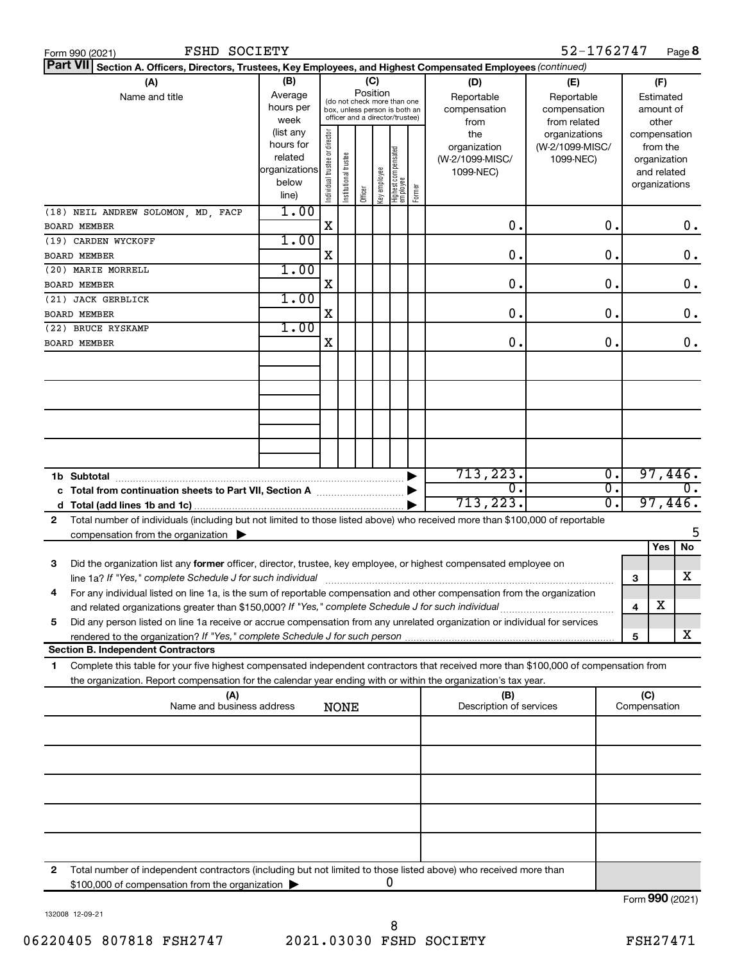|                 | FSHD SOCIETY<br>Form 990 (2021)                                                                                                                                                                                                                        |                                                                      |                                |                       |                                                                                                                    |              |                                         |        |                                                     | 52-1762747                                        |                                        |                                                                          | Page 8  |
|-----------------|--------------------------------------------------------------------------------------------------------------------------------------------------------------------------------------------------------------------------------------------------------|----------------------------------------------------------------------|--------------------------------|-----------------------|--------------------------------------------------------------------------------------------------------------------|--------------|-----------------------------------------|--------|-----------------------------------------------------|---------------------------------------------------|----------------------------------------|--------------------------------------------------------------------------|---------|
| <b>Part VII</b> | Section A. Officers, Directors, Trustees, Key Employees, and Highest Compensated Employees (continued)                                                                                                                                                 |                                                                      |                                |                       |                                                                                                                    |              |                                         |        |                                                     |                                                   |                                        |                                                                          |         |
|                 | (A)<br>Name and title                                                                                                                                                                                                                                  | (B)<br>Average<br>hours per<br>week                                  |                                |                       | (C)<br>Position<br>(do not check more than one<br>box, unless person is both an<br>officer and a director/trustee) |              |                                         |        | (D)<br>Reportable<br>compensation<br>from           | (E)<br>Reportable<br>compensation<br>from related | (F)<br>Estimated<br>amount of<br>other |                                                                          |         |
|                 |                                                                                                                                                                                                                                                        | (list any<br>hours for<br>related<br>organizations<br>below<br>line) | Individual trustee or director | Institutional trustee | Officer                                                                                                            | Key employee | <br>  Highest compensated<br>  employee | Former | the<br>organization<br>(W-2/1099-MISC/<br>1099-NEC) | organizations<br>(W-2/1099-MISC/<br>1099-NEC)     |                                        | compensation<br>from the<br>organization<br>and related<br>organizations |         |
|                 | (18) NEIL ANDREW SOLOMON, MD, FACP<br><b>BOARD MEMBER</b>                                                                                                                                                                                              | 1.00                                                                 | X                              |                       |                                                                                                                    |              |                                         |        | О.                                                  | 0.                                                |                                        |                                                                          | 0.      |
|                 | (19) CARDEN WYCKOFF                                                                                                                                                                                                                                    | 1.00                                                                 |                                |                       |                                                                                                                    |              |                                         |        |                                                     |                                                   |                                        |                                                                          |         |
|                 | <b>BOARD MEMBER</b>                                                                                                                                                                                                                                    |                                                                      | X                              |                       |                                                                                                                    |              |                                         |        | О.                                                  | 0.                                                |                                        |                                                                          | 0.      |
|                 | (20) MARIE MORRELL                                                                                                                                                                                                                                     | 1.00                                                                 |                                |                       |                                                                                                                    |              |                                         |        |                                                     |                                                   |                                        |                                                                          |         |
|                 | <b>BOARD MEMBER</b>                                                                                                                                                                                                                                    |                                                                      | X                              |                       |                                                                                                                    |              |                                         |        | О.                                                  | 0.                                                |                                        |                                                                          | 0.      |
|                 | (21) JACK GERBLICK<br><b>BOARD MEMBER</b>                                                                                                                                                                                                              | 1.00                                                                 | X                              |                       |                                                                                                                    |              |                                         |        | О.                                                  | 0.                                                |                                        |                                                                          | 0.      |
|                 | (22) BRUCE RYSKAMP                                                                                                                                                                                                                                     | 1.00                                                                 |                                |                       |                                                                                                                    |              |                                         |        |                                                     |                                                   |                                        |                                                                          |         |
|                 | <b>BOARD MEMBER</b>                                                                                                                                                                                                                                    |                                                                      | х                              |                       |                                                                                                                    |              |                                         |        | О.                                                  | О.                                                |                                        |                                                                          | 0.      |
|                 |                                                                                                                                                                                                                                                        |                                                                      |                                |                       |                                                                                                                    |              |                                         |        |                                                     |                                                   |                                        |                                                                          |         |
|                 |                                                                                                                                                                                                                                                        |                                                                      |                                |                       |                                                                                                                    |              |                                         |        |                                                     |                                                   |                                        |                                                                          |         |
|                 | 1b Subtotal                                                                                                                                                                                                                                            |                                                                      |                                |                       |                                                                                                                    |              |                                         |        | 713,223.                                            |                                                   | $\overline{0}$ .                       |                                                                          | 97,446. |
|                 | c Total from continuation sheets to Part VII, Section A manufactured by                                                                                                                                                                                |                                                                      |                                |                       |                                                                                                                    |              |                                         |        | 0.                                                  |                                                   | σ.                                     |                                                                          |         |
| d               |                                                                                                                                                                                                                                                        |                                                                      |                                |                       |                                                                                                                    |              |                                         |        | 713,223.                                            |                                                   | σ.                                     |                                                                          | 97,446. |
| 2               | Total number of individuals (including but not limited to those listed above) who received more than \$100,000 of reportable<br>compensation from the organization $\triangleright$                                                                    |                                                                      |                                |                       |                                                                                                                    |              |                                         |        |                                                     |                                                   |                                        |                                                                          | 5       |
|                 |                                                                                                                                                                                                                                                        |                                                                      |                                |                       |                                                                                                                    |              |                                         |        |                                                     |                                                   |                                        | Yes                                                                      | No      |
| З               | Did the organization list any former officer, director, trustee, key employee, or highest compensated employee on<br>line 1a? If "Yes," complete Schedule J for such individual                                                                        |                                                                      |                                |                       |                                                                                                                    |              |                                         |        |                                                     |                                                   |                                        | З                                                                        | х       |
| 4               | For any individual listed on line 1a, is the sum of reportable compensation and other compensation from the organization                                                                                                                               |                                                                      |                                |                       |                                                                                                                    |              |                                         |        |                                                     |                                                   |                                        |                                                                          |         |
| 5               | and related organizations greater than \$150,000? If "Yes," complete Schedule J for such individual<br>Did any person listed on line 1a receive or accrue compensation from any unrelated organization or individual for services                      |                                                                      |                                |                       |                                                                                                                    |              |                                         |        |                                                     |                                                   |                                        | х<br>4                                                                   |         |
|                 |                                                                                                                                                                                                                                                        |                                                                      |                                |                       |                                                                                                                    |              |                                         |        |                                                     |                                                   |                                        | 5                                                                        | x       |
|                 | <b>Section B. Independent Contractors</b>                                                                                                                                                                                                              |                                                                      |                                |                       |                                                                                                                    |              |                                         |        |                                                     |                                                   |                                        |                                                                          |         |
| 1               | Complete this table for your five highest compensated independent contractors that received more than \$100,000 of compensation from<br>the organization. Report compensation for the calendar year ending with or within the organization's tax year. |                                                                      |                                |                       |                                                                                                                    |              |                                         |        |                                                     |                                                   |                                        |                                                                          |         |
|                 | (A)<br>Name and business address                                                                                                                                                                                                                       |                                                                      |                                | <b>NONE</b>           |                                                                                                                    |              |                                         |        | (B)<br>Description of services                      |                                                   |                                        | (C)<br>Compensation                                                      |         |
|                 |                                                                                                                                                                                                                                                        |                                                                      |                                |                       |                                                                                                                    |              |                                         |        |                                                     |                                                   |                                        |                                                                          |         |
|                 |                                                                                                                                                                                                                                                        |                                                                      |                                |                       |                                                                                                                    |              |                                         |        |                                                     |                                                   |                                        |                                                                          |         |
|                 |                                                                                                                                                                                                                                                        |                                                                      |                                |                       |                                                                                                                    |              |                                         |        |                                                     |                                                   |                                        |                                                                          |         |
|                 |                                                                                                                                                                                                                                                        |                                                                      |                                |                       |                                                                                                                    |              |                                         |        |                                                     |                                                   |                                        |                                                                          |         |
|                 |                                                                                                                                                                                                                                                        |                                                                      |                                |                       |                                                                                                                    |              |                                         |        |                                                     |                                                   |                                        |                                                                          |         |
| 2               | Total number of independent contractors (including but not limited to those listed above) who received more than<br>\$100,000 of compensation from the organization >                                                                                  |                                                                      |                                |                       |                                                                                                                    |              | 0                                       |        |                                                     |                                                   |                                        |                                                                          |         |

132008 12-09-21

Form (2021) **990**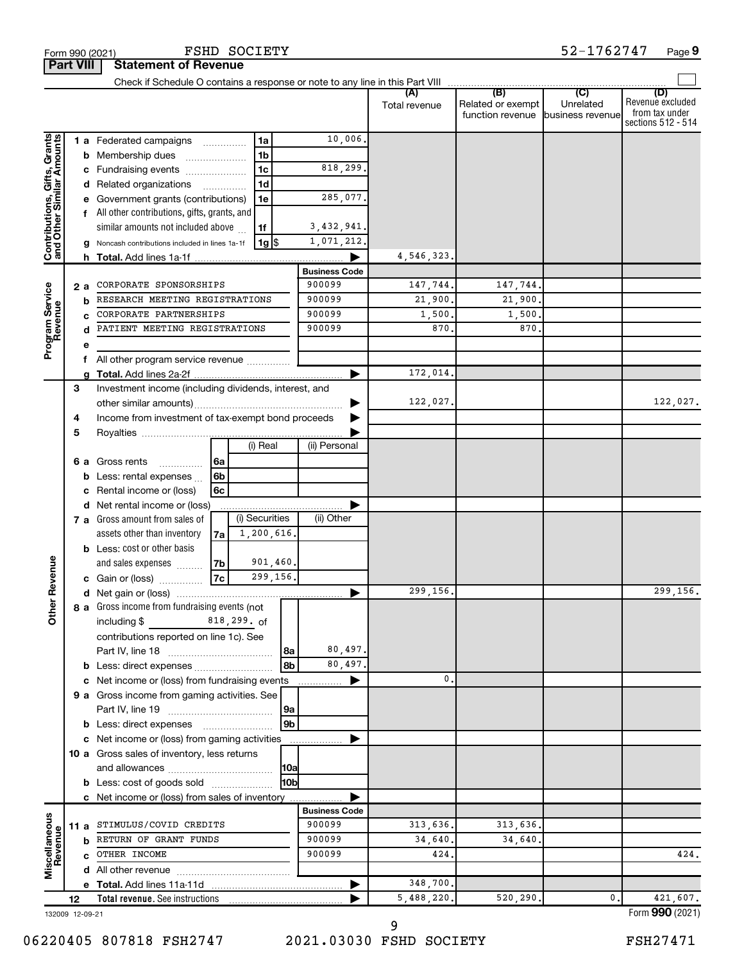|                                                           | <b>Part VIII</b>                                          |    | <b>Statement of Revenue</b>                                     |             |                |                      |               |                                       |                               |                                                                 |
|-----------------------------------------------------------|-----------------------------------------------------------|----|-----------------------------------------------------------------|-------------|----------------|----------------------|---------------|---------------------------------------|-------------------------------|-----------------------------------------------------------------|
|                                                           |                                                           |    |                                                                 |             |                |                      |               |                                       |                               |                                                                 |
|                                                           |                                                           |    |                                                                 |             |                |                      | Total revenue | Related or exempt<br>function revenue | Unrelated<br>business revenue | (D)<br>Revenue excluded<br>from tax under<br>sections 512 - 514 |
|                                                           |                                                           |    | <b>1 a</b> Federated campaigns                                  |             | 1a             | 10,006.              |               |                                       |                               |                                                                 |
|                                                           |                                                           |    | <b>b</b> Membership dues                                        |             | 1 <sub>b</sub> |                      |               |                                       |                               |                                                                 |
|                                                           |                                                           |    | Fundraising events                                              |             | 1c             | 818,299.             |               |                                       |                               |                                                                 |
|                                                           | 1d<br>d Related organizations<br>$\overline{\phantom{a}}$ |    |                                                                 |             |                |                      |               |                                       |                               |                                                                 |
|                                                           |                                                           |    | Government grants (contributions)                               |             | 1e             | 285,077.             |               |                                       |                               |                                                                 |
|                                                           |                                                           |    | f All other contributions, gifts, grants, and                   |             |                |                      |               |                                       |                               |                                                                 |
|                                                           |                                                           |    | similar amounts not included above                              |             | 1f             | 3,432,941.           |               |                                       |                               |                                                                 |
| Contributions, Gifts, Grants<br>and Other Similar Amounts |                                                           |    | Noncash contributions included in lines 1a-1f                   |             | 1g S           | 1,071,212.           |               |                                       |                               |                                                                 |
|                                                           |                                                           | h. |                                                                 |             |                |                      | 4,546,323.    |                                       |                               |                                                                 |
|                                                           |                                                           |    |                                                                 |             |                | <b>Business Code</b> |               |                                       |                               |                                                                 |
|                                                           | 2 a                                                       |    | CORPORATE SPONSORSHIPS                                          |             | 900099         | 147,744.             | 147,744.      |                                       |                               |                                                                 |
|                                                           |                                                           | b  | RESEARCH MEETING REGISTRATIONS                                  |             |                | 900099               | 21,900.       | 21,900.                               |                               |                                                                 |
| Program Service<br>Revenue                                |                                                           | C  | CORPORATE PARTNERSHIPS                                          |             |                | 900099               | 1,500.        | 1,500                                 |                               |                                                                 |
|                                                           |                                                           | d  | PATIENT MEETING REGISTRATIONS                                   |             |                | 900099               | 870           | 870                                   |                               |                                                                 |
|                                                           |                                                           | е  |                                                                 |             |                |                      |               |                                       |                               |                                                                 |
|                                                           |                                                           | f  | All other program service revenue                               |             |                |                      |               |                                       |                               |                                                                 |
|                                                           |                                                           |    |                                                                 |             |                |                      | 172,014.      |                                       |                               |                                                                 |
|                                                           | 3                                                         |    | Investment income (including dividends, interest, and           |             |                |                      |               |                                       |                               |                                                                 |
|                                                           |                                                           |    |                                                                 |             |                |                      | 122,027.      |                                       |                               | 122,027.                                                        |
|                                                           | 4                                                         |    | Income from investment of tax-exempt bond proceeds              |             |                |                      |               |                                       |                               |                                                                 |
|                                                           | 5                                                         |    |                                                                 |             |                |                      |               |                                       |                               |                                                                 |
|                                                           |                                                           |    |                                                                 |             | (i) Real       | (ii) Personal        |               |                                       |                               |                                                                 |
|                                                           |                                                           |    | 6 a Gross rents<br>.                                            | 6a          |                |                      |               |                                       |                               |                                                                 |
|                                                           |                                                           | b  | Less: rental expenses                                           | 6b<br>6c    |                |                      |               |                                       |                               |                                                                 |
|                                                           |                                                           | c  | Rental income or (loss)                                         |             |                |                      |               |                                       |                               |                                                                 |
|                                                           |                                                           |    | d Net rental income or (loss)<br>7 a Gross amount from sales of |             | (i) Securities | (ii) Other           |               |                                       |                               |                                                                 |
|                                                           |                                                           |    | assets other than inventory                                     | 7a          | 1,200,616.     |                      |               |                                       |                               |                                                                 |
|                                                           |                                                           |    | <b>b</b> Less: cost or other basis                              |             |                |                      |               |                                       |                               |                                                                 |
|                                                           |                                                           |    | and sales expenses                                              | 7b          | 901,460.       |                      |               |                                       |                               |                                                                 |
| Revenue                                                   |                                                           |    | c Gain or (loss)                                                | <b>7c</b>   | 299,156.       |                      |               |                                       |                               |                                                                 |
|                                                           |                                                           |    |                                                                 |             |                |                      | 299,156.      |                                       |                               | 299,156.                                                        |
| ৯                                                         |                                                           |    | 8 a Gross income from fundraising events (not                   |             |                |                      |               |                                       |                               |                                                                 |
| $\check{\epsilon}$                                        |                                                           |    | including \$                                                    | 818,299. of |                |                      |               |                                       |                               |                                                                 |
|                                                           |                                                           |    | contributions reported on line 1c). See                         |             |                |                      |               |                                       |                               |                                                                 |
|                                                           |                                                           |    |                                                                 |             | l8a            | 80,497.              |               |                                       |                               |                                                                 |
|                                                           |                                                           |    | <b>b</b> Less: direct expenses                                  |             | 8b             | 80,497.              |               |                                       |                               |                                                                 |
|                                                           |                                                           |    | c Net income or (loss) from fundraising events                  |             |                |                      | 0.            |                                       |                               |                                                                 |
|                                                           |                                                           |    | 9 a Gross income from gaming activities. See                    |             |                |                      |               |                                       |                               |                                                                 |
|                                                           |                                                           |    |                                                                 |             | 9a             |                      |               |                                       |                               |                                                                 |
|                                                           |                                                           |    | <b>b</b> Less: direct expenses <b>manually</b>                  |             | 9 <sub>b</sub> |                      |               |                                       |                               |                                                                 |
|                                                           |                                                           |    | c Net income or (loss) from gaming activities                   |             |                |                      |               |                                       |                               |                                                                 |
|                                                           |                                                           |    | 10 a Gross sales of inventory, less returns                     |             |                |                      |               |                                       |                               |                                                                 |
|                                                           |                                                           |    |                                                                 |             | 10a            |                      |               |                                       |                               |                                                                 |
|                                                           |                                                           |    | <b>b</b> Less: cost of goods sold                               |             | l10bl          |                      |               |                                       |                               |                                                                 |
|                                                           |                                                           |    | c Net income or (loss) from sales of inventory                  |             |                |                      |               |                                       |                               |                                                                 |
|                                                           |                                                           |    |                                                                 |             |                | <b>Business Code</b> |               |                                       |                               |                                                                 |
|                                                           |                                                           |    | 11 a STIMULUS/COVID CREDITS                                     |             |                | 900099               | 313,636.      | 313,636.                              |                               |                                                                 |
|                                                           |                                                           |    | <b>b</b> RETURN OF GRANT FUNDS                                  |             |                | 900099               | 34,640.       | 34,640.                               |                               |                                                                 |
| Miscellaneous<br>Revenue                                  |                                                           |    | C OTHER INCOME                                                  |             |                | 900099               | 424           |                                       |                               | 424.                                                            |
|                                                           |                                                           |    |                                                                 |             |                |                      |               |                                       |                               |                                                                 |
|                                                           |                                                           |    |                                                                 |             |                | ▶                    | 348,700.      |                                       | 0.                            |                                                                 |
| 132009 12-09-21                                           | 12                                                        |    | Total revenue. See instructions                                 |             |                |                      | 5,488,220.    | 520,290.                              |                               | 421,607.<br>Form 990 (2021)                                     |

Form 990 (2021)  $\qquad \qquad$  FSHD SOCIETY  $\qquad \qquad$  52-1762747 Page

132009 12-09-21

**9**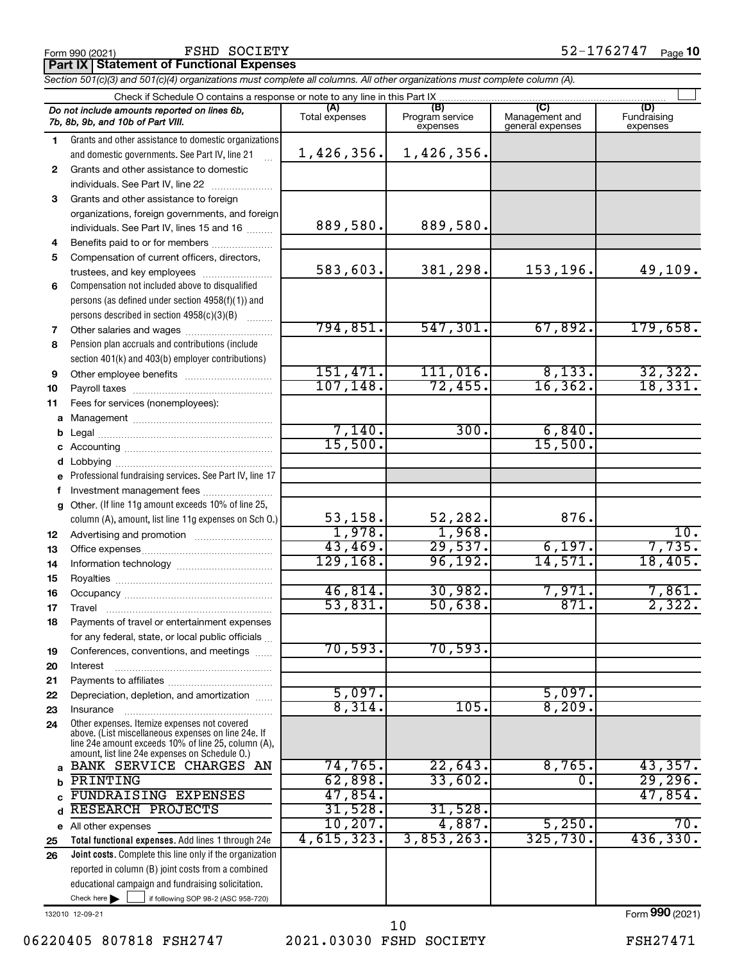### FSHD SOCIETY

**Part IX Statement of Functional Expenses**

*Section 501(c)(3) and 501(c)(4) organizations must complete all columns. All other organizations must complete column (A).*

|              | Check if Schedule O contains a response or note to any line in this Part IX                                |                |                             |                                    |                         |  |  |
|--------------|------------------------------------------------------------------------------------------------------------|----------------|-----------------------------|------------------------------------|-------------------------|--|--|
|              | Do not include amounts reported on lines 6b,                                                               | (A)            | (B)                         | (C)                                | (D)                     |  |  |
|              | 7b, 8b, 9b, and 10b of Part VIII.                                                                          | Total expenses | Program service<br>expenses | Management and<br>general expenses | Fundraising<br>expenses |  |  |
| 1.           | Grants and other assistance to domestic organizations                                                      |                |                             |                                    |                         |  |  |
|              | and domestic governments. See Part IV, line 21                                                             | 1,426,356.     | 1,426,356.                  |                                    |                         |  |  |
| $\mathbf{2}$ | Grants and other assistance to domestic                                                                    |                |                             |                                    |                         |  |  |
|              | individuals. See Part IV, line 22                                                                          |                |                             |                                    |                         |  |  |
| 3            |                                                                                                            |                |                             |                                    |                         |  |  |
|              | Grants and other assistance to foreign                                                                     |                |                             |                                    |                         |  |  |
|              | organizations, foreign governments, and foreign                                                            | 889,580.       | 889,580.                    |                                    |                         |  |  |
|              | individuals. See Part IV, lines 15 and 16                                                                  |                |                             |                                    |                         |  |  |
| 4            | Benefits paid to or for members                                                                            |                |                             |                                    |                         |  |  |
| 5            | Compensation of current officers, directors,                                                               |                |                             |                                    |                         |  |  |
|              | trustees, and key employees                                                                                | 583,603.       | 381,298.                    | 153,196.                           | 49,109.                 |  |  |
| 6            | Compensation not included above to disqualified                                                            |                |                             |                                    |                         |  |  |
|              | persons (as defined under section 4958(f)(1)) and                                                          |                |                             |                                    |                         |  |  |
|              | persons described in section 4958(c)(3)(B)                                                                 |                |                             |                                    |                         |  |  |
| 7            |                                                                                                            | 794,851.       | 547,301.                    | 67,892.                            | 179,658.                |  |  |
| 8            | Pension plan accruals and contributions (include                                                           |                |                             |                                    |                         |  |  |
|              | section 401(k) and 403(b) employer contributions)                                                          |                |                             |                                    |                         |  |  |
| 9            | Other employee benefits                                                                                    | 151,471.       | $111,016$ .                 | 8,133.                             | 32, 322.                |  |  |
| 10           |                                                                                                            | 107, 148.      | 72,455.                     | 16, 362.                           | 18,331.                 |  |  |
| 11           | Fees for services (nonemployees):                                                                          |                |                             |                                    |                         |  |  |
|              |                                                                                                            |                |                             |                                    |                         |  |  |
|              |                                                                                                            | 7,140.         | 300.                        | 6,840.                             |                         |  |  |
|              |                                                                                                            | 15,500.        |                             | 15,500.                            |                         |  |  |
|              |                                                                                                            |                |                             |                                    |                         |  |  |
|              | e Professional fundraising services. See Part IV, line 17                                                  |                |                             |                                    |                         |  |  |
|              | Investment management fees                                                                                 |                |                             |                                    |                         |  |  |
| f            | g Other. (If line 11g amount exceeds 10% of line 25,                                                       |                |                             |                                    |                         |  |  |
|              |                                                                                                            | 53, 158.       | 52,282.                     | 876.                               |                         |  |  |
|              | column (A), amount, list line 11g expenses on Sch O.)                                                      | 1,978.         | 1,968.                      |                                    | 10.                     |  |  |
| 12           |                                                                                                            | 43,469.        | 29,537.                     | 6,197.                             | 7,735.                  |  |  |
| 13           |                                                                                                            | 129, 168.      | 96, 192.                    | 14,571.                            | 18,405.                 |  |  |
| 14           |                                                                                                            |                |                             |                                    |                         |  |  |
| 15           |                                                                                                            |                |                             |                                    |                         |  |  |
| 16           |                                                                                                            | 46,814.        | 30,982.                     | 7,971.                             | 7,861.                  |  |  |
| 17           |                                                                                                            | 53,831.        | 50,638.                     | 871.                               | 2,322.                  |  |  |
| 18           | Payments of travel or entertainment expenses                                                               |                |                             |                                    |                         |  |  |
|              | for any federal, state, or local public officials                                                          |                |                             |                                    |                         |  |  |
| 19           | Conferences, conventions, and meetings                                                                     | 70,593.        | 70,593.                     |                                    |                         |  |  |
| 20           | Interest                                                                                                   |                |                             |                                    |                         |  |  |
| 21           |                                                                                                            |                |                             |                                    |                         |  |  |
| 22           | Depreciation, depletion, and amortization                                                                  | 5,097.         |                             | 5,097.                             |                         |  |  |
| 23           | Insurance                                                                                                  | 8,314.         | 105.                        | 8,209.                             |                         |  |  |
| 24           | Other expenses. Itemize expenses not covered                                                               |                |                             |                                    |                         |  |  |
|              | above. (List miscellaneous expenses on line 24e. If<br>line 24e amount exceeds 10% of line 25, column (A), |                |                             |                                    |                         |  |  |
|              | amount, list line 24e expenses on Schedule O.)                                                             |                |                             |                                    |                         |  |  |
| a            | BANK SERVICE CHARGES AN                                                                                    | 74,765.        | 22,643.                     | 8,765.                             | 43,357.                 |  |  |
| b            | PRINTING                                                                                                   | 62,898.        | 33,602.                     | 0.                                 | 29,296.                 |  |  |
|              | FUNDRAISING EXPENSES                                                                                       | 47,854.        |                             |                                    | 47,854.                 |  |  |
| d            | RESEARCH PROJECTS                                                                                          | 31,528.        | 31,528.                     |                                    |                         |  |  |
|              | e All other expenses                                                                                       | 10, 207.       | 4,887.                      | 5,250.                             | 70.                     |  |  |
| 25           | Total functional expenses. Add lines 1 through 24e                                                         | 4,615,323.     | 3,853,263.                  | 325,730.                           | 436,330.                |  |  |
| 26           | Joint costs. Complete this line only if the organization                                                   |                |                             |                                    |                         |  |  |
|              | reported in column (B) joint costs from a combined                                                         |                |                             |                                    |                         |  |  |
|              | educational campaign and fundraising solicitation.                                                         |                |                             |                                    |                         |  |  |
|              | Check here                                                                                                 |                |                             |                                    |                         |  |  |
|              | if following SOP 98-2 (ASC 958-720)                                                                        |                |                             |                                    |                         |  |  |

132010 12-09-21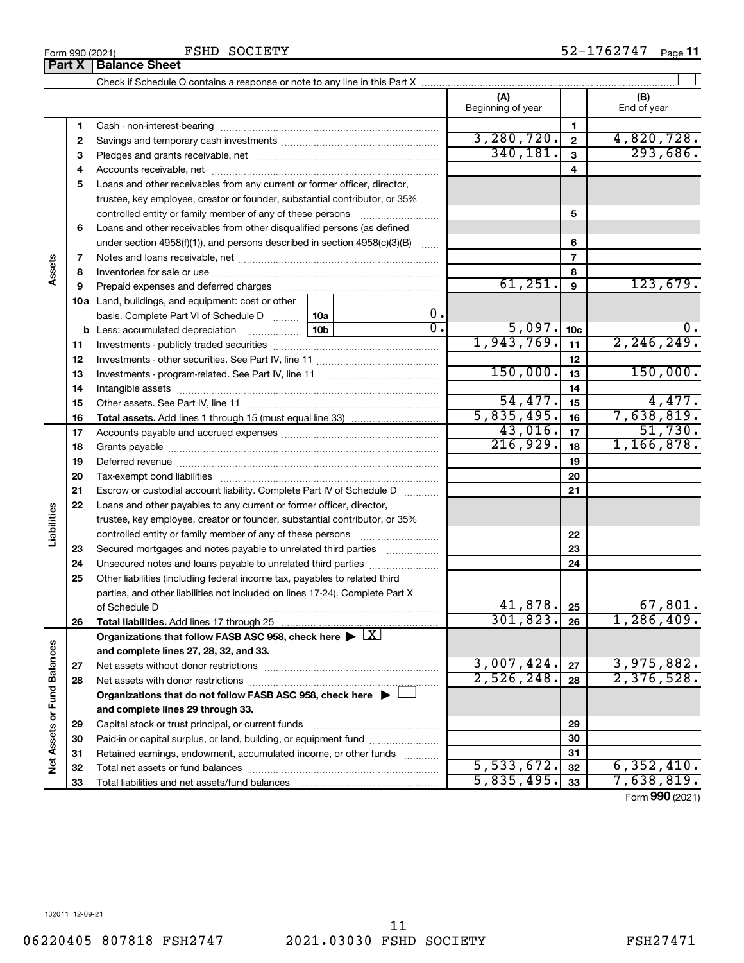FSHD SOCIETY

|                             |    |                                                                                                        |                  |                             |                 | (A)<br>Beginning of year      |                | (B)<br>End of year |
|-----------------------------|----|--------------------------------------------------------------------------------------------------------|------------------|-----------------------------|-----------------|-------------------------------|----------------|--------------------|
|                             | 1  |                                                                                                        |                  |                             |                 |                               | 1              |                    |
|                             | 2  |                                                                                                        |                  |                             |                 | 3,280,720.                    | $\overline{2}$ | 4,820,728.         |
|                             | З  |                                                                                                        |                  |                             |                 | 340,181.                      | 3              | 293,686.           |
|                             | 4  |                                                                                                        |                  |                             |                 |                               | 4              |                    |
|                             | 5  | Loans and other receivables from any current or former officer, director,                              |                  |                             |                 |                               |                |                    |
|                             |    | trustee, key employee, creator or founder, substantial contributor, or 35%                             |                  |                             |                 |                               |                |                    |
|                             |    |                                                                                                        |                  |                             |                 |                               | 5              |                    |
|                             | 6  | Loans and other receivables from other disqualified persons (as defined                                |                  |                             |                 |                               |                |                    |
|                             |    | under section $4958(f)(1)$ , and persons described in section $4958(c)(3)(B)$                          |                  |                             | $\ldots$        |                               | 6              |                    |
|                             | 7  |                                                                                                        |                  |                             |                 |                               | $\overline{7}$ |                    |
| Assets                      | 8  |                                                                                                        |                  |                             |                 |                               | 8              |                    |
|                             | 9  | Prepaid expenses and deferred charges                                                                  |                  |                             |                 | 61,251.                       | 9              | 123,679.           |
|                             |    | 10a Land, buildings, and equipment: cost or other                                                      |                  |                             |                 |                               |                |                    |
|                             |    | basis. Complete Part VI of Schedule D                                                                  | 0.               |                             |                 |                               |                |                    |
|                             |    | <b>b</b> Less: accumulated depreciation                                                                | $\overline{0}$ . | $\frac{5,097.}{1,943,769.}$ | 10 <sub>c</sub> | $\mathbf 0$ .<br>2, 246, 249. |                |                    |
|                             | 11 |                                                                                                        |                  |                             | 11              |                               |                |                    |
|                             | 12 |                                                                                                        |                  | 150,000.                    | 12              | 150,000.                      |                |                    |
|                             | 13 |                                                                                                        |                  |                             | 13              |                               |                |                    |
|                             | 14 |                                                                                                        |                  |                             |                 | 54,477.                       | 14             | 4,477.             |
|                             | 15 |                                                                                                        |                  | 5,835,495.                  | 15              | 7,638,819.                    |                |                    |
|                             | 16 |                                                                                                        |                  |                             |                 | 43,016.                       | 16             | 51,730.            |
|                             | 17 |                                                                                                        |                  |                             |                 | 216,929.                      | 17             | 1, 166, 878.       |
|                             | 18 |                                                                                                        |                  |                             | 18              |                               |                |                    |
|                             | 19 |                                                                                                        |                  |                             |                 |                               | 19             |                    |
|                             | 20 |                                                                                                        |                  |                             |                 |                               | 20             |                    |
|                             | 21 | Escrow or custodial account liability. Complete Part IV of Schedule D                                  |                  |                             |                 |                               | 21             |                    |
| Liabilities                 | 22 | Loans and other payables to any current or former officer, director,                                   |                  |                             |                 |                               |                |                    |
|                             |    | trustee, key employee, creator or founder, substantial contributor, or 35%                             |                  |                             |                 |                               | 22             |                    |
|                             | 23 | Secured mortgages and notes payable to unrelated third parties                                         |                  |                             |                 |                               | 23             |                    |
|                             | 24 | Unsecured notes and loans payable to unrelated third parties                                           |                  |                             |                 |                               | 24             |                    |
|                             | 25 | Other liabilities (including federal income tax, payables to related third                             |                  |                             |                 |                               |                |                    |
|                             |    | parties, and other liabilities not included on lines 17-24). Complete Part X                           |                  |                             |                 |                               |                |                    |
|                             |    | of Schedule D                                                                                          |                  |                             |                 | 41,878.                       | 25             | 67,801.            |
|                             | 26 |                                                                                                        |                  |                             |                 | $301, 823.$ 26                |                | 1,286,409.         |
|                             |    | Organizations that follow FASB ASC 958, check here $\blacktriangleright \lfloor \underline{X} \rfloor$ |                  |                             |                 |                               |                |                    |
|                             |    | and complete lines 27, 28, 32, and 33.                                                                 |                  |                             |                 |                               |                |                    |
|                             | 27 |                                                                                                        |                  |                             |                 | 3,007,424.                    | 27             | 3,975,882.         |
|                             | 28 |                                                                                                        |                  |                             |                 | 2,526,248.                    | 28             | 2,376,528.         |
|                             |    | Organizations that do not follow FASB ASC 958, check here $\blacktriangleright$                        |                  |                             |                 |                               |                |                    |
|                             |    | and complete lines 29 through 33.                                                                      |                  |                             |                 |                               |                |                    |
|                             | 29 |                                                                                                        |                  |                             |                 |                               | 29             |                    |
| Net Assets or Fund Balances | 30 | Paid-in or capital surplus, or land, building, or equipment fund                                       |                  |                             |                 |                               | 30             |                    |
|                             | 31 | Retained earnings, endowment, accumulated income, or other funds                                       |                  |                             |                 |                               | 31             |                    |
|                             | 32 |                                                                                                        |                  |                             |                 | 5,533,672.                    | 32             | 6, 352, 410.       |
|                             |    |                                                                                                        |                  |                             |                 | 5,835,495.                    |                | 7,638,819.         |

Form (2021) **990**

132011 12-09-21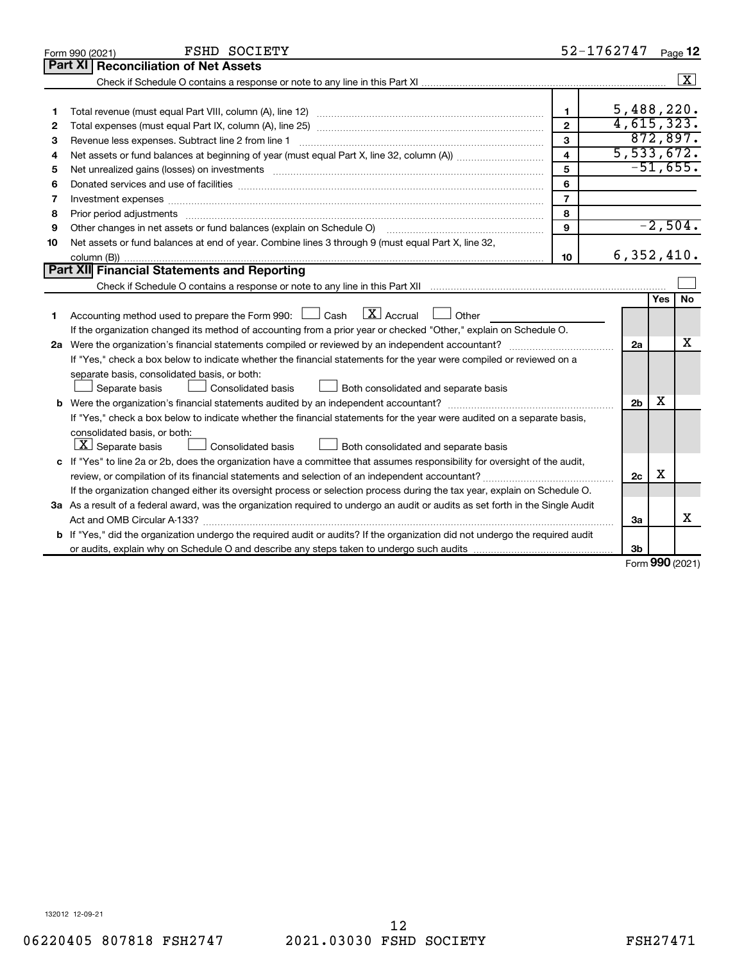| Part XI<br><b>Reconciliation of Net Assets</b><br>5,488,220.<br>$\mathbf{1}$<br>1<br>4,615,323.<br>$\overline{2}$<br>2<br>872,897.<br>$\mathbf{3}$<br>Revenue less expenses. Subtract line 2 from line 1<br>З<br>5,533,672.<br>$\overline{\mathbf{4}}$<br>4<br>$-51,655.$<br>5<br>5<br>6<br>6<br>$\overline{7}$<br>Investment expenses www.communication.com/www.communication.com/www.communication.com/www.com<br>7 | Page 12                 |
|-----------------------------------------------------------------------------------------------------------------------------------------------------------------------------------------------------------------------------------------------------------------------------------------------------------------------------------------------------------------------------------------------------------------------|-------------------------|
|                                                                                                                                                                                                                                                                                                                                                                                                                       |                         |
|                                                                                                                                                                                                                                                                                                                                                                                                                       | $\overline{\mathbf{x}}$ |
|                                                                                                                                                                                                                                                                                                                                                                                                                       |                         |
|                                                                                                                                                                                                                                                                                                                                                                                                                       |                         |
|                                                                                                                                                                                                                                                                                                                                                                                                                       |                         |
|                                                                                                                                                                                                                                                                                                                                                                                                                       |                         |
|                                                                                                                                                                                                                                                                                                                                                                                                                       |                         |
|                                                                                                                                                                                                                                                                                                                                                                                                                       |                         |
|                                                                                                                                                                                                                                                                                                                                                                                                                       |                         |
|                                                                                                                                                                                                                                                                                                                                                                                                                       |                         |
| 8<br>8                                                                                                                                                                                                                                                                                                                                                                                                                |                         |
| $-2,504.$<br>9<br>Other changes in net assets or fund balances (explain on Schedule O) manual contraction control of the changes in net assets or fund balances (explain on Schedule O)<br>9                                                                                                                                                                                                                          |                         |
| Net assets or fund balances at end of year. Combine lines 3 through 9 (must equal Part X, line 32,<br>10                                                                                                                                                                                                                                                                                                              |                         |
| 6,352,410.<br>10                                                                                                                                                                                                                                                                                                                                                                                                      |                         |
| <b>Part XII</b> Financial Statements and Reporting                                                                                                                                                                                                                                                                                                                                                                    |                         |
|                                                                                                                                                                                                                                                                                                                                                                                                                       |                         |
| <b>Yes</b>                                                                                                                                                                                                                                                                                                                                                                                                            | <b>No</b>               |
| $\mathbf{X}$ Accrual<br>Accounting method used to prepare the Form 990: [130] Cash<br><b>Durier</b><br>1                                                                                                                                                                                                                                                                                                              |                         |
| If the organization changed its method of accounting from a prior year or checked "Other," explain on Schedule O.                                                                                                                                                                                                                                                                                                     |                         |
| 2a                                                                                                                                                                                                                                                                                                                                                                                                                    | х                       |
| If "Yes," check a box below to indicate whether the financial statements for the year were compiled or reviewed on a                                                                                                                                                                                                                                                                                                  |                         |
| separate basis, consolidated basis, or both:                                                                                                                                                                                                                                                                                                                                                                          |                         |
| Both consolidated and separate basis<br>Separate basis<br>Consolidated basis                                                                                                                                                                                                                                                                                                                                          |                         |
| х<br>2 <sub>b</sub><br>b                                                                                                                                                                                                                                                                                                                                                                                              |                         |
| If "Yes," check a box below to indicate whether the financial statements for the year were audited on a separate basis,                                                                                                                                                                                                                                                                                               |                         |
| consolidated basis, or both:                                                                                                                                                                                                                                                                                                                                                                                          |                         |
| $ \mathbf{X} $ Separate basis<br>Consolidated basis<br>Both consolidated and separate basis                                                                                                                                                                                                                                                                                                                           |                         |
| c If "Yes" to line 2a or 2b, does the organization have a committee that assumes responsibility for oversight of the audit,                                                                                                                                                                                                                                                                                           |                         |
| X<br>2c<br>review, or compilation of its financial statements and selection of an independent accountant?                                                                                                                                                                                                                                                                                                             |                         |
| If the organization changed either its oversight process or selection process during the tax year, explain on Schedule O.                                                                                                                                                                                                                                                                                             |                         |
| 3a As a result of a federal award, was the organization required to undergo an audit or audits as set forth in the Single Audit                                                                                                                                                                                                                                                                                       |                         |
| За                                                                                                                                                                                                                                                                                                                                                                                                                    | x                       |
| b If "Yes," did the organization undergo the required audit or audits? If the organization did not undergo the required audit                                                                                                                                                                                                                                                                                         |                         |
| 3b<br>$\mathbf{on}$                                                                                                                                                                                                                                                                                                                                                                                                   |                         |

Form (2021) **990**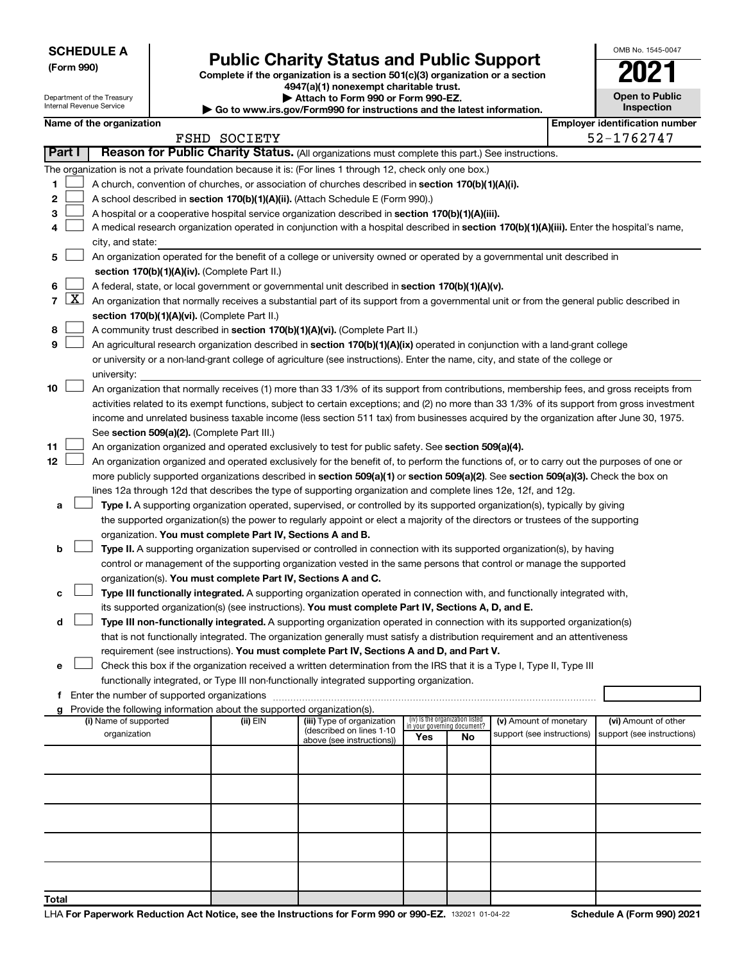| <b>SCHEDULE A</b> |
|-------------------|
|-------------------|

Department of the Treasury Internal Revenue Service

# Form 990)<br> **Complete if the organization is a section 501(c)(3) organization or a section**<br> **Public Charity Status and Public Support**

**4947(a)(1) nonexempt charitable trust. | Attach to Form 990 or Form 990-EZ.** 

**| Go to www.irs.gov/Form990 for instructions and the latest information.**

|   | OMB No. 1545-0047                   |
|---|-------------------------------------|
|   | U                                   |
|   | <b>Open to Public</b><br>Inspection |
| ٦ | entification nu                     |

|               | Name of the organization |                                                                                                                                                                                                                                                                 |              |                                                       |                                 |                                   | <b>Employer identification number</b> |  |                            |
|---------------|--------------------------|-----------------------------------------------------------------------------------------------------------------------------------------------------------------------------------------------------------------------------------------------------------------|--------------|-------------------------------------------------------|---------------------------------|-----------------------------------|---------------------------------------|--|----------------------------|
|               |                          |                                                                                                                                                                                                                                                                 | FSHD SOCIETY |                                                       |                                 |                                   |                                       |  | 52-1762747                 |
| <b>Part I</b> |                          | Reason for Public Charity Status. (All organizations must complete this part.) See instructions.                                                                                                                                                                |              |                                                       |                                 |                                   |                                       |  |                            |
|               |                          | The organization is not a private foundation because it is: (For lines 1 through 12, check only one box.)                                                                                                                                                       |              |                                                       |                                 |                                   |                                       |  |                            |
| 1.            |                          | A church, convention of churches, or association of churches described in <b>section 170(b)(1)(A)(i).</b>                                                                                                                                                       |              |                                                       |                                 |                                   |                                       |  |                            |
| 2             |                          | A school described in section 170(b)(1)(A)(ii). (Attach Schedule E (Form 990).)                                                                                                                                                                                 |              |                                                       |                                 |                                   |                                       |  |                            |
| З             |                          | A hospital or a cooperative hospital service organization described in section 170(b)(1)(A)(iii).                                                                                                                                                               |              |                                                       |                                 |                                   |                                       |  |                            |
| 4             |                          | A medical research organization operated in conjunction with a hospital described in section 170(b)(1)(A)(iii). Enter the hospital's name,                                                                                                                      |              |                                                       |                                 |                                   |                                       |  |                            |
|               |                          | city, and state:                                                                                                                                                                                                                                                |              |                                                       |                                 |                                   |                                       |  |                            |
| 5             |                          | An organization operated for the benefit of a college or university owned or operated by a governmental unit described in                                                                                                                                       |              |                                                       |                                 |                                   |                                       |  |                            |
|               |                          | section 170(b)(1)(A)(iv). (Complete Part II.)                                                                                                                                                                                                                   |              |                                                       |                                 |                                   |                                       |  |                            |
| 6             |                          | A federal, state, or local government or governmental unit described in section 170(b)(1)(A)(v).                                                                                                                                                                |              |                                                       |                                 |                                   |                                       |  |                            |
| 7             | <u>x  </u>               | An organization that normally receives a substantial part of its support from a governmental unit or from the general public described in                                                                                                                       |              |                                                       |                                 |                                   |                                       |  |                            |
|               |                          | section 170(b)(1)(A)(vi). (Complete Part II.)                                                                                                                                                                                                                   |              |                                                       |                                 |                                   |                                       |  |                            |
| 8             |                          | A community trust described in section 170(b)(1)(A)(vi). (Complete Part II.)                                                                                                                                                                                    |              |                                                       |                                 |                                   |                                       |  |                            |
| 9             |                          | An agricultural research organization described in section 170(b)(1)(A)(ix) operated in conjunction with a land-grant college<br>or university or a non-land-grant college of agriculture (see instructions). Enter the name, city, and state of the college or |              |                                                       |                                 |                                   |                                       |  |                            |
|               |                          | university:                                                                                                                                                                                                                                                     |              |                                                       |                                 |                                   |                                       |  |                            |
| 10            |                          | An organization that normally receives (1) more than 33 1/3% of its support from contributions, membership fees, and gross receipts from                                                                                                                        |              |                                                       |                                 |                                   |                                       |  |                            |
|               |                          | activities related to its exempt functions, subject to certain exceptions; and (2) no more than 33 1/3% of its support from gross investment                                                                                                                    |              |                                                       |                                 |                                   |                                       |  |                            |
|               |                          | income and unrelated business taxable income (less section 511 tax) from businesses acquired by the organization after June 30, 1975.                                                                                                                           |              |                                                       |                                 |                                   |                                       |  |                            |
|               |                          | See section 509(a)(2). (Complete Part III.)                                                                                                                                                                                                                     |              |                                                       |                                 |                                   |                                       |  |                            |
| 11            |                          | An organization organized and operated exclusively to test for public safety. See section 509(a)(4).                                                                                                                                                            |              |                                                       |                                 |                                   |                                       |  |                            |
| 12            |                          | An organization organized and operated exclusively for the benefit of, to perform the functions of, or to carry out the purposes of one or                                                                                                                      |              |                                                       |                                 |                                   |                                       |  |                            |
|               |                          | more publicly supported organizations described in section 509(a)(1) or section 509(a)(2). See section 509(a)(3). Check the box on                                                                                                                              |              |                                                       |                                 |                                   |                                       |  |                            |
|               |                          | lines 12a through 12d that describes the type of supporting organization and complete lines 12e, 12f, and 12g.                                                                                                                                                  |              |                                                       |                                 |                                   |                                       |  |                            |
| a             |                          | Type I. A supporting organization operated, supervised, or controlled by its supported organization(s), typically by giving                                                                                                                                     |              |                                                       |                                 |                                   |                                       |  |                            |
|               |                          | the supported organization(s) the power to regularly appoint or elect a majority of the directors or trustees of the supporting                                                                                                                                 |              |                                                       |                                 |                                   |                                       |  |                            |
|               |                          | organization. You must complete Part IV, Sections A and B.                                                                                                                                                                                                      |              |                                                       |                                 |                                   |                                       |  |                            |
| b             |                          | Type II. A supporting organization supervised or controlled in connection with its supported organization(s), by having                                                                                                                                         |              |                                                       |                                 |                                   |                                       |  |                            |
|               |                          | control or management of the supporting organization vested in the same persons that control or manage the supported                                                                                                                                            |              |                                                       |                                 |                                   |                                       |  |                            |
|               |                          | organization(s). You must complete Part IV, Sections A and C.                                                                                                                                                                                                   |              |                                                       |                                 |                                   |                                       |  |                            |
|               |                          | Type III functionally integrated. A supporting organization operated in connection with, and functionally integrated with,                                                                                                                                      |              |                                                       |                                 |                                   |                                       |  |                            |
|               |                          | its supported organization(s) (see instructions). You must complete Part IV, Sections A, D, and E.                                                                                                                                                              |              |                                                       |                                 |                                   |                                       |  |                            |
| d             |                          | Type III non-functionally integrated. A supporting organization operated in connection with its supported organization(s)                                                                                                                                       |              |                                                       |                                 |                                   |                                       |  |                            |
|               |                          | that is not functionally integrated. The organization generally must satisfy a distribution requirement and an attentiveness                                                                                                                                    |              |                                                       |                                 |                                   |                                       |  |                            |
|               |                          | requirement (see instructions). You must complete Part IV, Sections A and D, and Part V.                                                                                                                                                                        |              |                                                       |                                 |                                   |                                       |  |                            |
| е             |                          | Check this box if the organization received a written determination from the IRS that it is a Type I, Type II, Type III                                                                                                                                         |              |                                                       |                                 |                                   |                                       |  |                            |
|               |                          | functionally integrated, or Type III non-functionally integrated supporting organization.                                                                                                                                                                       |              |                                                       |                                 |                                   |                                       |  |                            |
|               |                          | Provide the following information about the supported organization(s).                                                                                                                                                                                          |              |                                                       |                                 |                                   |                                       |  |                            |
| g             |                          | (i) Name of supported                                                                                                                                                                                                                                           | (ii) EIN     | (iii) Type of organization                            | (iv) Is the organization listed |                                   | (v) Amount of monetary                |  | (vi) Amount of other       |
|               |                          | organization                                                                                                                                                                                                                                                    |              | (described on lines 1-10<br>above (see instructions)) | Yes                             | in your governing document?<br>No | support (see instructions)            |  | support (see instructions) |
|               |                          |                                                                                                                                                                                                                                                                 |              |                                                       |                                 |                                   |                                       |  |                            |
|               |                          |                                                                                                                                                                                                                                                                 |              |                                                       |                                 |                                   |                                       |  |                            |
|               |                          |                                                                                                                                                                                                                                                                 |              |                                                       |                                 |                                   |                                       |  |                            |
|               |                          |                                                                                                                                                                                                                                                                 |              |                                                       |                                 |                                   |                                       |  |                            |
|               |                          |                                                                                                                                                                                                                                                                 |              |                                                       |                                 |                                   |                                       |  |                            |
|               |                          |                                                                                                                                                                                                                                                                 |              |                                                       |                                 |                                   |                                       |  |                            |
|               |                          |                                                                                                                                                                                                                                                                 |              |                                                       |                                 |                                   |                                       |  |                            |
|               |                          |                                                                                                                                                                                                                                                                 |              |                                                       |                                 |                                   |                                       |  |                            |
|               |                          |                                                                                                                                                                                                                                                                 |              |                                                       |                                 |                                   |                                       |  |                            |
|               |                          |                                                                                                                                                                                                                                                                 |              |                                                       |                                 |                                   |                                       |  |                            |
| Total         |                          |                                                                                                                                                                                                                                                                 |              |                                                       |                                 |                                   |                                       |  |                            |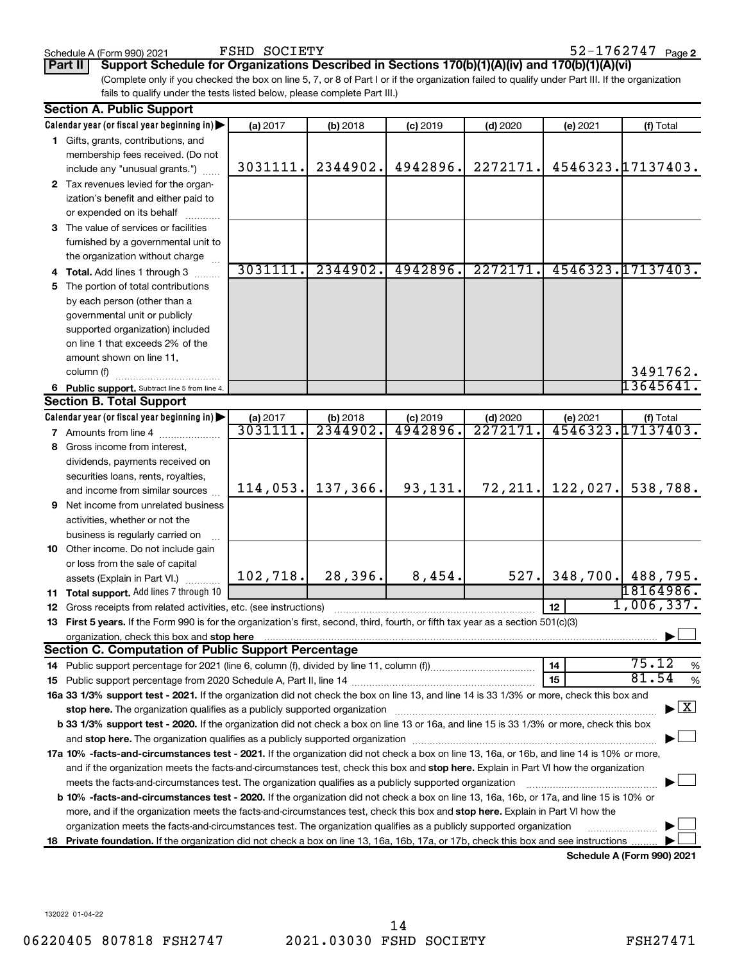FSHD SOCIETY

**Part II Support Schedule for Organizations Described in Sections 170(b)(1)(A)(iv) and 170(b)(1)(A)(vi)**

(Complete only if you checked the box on line 5, 7, or 8 of Part I or if the organization failed to qualify under Part III. If the organization fails to qualify under the tests listed below, please complete Part III.)

| <b>Section A. Public Support</b>                                                                                                                                                                                               |          |          |            |            |          |                                    |
|--------------------------------------------------------------------------------------------------------------------------------------------------------------------------------------------------------------------------------|----------|----------|------------|------------|----------|------------------------------------|
| Calendar year (or fiscal year beginning in)                                                                                                                                                                                    | (a) 2017 | (b) 2018 | $(c)$ 2019 | $(d)$ 2020 | (e) 2021 | (f) Total                          |
| 1 Gifts, grants, contributions, and                                                                                                                                                                                            |          |          |            |            |          |                                    |
| membership fees received. (Do not                                                                                                                                                                                              |          |          |            |            |          |                                    |
| include any "unusual grants.")                                                                                                                                                                                                 | 3031111. | 2344902. | 4942896.   | 2272171.   |          | 4546323.17137403.                  |
| 2 Tax revenues levied for the organ-                                                                                                                                                                                           |          |          |            |            |          |                                    |
| ization's benefit and either paid to                                                                                                                                                                                           |          |          |            |            |          |                                    |
| or expended on its behalf                                                                                                                                                                                                      |          |          |            |            |          |                                    |
| 3 The value of services or facilities                                                                                                                                                                                          |          |          |            |            |          |                                    |
| furnished by a governmental unit to                                                                                                                                                                                            |          |          |            |            |          |                                    |
| the organization without charge                                                                                                                                                                                                |          |          |            |            |          |                                    |
| 4 Total. Add lines 1 through 3                                                                                                                                                                                                 | 3031111  | 2344902. | 4942896.   | 2272171    |          | 4546323.17137403.                  |
| 5 The portion of total contributions                                                                                                                                                                                           |          |          |            |            |          |                                    |
| by each person (other than a                                                                                                                                                                                                   |          |          |            |            |          |                                    |
| governmental unit or publicly                                                                                                                                                                                                  |          |          |            |            |          |                                    |
| supported organization) included                                                                                                                                                                                               |          |          |            |            |          |                                    |
| on line 1 that exceeds 2% of the                                                                                                                                                                                               |          |          |            |            |          |                                    |
| amount shown on line 11,                                                                                                                                                                                                       |          |          |            |            |          |                                    |
| column (f)                                                                                                                                                                                                                     |          |          |            |            |          | 3491762.                           |
| 6 Public support. Subtract line 5 from line 4.                                                                                                                                                                                 |          |          |            |            |          | 13645641.                          |
| <b>Section B. Total Support</b>                                                                                                                                                                                                |          |          |            |            |          |                                    |
| Calendar year (or fiscal year beginning in)                                                                                                                                                                                    | (a) 2017 | (b) 2018 | $(c)$ 2019 | $(d)$ 2020 | (e) 2021 | (f) Total                          |
| 7 Amounts from line 4                                                                                                                                                                                                          | 3031111  | 2344902. | 4942896    | 2272171    |          | 4546323.17137403.                  |
| 8 Gross income from interest,                                                                                                                                                                                                  |          |          |            |            |          |                                    |
| dividends, payments received on                                                                                                                                                                                                |          |          |            |            |          |                                    |
| securities loans, rents, royalties,                                                                                                                                                                                            |          |          |            |            |          |                                    |
| and income from similar sources                                                                                                                                                                                                | 114,053. | 137,366. | 93,131.    | 72,211.    | 122,027. | 538,788.                           |
| <b>9</b> Net income from unrelated business                                                                                                                                                                                    |          |          |            |            |          |                                    |
| activities, whether or not the                                                                                                                                                                                                 |          |          |            |            |          |                                    |
| business is regularly carried on                                                                                                                                                                                               |          |          |            |            |          |                                    |
| 10 Other income. Do not include gain                                                                                                                                                                                           |          |          |            |            |          |                                    |
| or loss from the sale of capital                                                                                                                                                                                               |          |          |            |            |          |                                    |
| assets (Explain in Part VI.)                                                                                                                                                                                                   | 102,718. | 28,396.  | 8,454.     | 527.       |          | 348,700. 488,795.                  |
| <b>11 Total support.</b> Add lines 7 through 10                                                                                                                                                                                |          |          |            |            |          | 18164986.                          |
| <b>12</b> Gross receipts from related activities, etc. (see instructions)                                                                                                                                                      |          |          |            |            | 12       | 1,006,337.                         |
| 13 First 5 years. If the Form 990 is for the organization's first, second, third, fourth, or fifth tax year as a section 501(c)(3)                                                                                             |          |          |            |            |          |                                    |
| organization, check this box and stop here                                                                                                                                                                                     |          |          |            |            |          |                                    |
| <b>Section C. Computation of Public Support Percentage</b>                                                                                                                                                                     |          |          |            |            |          |                                    |
|                                                                                                                                                                                                                                |          |          |            |            | 14       | 75.12<br>%                         |
|                                                                                                                                                                                                                                |          |          |            |            | 15       | 81.54<br>%                         |
| 16a 33 1/3% support test - 2021. If the organization did not check the box on line 13, and line 14 is 33 1/3% or more, check this box and                                                                                      |          |          |            |            |          |                                    |
| stop here. The organization qualifies as a publicly supported organization manufaction manufacture or the organization manufacture or the organization manufacture or the organization manufacture or the state of the state o |          |          |            |            |          | $\blacktriangleright$ $\mathbf{X}$ |
| b 33 1/3% support test - 2020. If the organization did not check a box on line 13 or 16a, and line 15 is 33 1/3% or more, check this box                                                                                       |          |          |            |            |          |                                    |
|                                                                                                                                                                                                                                |          |          |            |            |          |                                    |
| 17a 10% -facts-and-circumstances test - 2021. If the organization did not check a box on line 13, 16a, or 16b, and line 14 is 10% or more,                                                                                     |          |          |            |            |          |                                    |
| and if the organization meets the facts-and-circumstances test, check this box and stop here. Explain in Part VI how the organization                                                                                          |          |          |            |            |          |                                    |
| meets the facts-and-circumstances test. The organization qualifies as a publicly supported organization                                                                                                                        |          |          |            |            |          |                                    |
| <b>b 10%</b> -facts-and-circumstances test - 2020. If the organization did not check a box on line 13, 16a, 16b, or 17a, and line 15 is 10% or                                                                                 |          |          |            |            |          |                                    |
| more, and if the organization meets the facts-and-circumstances test, check this box and stop here. Explain in Part VI how the                                                                                                 |          |          |            |            |          |                                    |
| organization meets the facts-and-circumstances test. The organization qualifies as a publicly supported organization                                                                                                           |          |          |            |            |          |                                    |
| 18 Private foundation. If the organization did not check a box on line 13, 16a, 16b, 17a, or 17b, check this box and see instructions                                                                                          |          |          |            |            |          |                                    |
|                                                                                                                                                                                                                                |          |          |            |            |          | Schedule A (Form 990) 2021         |

**Schedule A (Form 990) 2021**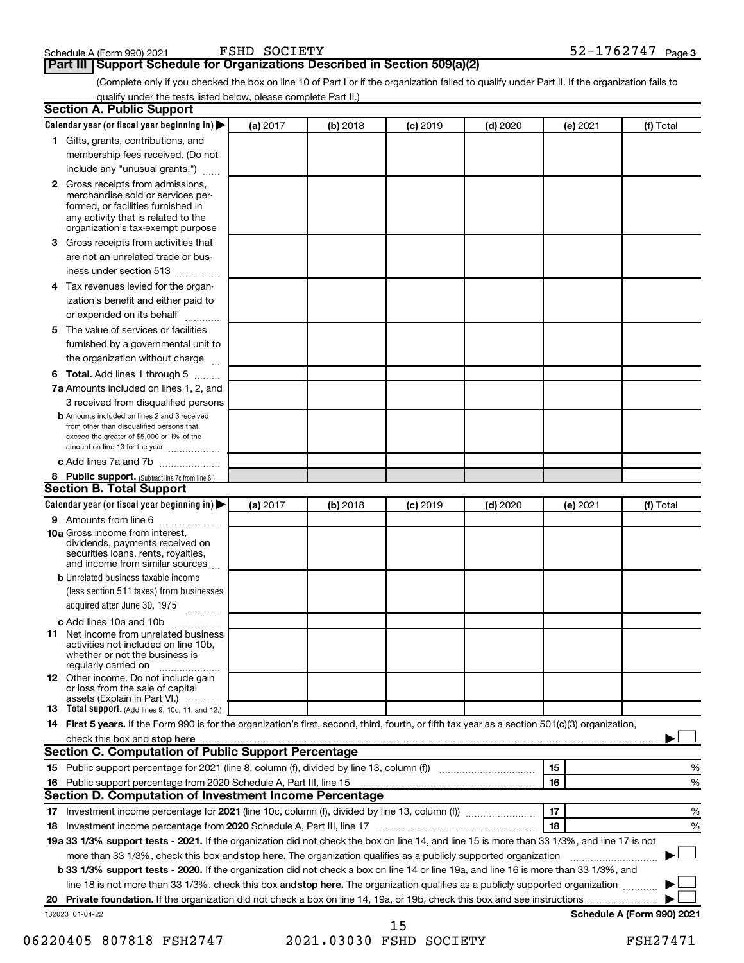### **Part III Support Schedule for Organizations Described in Section 509(a)(2)**

(Complete only if you checked the box on line 10 of Part I or if the organization failed to qualify under Part II. If the organization fails to qualify under the tests listed below, please complete Part II.)

| <b>Section A. Public Support</b>                                                                                                                                                                |          |            |            |            |          |                            |
|-------------------------------------------------------------------------------------------------------------------------------------------------------------------------------------------------|----------|------------|------------|------------|----------|----------------------------|
| Calendar year (or fiscal year beginning in)                                                                                                                                                     | (a) 2017 | (b) 2018   | $(c)$ 2019 | $(d)$ 2020 | (e) 2021 | (f) Total                  |
| 1 Gifts, grants, contributions, and                                                                                                                                                             |          |            |            |            |          |                            |
| membership fees received. (Do not                                                                                                                                                               |          |            |            |            |          |                            |
| include any "unusual grants.")                                                                                                                                                                  |          |            |            |            |          |                            |
| <b>2</b> Gross receipts from admissions,<br>merchandise sold or services per-<br>formed, or facilities furnished in<br>any activity that is related to the<br>organization's tax-exempt purpose |          |            |            |            |          |                            |
| 3 Gross receipts from activities that<br>are not an unrelated trade or bus-                                                                                                                     |          |            |            |            |          |                            |
| iness under section 513                                                                                                                                                                         |          |            |            |            |          |                            |
| 4 Tax revenues levied for the organ-<br>ization's benefit and either paid to                                                                                                                    |          |            |            |            |          |                            |
| or expended on its behalf                                                                                                                                                                       |          |            |            |            |          |                            |
| 5 The value of services or facilities                                                                                                                                                           |          |            |            |            |          |                            |
| furnished by a governmental unit to<br>the organization without charge                                                                                                                          |          |            |            |            |          |                            |
| 6 Total. Add lines 1 through 5                                                                                                                                                                  |          |            |            |            |          |                            |
| 7a Amounts included on lines 1, 2, and                                                                                                                                                          |          |            |            |            |          |                            |
| 3 received from disqualified persons                                                                                                                                                            |          |            |            |            |          |                            |
| <b>b</b> Amounts included on lines 2 and 3 received<br>from other than disqualified persons that<br>exceed the greater of \$5,000 or 1% of the<br>amount on line 13 for the year                |          |            |            |            |          |                            |
| c Add lines 7a and 7b                                                                                                                                                                           |          |            |            |            |          |                            |
| 8 Public support. (Subtract line 7c from line 6.)                                                                                                                                               |          |            |            |            |          |                            |
| <b>Section B. Total Support</b>                                                                                                                                                                 |          |            |            |            |          |                            |
| Calendar year (or fiscal year beginning in)                                                                                                                                                     | (a) 2017 | $(b)$ 2018 | $(c)$ 2019 | $(d)$ 2020 | (e) 2021 | (f) Total                  |
| 9 Amounts from line 6                                                                                                                                                                           |          |            |            |            |          |                            |
| <b>10a</b> Gross income from interest,<br>dividends, payments received on<br>securities loans, rents, royalties,<br>and income from similar sources                                             |          |            |            |            |          |                            |
| <b>b</b> Unrelated business taxable income                                                                                                                                                      |          |            |            |            |          |                            |
| (less section 511 taxes) from businesses<br>acquired after June 30, 1975                                                                                                                        |          |            |            |            |          |                            |
| c Add lines 10a and 10b<br><b>11</b> Net income from unrelated business<br>activities not included on line 10b.<br>whether or not the business is<br>regularly carried on                       |          |            |            |            |          |                            |
| 12 Other income. Do not include gain<br>or loss from the sale of capital<br>assets (Explain in Part VI.)                                                                                        |          |            |            |            |          |                            |
| <b>13</b> Total support. (Add lines 9, 10c, 11, and 12.)                                                                                                                                        |          |            |            |            |          |                            |
| 14 First 5 years. If the Form 990 is for the organization's first, second, third, fourth, or fifth tax year as a section 501(c)(3) organization,                                                |          |            |            |            |          |                            |
| check this box and stop here <b>contained and the contained and starting and stop here</b> check this box and stop here                                                                         |          |            |            |            |          |                            |
| Section C. Computation of Public Support Percentage                                                                                                                                             |          |            |            |            |          |                            |
|                                                                                                                                                                                                 |          |            |            |            | 15       | ℅                          |
| 16 Public support percentage from 2020 Schedule A, Part III, line 15                                                                                                                            |          |            |            |            | 16       | %                          |
| Section D. Computation of Investment Income Percentage                                                                                                                                          |          |            |            |            |          |                            |
|                                                                                                                                                                                                 |          |            |            |            | 17       | %                          |
| 18 Investment income percentage from 2020 Schedule A, Part III, line 17                                                                                                                         |          |            |            |            | 18       | %                          |
| 19a 33 1/3% support tests - 2021. If the organization did not check the box on line 14, and line 15 is more than 33 1/3%, and line 17 is not                                                    |          |            |            |            |          |                            |
| more than 33 1/3%, check this box and stop here. The organization qualifies as a publicly supported organization                                                                                |          |            |            |            |          |                            |
| b 33 1/3% support tests - 2020. If the organization did not check a box on line 14 or line 19a, and line 16 is more than 33 1/3%, and                                                           |          |            |            |            |          |                            |
| line 18 is not more than 33 1/3%, check this box and stop here. The organization qualifies as a publicly supported organization                                                                 |          |            |            |            |          |                            |
|                                                                                                                                                                                                 |          |            |            |            |          |                            |
| 132023 01-04-22                                                                                                                                                                                 |          |            |            |            |          | Schedule A (Form 990) 2021 |

<sup>06220405 807818</sup> FSH2747 2021.03030 FSHD SOCIETY FSH27471 15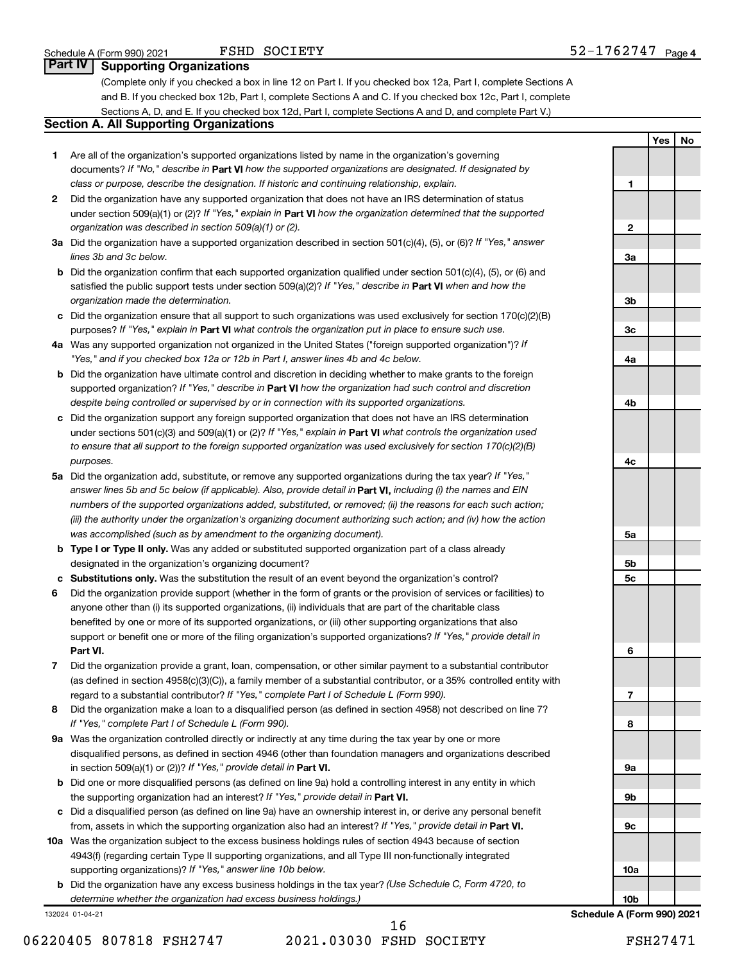**1**

**2**

**3a**

**3b**

**3c**

**4a**

**4b**

**4c**

**5a**

**5b 5c**

**6**

**7**

**8**

**9a**

**9b**

**9c**

**10a**

**10b**

**Yes No**

### **Part IV Supporting Organizations**

(Complete only if you checked a box in line 12 on Part I. If you checked box 12a, Part I, complete Sections A and B. If you checked box 12b, Part I, complete Sections A and C. If you checked box 12c, Part I, complete Sections A, D, and E. If you checked box 12d, Part I, complete Sections A and D, and complete Part V.)

### **Section A. All Supporting Organizations**

- **1** Are all of the organization's supported organizations listed by name in the organization's governing documents? If "No," describe in Part VI how the supported organizations are designated. If designated by *class or purpose, describe the designation. If historic and continuing relationship, explain.*
- **2** Did the organization have any supported organization that does not have an IRS determination of status under section 509(a)(1) or (2)? If "Yes," explain in Part **VI** how the organization determined that the supported *organization was described in section 509(a)(1) or (2).*
- **3a** Did the organization have a supported organization described in section 501(c)(4), (5), or (6)? If "Yes," answer *lines 3b and 3c below.*
- **b** Did the organization confirm that each supported organization qualified under section 501(c)(4), (5), or (6) and satisfied the public support tests under section 509(a)(2)? If "Yes," describe in Part VI when and how the *organization made the determination.*
- **c** Did the organization ensure that all support to such organizations was used exclusively for section 170(c)(2)(B) purposes? If "Yes," explain in Part VI what controls the organization put in place to ensure such use.
- **4 a** *If* Was any supported organization not organized in the United States ("foreign supported organization")? *"Yes," and if you checked box 12a or 12b in Part I, answer lines 4b and 4c below.*
- **b** Did the organization have ultimate control and discretion in deciding whether to make grants to the foreign supported organization? If "Yes," describe in Part VI how the organization had such control and discretion *despite being controlled or supervised by or in connection with its supported organizations.*
- **c** Did the organization support any foreign supported organization that does not have an IRS determination under sections 501(c)(3) and 509(a)(1) or (2)? If "Yes," explain in Part VI what controls the organization used *to ensure that all support to the foreign supported organization was used exclusively for section 170(c)(2)(B) purposes.*
- **5a** Did the organization add, substitute, or remove any supported organizations during the tax year? If "Yes," answer lines 5b and 5c below (if applicable). Also, provide detail in **Part VI,** including (i) the names and EIN *numbers of the supported organizations added, substituted, or removed; (ii) the reasons for each such action; (iii) the authority under the organization's organizing document authorizing such action; and (iv) how the action was accomplished (such as by amendment to the organizing document).*
- **b** Type I or Type II only. Was any added or substituted supported organization part of a class already designated in the organization's organizing document?
- **c Substitutions only.**  Was the substitution the result of an event beyond the organization's control?
- **6** Did the organization provide support (whether in the form of grants or the provision of services or facilities) to **Part VI.** support or benefit one or more of the filing organization's supported organizations? If "Yes," provide detail in anyone other than (i) its supported organizations, (ii) individuals that are part of the charitable class benefited by one or more of its supported organizations, or (iii) other supporting organizations that also
- **7** Did the organization provide a grant, loan, compensation, or other similar payment to a substantial contributor regard to a substantial contributor? If "Yes," complete Part I of Schedule L (Form 990). (as defined in section 4958(c)(3)(C)), a family member of a substantial contributor, or a 35% controlled entity with
- **8** Did the organization make a loan to a disqualified person (as defined in section 4958) not described on line 7? *If "Yes," complete Part I of Schedule L (Form 990).*
- **9 a** Was the organization controlled directly or indirectly at any time during the tax year by one or more in section 509(a)(1) or (2))? If "Yes," provide detail in **Part VI.** disqualified persons, as defined in section 4946 (other than foundation managers and organizations described
- **b** Did one or more disqualified persons (as defined on line 9a) hold a controlling interest in any entity in which the supporting organization had an interest? If "Yes," provide detail in Part VI.
- **c** Did a disqualified person (as defined on line 9a) have an ownership interest in, or derive any personal benefit from, assets in which the supporting organization also had an interest? If "Yes," provide detail in Part VI.
- **10 a** Was the organization subject to the excess business holdings rules of section 4943 because of section supporting organizations)? If "Yes," answer line 10b below. 4943(f) (regarding certain Type II supporting organizations, and all Type III non-functionally integrated
	- **b** Did the organization have any excess business holdings in the tax year? (Use Schedule C, Form 4720, to *determine whether the organization had excess business holdings.)*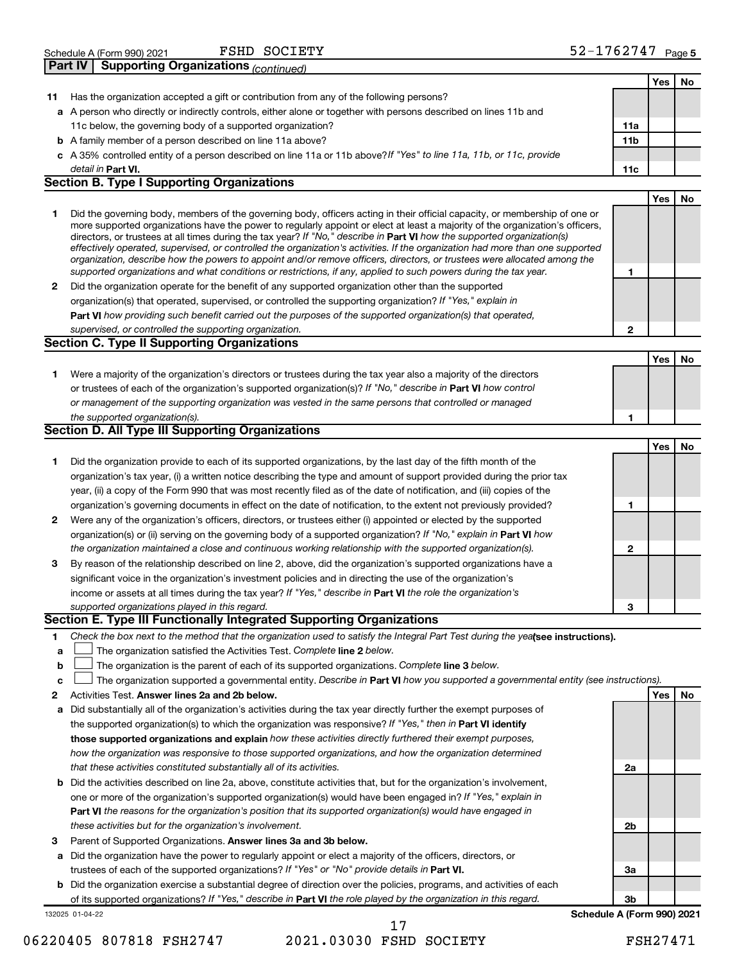| Schedule A (Form 990) 2021 |                                                     | FSHD SOCIETY | 52-1762747 | Page 5 |
|----------------------------|-----------------------------------------------------|--------------|------------|--------|
|                            | <b>Part IV Supporting Organizations (continued)</b> |              |            |        |

|    |                                                                                                                                                                                                                                                           |                            | <b>Yes</b> | No |
|----|-----------------------------------------------------------------------------------------------------------------------------------------------------------------------------------------------------------------------------------------------------------|----------------------------|------------|----|
| 11 | Has the organization accepted a gift or contribution from any of the following persons?                                                                                                                                                                   |                            |            |    |
|    | a A person who directly or indirectly controls, either alone or together with persons described on lines 11b and                                                                                                                                          |                            |            |    |
|    | 11c below, the governing body of a supported organization?                                                                                                                                                                                                | 11a                        |            |    |
|    | <b>b</b> A family member of a person described on line 11a above?                                                                                                                                                                                         | 11 <sub>b</sub>            |            |    |
|    | c A 35% controlled entity of a person described on line 11a or 11b above?If "Yes" to line 11a, 11b, or 11c, provide                                                                                                                                       |                            |            |    |
|    | detail in Part VI.                                                                                                                                                                                                                                        | 11c                        |            |    |
|    | <b>Section B. Type I Supporting Organizations</b>                                                                                                                                                                                                         |                            |            |    |
|    |                                                                                                                                                                                                                                                           |                            | Yes        | No |
| 1  | Did the governing body, members of the governing body, officers acting in their official capacity, or membership of one or                                                                                                                                |                            |            |    |
|    | more supported organizations have the power to regularly appoint or elect at least a majority of the organization's officers,                                                                                                                             |                            |            |    |
|    | directors, or trustees at all times during the tax year? If "No," describe in Part VI how the supported organization(s)<br>effectively operated, supervised, or controlled the organization's activities. If the organization had more than one supported |                            |            |    |
|    | organization, describe how the powers to appoint and/or remove officers, directors, or trustees were allocated among the                                                                                                                                  |                            |            |    |
|    | supported organizations and what conditions or restrictions, if any, applied to such powers during the tax year.                                                                                                                                          | 1                          |            |    |
| 2  | Did the organization operate for the benefit of any supported organization other than the supported                                                                                                                                                       |                            |            |    |
|    | organization(s) that operated, supervised, or controlled the supporting organization? If "Yes," explain in                                                                                                                                                |                            |            |    |
|    | Part VI how providing such benefit carried out the purposes of the supported organization(s) that operated,                                                                                                                                               |                            |            |    |
|    | supervised, or controlled the supporting organization.                                                                                                                                                                                                    | $\mathbf{2}$               |            |    |
|    | <b>Section C. Type II Supporting Organizations</b>                                                                                                                                                                                                        |                            |            |    |
|    |                                                                                                                                                                                                                                                           |                            | Yes        | No |
| 1  | Were a majority of the organization's directors or trustees during the tax year also a majority of the directors                                                                                                                                          |                            |            |    |
|    | or trustees of each of the organization's supported organization(s)? If "No," describe in Part VI how control                                                                                                                                             |                            |            |    |
|    | or management of the supporting organization was vested in the same persons that controlled or managed                                                                                                                                                    |                            |            |    |
|    | the supported organization(s).                                                                                                                                                                                                                            | 1                          |            |    |
|    | <b>Section D. All Type III Supporting Organizations</b>                                                                                                                                                                                                   |                            |            |    |
|    |                                                                                                                                                                                                                                                           |                            | Yes        | No |
| 1  | Did the organization provide to each of its supported organizations, by the last day of the fifth month of the                                                                                                                                            |                            |            |    |
|    | organization's tax year, (i) a written notice describing the type and amount of support provided during the prior tax                                                                                                                                     |                            |            |    |
|    | year, (ii) a copy of the Form 990 that was most recently filed as of the date of notification, and (iii) copies of the                                                                                                                                    |                            |            |    |
|    | organization's governing documents in effect on the date of notification, to the extent not previously provided?                                                                                                                                          | 1                          |            |    |
| 2  | Were any of the organization's officers, directors, or trustees either (i) appointed or elected by the supported                                                                                                                                          |                            |            |    |
|    | organization(s) or (ii) serving on the governing body of a supported organization? If "No," explain in Part VI how                                                                                                                                        |                            |            |    |
|    | the organization maintained a close and continuous working relationship with the supported organization(s).                                                                                                                                               | 2                          |            |    |
| 3  | By reason of the relationship described on line 2, above, did the organization's supported organizations have a                                                                                                                                           |                            |            |    |
|    | significant voice in the organization's investment policies and in directing the use of the organization's                                                                                                                                                |                            |            |    |
|    | income or assets at all times during the tax year? If "Yes," describe in Part VI the role the organization's                                                                                                                                              |                            |            |    |
|    | supported organizations played in this regard.                                                                                                                                                                                                            | 3                          |            |    |
|    | Section E. Type III Functionally Integrated Supporting Organizations                                                                                                                                                                                      |                            |            |    |
| 1  | Check the box next to the method that the organization used to satisfy the Integral Part Test during the yealsee instructions).                                                                                                                           |                            |            |    |
| а  | The organization satisfied the Activities Test. Complete line 2 below.                                                                                                                                                                                    |                            |            |    |
| b  | The organization is the parent of each of its supported organizations. Complete line 3 below.                                                                                                                                                             |                            |            |    |
| с  | The organization supported a governmental entity. Describe in Part VI how you supported a governmental entity (see instructions).                                                                                                                         |                            |            |    |
| 2  | Activities Test. Answer lines 2a and 2b below.                                                                                                                                                                                                            |                            | Yes        | No |
| а  | Did substantially all of the organization's activities during the tax year directly further the exempt purposes of                                                                                                                                        |                            |            |    |
|    | the supported organization(s) to which the organization was responsive? If "Yes," then in Part VI identify                                                                                                                                                |                            |            |    |
|    | those supported organizations and explain how these activities directly furthered their exempt purposes,                                                                                                                                                  |                            |            |    |
|    | how the organization was responsive to those supported organizations, and how the organization determined                                                                                                                                                 |                            |            |    |
|    | that these activities constituted substantially all of its activities.                                                                                                                                                                                    | 2a                         |            |    |
|    |                                                                                                                                                                                                                                                           |                            |            |    |
|    | <b>b</b> Did the activities described on line 2a, above, constitute activities that, but for the organization's involvement,                                                                                                                              |                            |            |    |
|    | one or more of the organization's supported organization(s) would have been engaged in? If "Yes," explain in                                                                                                                                              |                            |            |    |
|    | <b>Part VI</b> the reasons for the organization's position that its supported organization(s) would have engaged in                                                                                                                                       |                            |            |    |
|    | these activities but for the organization's involvement.                                                                                                                                                                                                  | 2b                         |            |    |
| З  | Parent of Supported Organizations. Answer lines 3a and 3b below.                                                                                                                                                                                          |                            |            |    |
| а  | Did the organization have the power to regularly appoint or elect a majority of the officers, directors, or                                                                                                                                               |                            |            |    |
|    | trustees of each of the supported organizations? If "Yes" or "No" provide details in Part VI.                                                                                                                                                             | За                         |            |    |
|    | <b>b</b> Did the organization exercise a substantial degree of direction over the policies, programs, and activities of each                                                                                                                              |                            |            |    |
|    | of its supported organizations? If "Yes," describe in Part VI the role played by the organization in this regard.                                                                                                                                         | 3b                         |            |    |
|    | 132025 01-04-22<br>17                                                                                                                                                                                                                                     | Schedule A (Form 990) 2021 |            |    |

<sup>06220405 807818</sup> FSH2747 2021.03030 FSHD SOCIETY FSH27471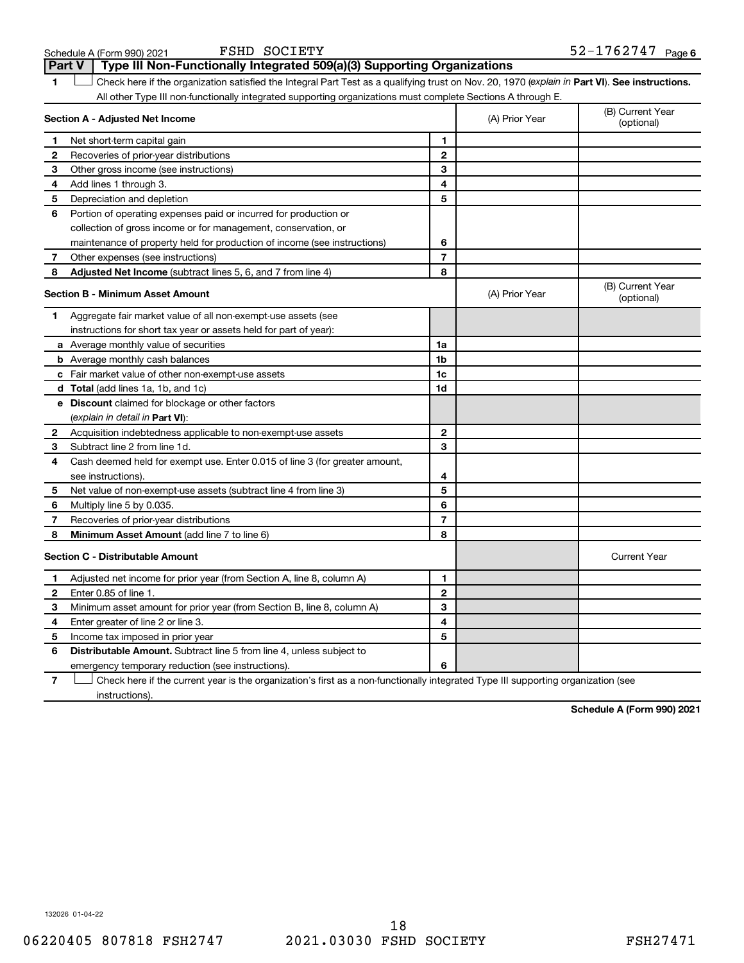| Schedule A (Form 990) 2021 |  |  |
|----------------------------|--|--|
|----------------------------|--|--|

FSHD SOCIETY

**1 Part VI** Check here if the organization satisfied the Integral Part Test as a qualifying trust on Nov. 20, 1970 (*explain in* Part **VI**). See instructions. **Section A - Adjusted Net Income 1 2 3 4 5 6 7 8 1 2 3 4 5 6 7 Adjusted Net Income** (subtract lines 5, 6, and 7 from line 4) **8 8 Section B - Minimum Asset Amount 1 2 3 4 5 6 7 8 a** Average monthly value of securities **b** Average monthly cash balances **c** Fair market value of other non-exempt-use assets **d Total**  (add lines 1a, 1b, and 1c) **e Discount** claimed for blockage or other factors **1a 1b 1c 1d 2 3 4 5 6 7 8** (explain in detail in Part VI): **Minimum Asset Amount**  (add line 7 to line 6) **Section C - Distributable Amount 1 2 3 4 5 6 1 2 3 4 5 6** Distributable Amount. Subtract line 5 from line 4, unless subject to All other Type III non-functionally integrated supporting organizations must complete Sections A through E. (B) Current Year (A) Prior Year Net short-term capital gain Recoveries of prior-year distributions Other gross income (see instructions) Add lines 1 through 3. Depreciation and depletion Portion of operating expenses paid or incurred for production or collection of gross income or for management, conservation, or maintenance of property held for production of income (see instructions) Other expenses (see instructions) (B) Current Year  $(A)$  Prior Year  $\left\{\n\begin{array}{ccc}\n\end{array}\n\right\}$  (optional) Aggregate fair market value of all non-exempt-use assets (see instructions for short tax year or assets held for part of year): Acquisition indebtedness applicable to non-exempt-use assets Subtract line 2 from line 1d. Cash deemed held for exempt use. Enter 0.015 of line 3 (for greater amount, see instructions). Net value of non-exempt-use assets (subtract line 4 from line 3) Multiply line 5 by 0.035. Recoveries of prior-year distributions Current Year Adjusted net income for prior year (from Section A, line 8, column A) Enter 0.85 of line 1. Minimum asset amount for prior year (from Section B, line 8, column A) Enter greater of line 2 or line 3. Income tax imposed in prior year emergency temporary reduction (see instructions). **Part V Type III Non-Functionally Integrated 509(a)(3) Supporting Organizations**   $\Box$ 

**7** Check here if the current year is the organization's first as a non-functionally integrated Type III supporting organization (see † instructions).

**Schedule A (Form 990) 2021**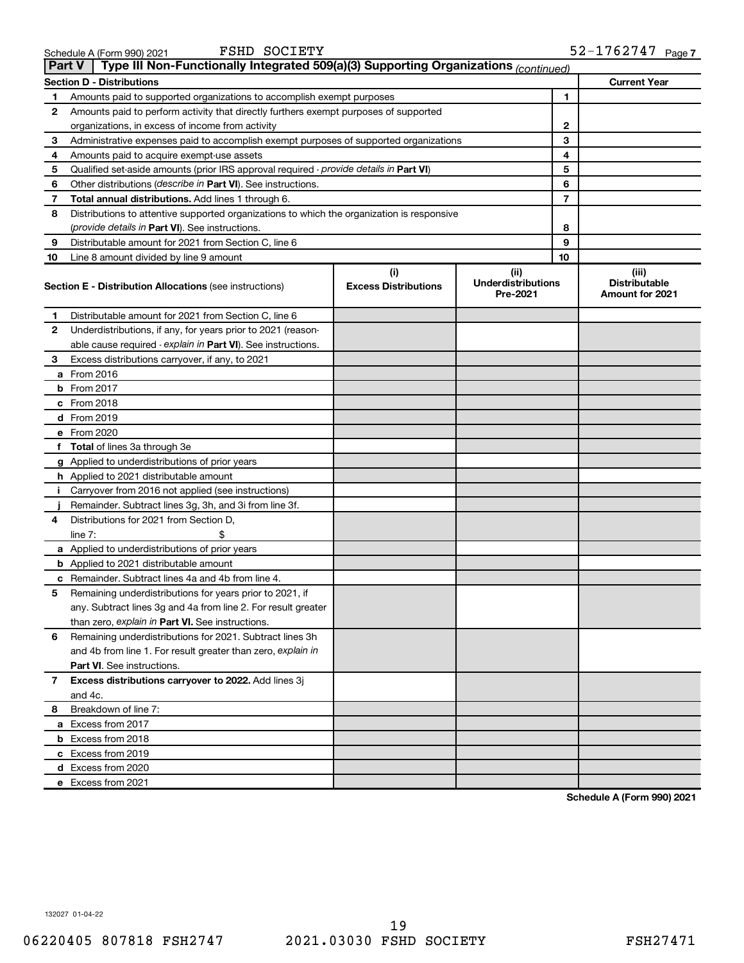| <b>Part V</b> | Type III Non-Functionally Integrated 509(a)(3) Supporting Organizations (continued)        |                             |                                       |                                         |
|---------------|--------------------------------------------------------------------------------------------|-----------------------------|---------------------------------------|-----------------------------------------|
|               | <b>Section D - Distributions</b>                                                           |                             |                                       | <b>Current Year</b>                     |
| 1             | Amounts paid to supported organizations to accomplish exempt purposes                      | 1                           |                                       |                                         |
| 2             | Amounts paid to perform activity that directly furthers exempt purposes of supported       |                             |                                       |                                         |
|               | organizations, in excess of income from activity                                           | 2                           |                                       |                                         |
| 3             | Administrative expenses paid to accomplish exempt purposes of supported organizations      |                             | 3                                     |                                         |
| 4             | Amounts paid to acquire exempt-use assets                                                  |                             | 4                                     |                                         |
| 5             | Qualified set-aside amounts (prior IRS approval required - provide details in Part VI)     |                             | 5                                     |                                         |
| 6             | Other distributions ( <i>describe in Part VI</i> ). See instructions.                      |                             | 6                                     |                                         |
| 7             | Total annual distributions. Add lines 1 through 6.                                         |                             | $\overline{7}$                        |                                         |
| 8             | Distributions to attentive supported organizations to which the organization is responsive |                             |                                       |                                         |
|               | (provide details in Part VI). See instructions.                                            |                             | 8                                     |                                         |
| 9             | Distributable amount for 2021 from Section C, line 6                                       |                             | 9                                     |                                         |
| 10            | Line 8 amount divided by line 9 amount                                                     |                             | 10                                    |                                         |
|               |                                                                                            | (i)                         | (ii)                                  | (iii)                                   |
|               | <b>Section E - Distribution Allocations (see instructions)</b>                             | <b>Excess Distributions</b> | <b>Underdistributions</b><br>Pre-2021 | <b>Distributable</b><br>Amount for 2021 |
| 1             | Distributable amount for 2021 from Section C, line 6                                       |                             |                                       |                                         |
| 2             | Underdistributions, if any, for years prior to 2021 (reason-                               |                             |                                       |                                         |
|               | able cause required - explain in Part VI). See instructions.                               |                             |                                       |                                         |
| 3             | Excess distributions carryover, if any, to 2021                                            |                             |                                       |                                         |
|               | a From 2016                                                                                |                             |                                       |                                         |
|               | <b>b</b> From 2017                                                                         |                             |                                       |                                         |
|               | c From 2018                                                                                |                             |                                       |                                         |
|               | d From 2019                                                                                |                             |                                       |                                         |
|               | e From 2020                                                                                |                             |                                       |                                         |
|               | f Total of lines 3a through 3e                                                             |                             |                                       |                                         |
|               | g Applied to underdistributions of prior years                                             |                             |                                       |                                         |
|               | <b>h</b> Applied to 2021 distributable amount                                              |                             |                                       |                                         |
| Τ.            | Carryover from 2016 not applied (see instructions)                                         |                             |                                       |                                         |
|               | Remainder. Subtract lines 3g, 3h, and 3i from line 3f.                                     |                             |                                       |                                         |
| 4             | Distributions for 2021 from Section D,                                                     |                             |                                       |                                         |
|               | $line 7$ :                                                                                 |                             |                                       |                                         |
|               | a Applied to underdistributions of prior years                                             |                             |                                       |                                         |
|               | <b>b</b> Applied to 2021 distributable amount                                              |                             |                                       |                                         |
|               | c Remainder. Subtract lines 4a and 4b from line 4.                                         |                             |                                       |                                         |
| 5             | Remaining underdistributions for years prior to 2021, if                                   |                             |                                       |                                         |
|               | any. Subtract lines 3g and 4a from line 2. For result greater                              |                             |                                       |                                         |
|               | than zero, explain in Part VI. See instructions.                                           |                             |                                       |                                         |
| 6             | Remaining underdistributions for 2021. Subtract lines 3h                                   |                             |                                       |                                         |
|               | and 4b from line 1. For result greater than zero, explain in                               |                             |                                       |                                         |
|               | <b>Part VI.</b> See instructions.                                                          |                             |                                       |                                         |
| 7             | Excess distributions carryover to 2022. Add lines 3j                                       |                             |                                       |                                         |
|               | and 4c.                                                                                    |                             |                                       |                                         |
| 8             | Breakdown of line 7:                                                                       |                             |                                       |                                         |
|               | a Excess from 2017                                                                         |                             |                                       |                                         |
|               | <b>b</b> Excess from 2018                                                                  |                             |                                       |                                         |
|               | c Excess from 2019                                                                         |                             |                                       |                                         |
|               | d Excess from 2020                                                                         |                             |                                       |                                         |
|               | e Excess from 2021                                                                         |                             |                                       |                                         |

**Schedule A (Form 990) 2021**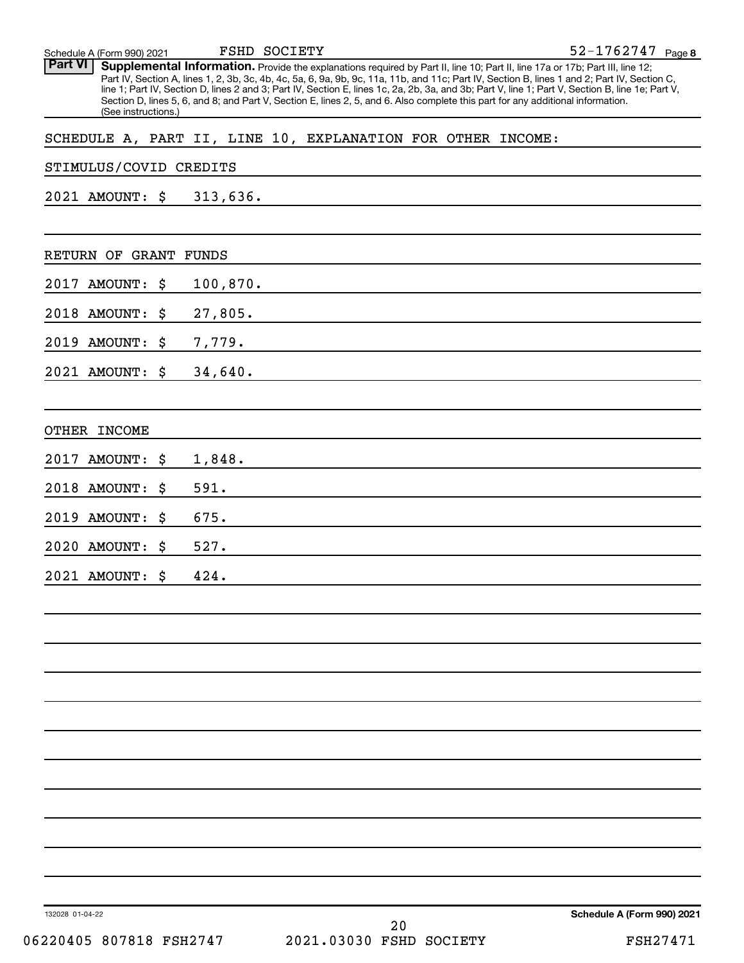132028 01-04-22 52-1762747 Page 8 Schedule A (Form 990) 2021 Part VI | Supplemental Information. Provide the explanations required by Part II, line 10; Part II, line 17a or 17b; Part III, line 12; Part IV, Section A, lines 1, 2, 3b, 3c, 4b, 4c, 5a, 6, 9a, 9b, 9c, 11a, 11b, and 11c; Part IV, Section B, lines 1 and 2; Part IV, Section C, line 1; Part IV, Section D, lines 2 and 3; Part IV, Section E, lines 1c, 2a, 2b, 3a, and 3b; Part V, line 1; Part V, Section B, line 1e; Part V, Section D, lines 5, 6, and 8; and Part V, Section E, lines 2, 5, and 6. Also complete this part for any additional information. (See instructions.) FSHD SOCIETY SCHEDULE A, PART II, LINE 10, EXPLANATION FOR OTHER INCOME: STIMULUS/COVID CREDITS 2021 AMOUNT: \$ 313,636. RETURN OF GRANT FUNDS 2017 AMOUNT: \$ 100,870. 2018 AMOUNT: \$ 27,805. 2019 AMOUNT: \$ 7,779. 2021 AMOUNT: \$ 34,640. OTHER INCOME 2017 AMOUNT: \$ 1,848. 2018 AMOUNT: \$ 591. 2019 AMOUNT: \$ 675. 2020 AMOUNT: \$ 527. 2021 AMOUNT: \$ 424.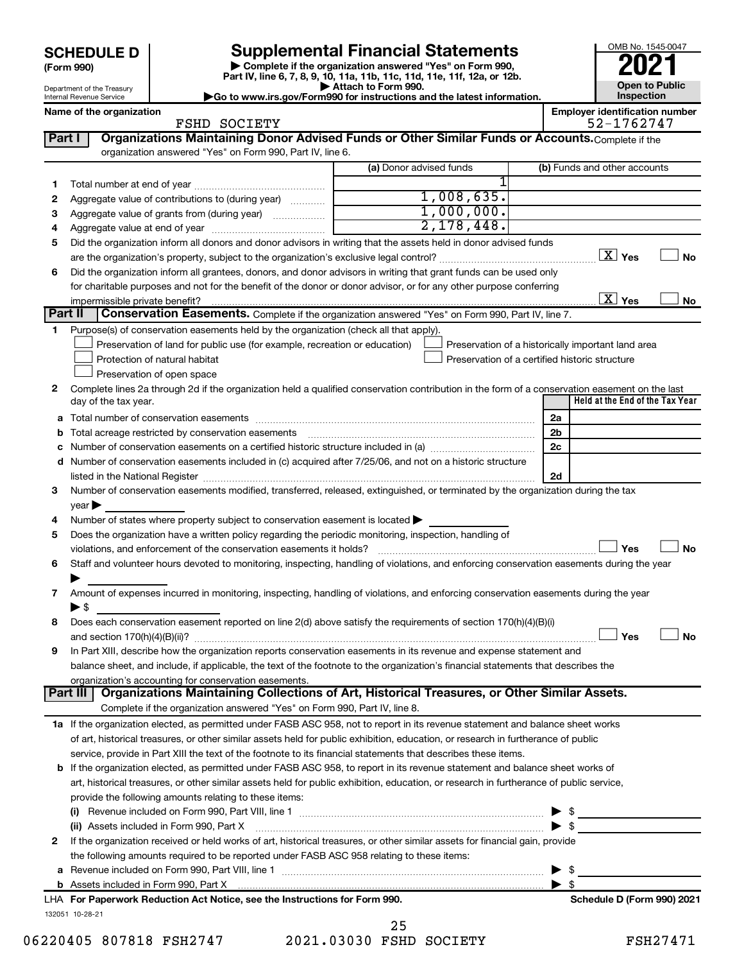| <b>SCHEDULE D</b> |  |
|-------------------|--|
|-------------------|--|

Department of the Treasury Internal Revenue Service

**(Form 990)**

**| Complete if the organization answered "Yes" on Form 990, Part IV, line 6, 7, 8, 9, 10, 11a, 11b, 11c, 11d, 11e, 11f, 12a, or 12b. SCHEDULE D Supplemental Financial Statements**<br> **Form 990 Example 5 2021**<br>
Part IV. line 6, 7, 8, 9, 10, 11a, 11b, 11c, 11d, 11e, 11f, 12a, or 12b.

**| Attach to Form 990. |Go to www.irs.gov/Form990 for instructions and the latest information.** OMB No. 1545-0047 **Open to Public Inspection**

Name of the organization<br> **Employer identification number**<br>
FSHD SOCTETY

|         | FSHD SOCIETY                                                                                                                                                                                                                  |                         | 52-1762747                                         |
|---------|-------------------------------------------------------------------------------------------------------------------------------------------------------------------------------------------------------------------------------|-------------------------|----------------------------------------------------|
| Part I  | Organizations Maintaining Donor Advised Funds or Other Similar Funds or Accounts. Complete if the                                                                                                                             |                         |                                                    |
|         | organization answered "Yes" on Form 990, Part IV, line 6.                                                                                                                                                                     |                         |                                                    |
|         |                                                                                                                                                                                                                               | (a) Donor advised funds | (b) Funds and other accounts                       |
| 1.      |                                                                                                                                                                                                                               |                         |                                                    |
| 2       | Aggregate value of contributions to (during year)                                                                                                                                                                             | 1,008,635.              |                                                    |
| з       | Aggregate value of grants from (during year)                                                                                                                                                                                  | 1,000,000.              |                                                    |
| 4       |                                                                                                                                                                                                                               | 2,178,448.              |                                                    |
| 5       | Did the organization inform all donors and donor advisors in writing that the assets held in donor advised funds                                                                                                              |                         |                                                    |
|         |                                                                                                                                                                                                                               |                         | $\boxed{\text{X}}$ Yes<br>No                       |
| 6       | Did the organization inform all grantees, donors, and donor advisors in writing that grant funds can be used only                                                                                                             |                         |                                                    |
|         | for charitable purposes and not for the benefit of the donor or donor advisor, or for any other purpose conferring                                                                                                            |                         |                                                    |
|         | impermissible private benefit?                                                                                                                                                                                                |                         | $\overline{\mathbf{X}}$ Yes<br>No                  |
| Part II | Conservation Easements. Complete if the organization answered "Yes" on Form 990, Part IV, line 7.                                                                                                                             |                         |                                                    |
| 1.      | Purpose(s) of conservation easements held by the organization (check all that apply).                                                                                                                                         |                         |                                                    |
|         | Preservation of land for public use (for example, recreation or education)                                                                                                                                                    |                         | Preservation of a historically important land area |
|         | Protection of natural habitat                                                                                                                                                                                                 |                         | Preservation of a certified historic structure     |
|         | Preservation of open space                                                                                                                                                                                                    |                         |                                                    |
| 2       | Complete lines 2a through 2d if the organization held a qualified conservation contribution in the form of a conservation easement on the last                                                                                |                         | Held at the End of the Tax Year                    |
|         | day of the tax year.                                                                                                                                                                                                          |                         |                                                    |
|         |                                                                                                                                                                                                                               |                         | 2a                                                 |
|         | Total acreage restricted by conservation easements                                                                                                                                                                            |                         | 2b                                                 |
|         | Number of conservation easements on a certified historic structure included in (a) manuminon manuminon                                                                                                                        |                         | 2c                                                 |
| d       | Number of conservation easements included in (c) acquired after 7/25/06, and not on a historic structure                                                                                                                      |                         |                                                    |
|         | listed in the National Register [11, 1200] and the National Register [11, 1200] and the National Register [11, 1200] and the National Register [11, 1200] and the National Register [11, 1200] and the National Register [11, |                         | 2d                                                 |
| 3       | Number of conservation easements modified, transferred, released, extinguished, or terminated by the organization during the tax                                                                                              |                         |                                                    |
|         | year                                                                                                                                                                                                                          |                         |                                                    |
| 4       | Number of states where property subject to conservation easement is located >                                                                                                                                                 |                         |                                                    |
| 5       | Does the organization have a written policy regarding the periodic monitoring, inspection, handling of                                                                                                                        |                         |                                                    |
|         | violations, and enforcement of the conservation easements it holds?                                                                                                                                                           |                         | <b>No</b><br>Yes                                   |
| 6       | Staff and volunteer hours devoted to monitoring, inspecting, handling of violations, and enforcing conservation easements during the year                                                                                     |                         |                                                    |
|         |                                                                                                                                                                                                                               |                         |                                                    |
| 7       | Amount of expenses incurred in monitoring, inspecting, handling of violations, and enforcing conservation easements during the year                                                                                           |                         |                                                    |
|         | $\blacktriangleright$ \$<br>Does each conservation easement reported on line 2(d) above satisfy the requirements of section 170(h)(4)(B)(i)                                                                                   |                         |                                                    |
| 8       |                                                                                                                                                                                                                               |                         | Yes                                                |
|         | In Part XIII, describe how the organization reports conservation easements in its revenue and expense statement and                                                                                                           |                         | No                                                 |
| 9       |                                                                                                                                                                                                                               |                         |                                                    |
|         | balance sheet, and include, if applicable, the text of the footnote to the organization's financial statements that describes the<br>organization's accounting for conservation easements.                                    |                         |                                                    |
|         | Organizations Maintaining Collections of Art, Historical Treasures, or Other Similar Assets.<br>Part III                                                                                                                      |                         |                                                    |
|         | Complete if the organization answered "Yes" on Form 990, Part IV, line 8.                                                                                                                                                     |                         |                                                    |
|         | 1a If the organization elected, as permitted under FASB ASC 958, not to report in its revenue statement and balance sheet works                                                                                               |                         |                                                    |
|         | of art, historical treasures, or other similar assets held for public exhibition, education, or research in furtherance of public                                                                                             |                         |                                                    |
|         | service, provide in Part XIII the text of the footnote to its financial statements that describes these items.                                                                                                                |                         |                                                    |
|         | <b>b</b> If the organization elected, as permitted under FASB ASC 958, to report in its revenue statement and balance sheet works of                                                                                          |                         |                                                    |
|         | art, historical treasures, or other similar assets held for public exhibition, education, or research in furtherance of public service,                                                                                       |                         |                                                    |
|         | provide the following amounts relating to these items:                                                                                                                                                                        |                         |                                                    |
|         |                                                                                                                                                                                                                               |                         | \$                                                 |
|         | (ii) Assets included in Form 990, Part X                                                                                                                                                                                      |                         | $\blacktriangleright$ s                            |
| 2       | If the organization received or held works of art, historical treasures, or other similar assets for financial gain, provide                                                                                                  |                         |                                                    |
|         | the following amounts required to be reported under FASB ASC 958 relating to these items:                                                                                                                                     |                         |                                                    |
| а       |                                                                                                                                                                                                                               |                         | \$                                                 |
|         |                                                                                                                                                                                                                               |                         | $\blacktriangleright$ s                            |
|         | LHA For Paperwork Reduction Act Notice, see the Instructions for Form 990.                                                                                                                                                    |                         | Schedule D (Form 990) 2021                         |
|         | 132051 10-28-21                                                                                                                                                                                                               |                         |                                                    |
|         |                                                                                                                                                                                                                               | າ⊏                      |                                                    |

06220405 807818 FSH2747 2021.03030 FSHD SOCIETY FSH27471 25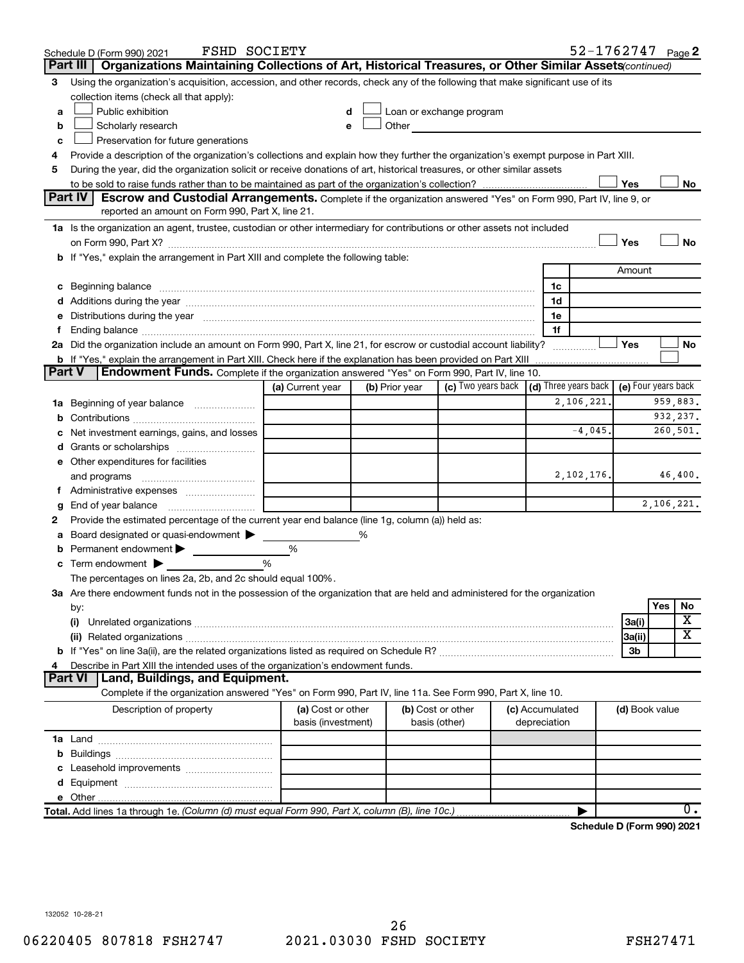|               | <b>FSHD SOCIETY</b><br>Schedule D (Form 990) 2021                                                                                                                                                                              |                    |                |                          |  |                 | 52-1762747 Page 2                                       |                     |            |                  |
|---------------|--------------------------------------------------------------------------------------------------------------------------------------------------------------------------------------------------------------------------------|--------------------|----------------|--------------------------|--|-----------------|---------------------------------------------------------|---------------------|------------|------------------|
|               | Organizations Maintaining Collections of Art, Historical Treasures, or Other Similar Assets (continued)<br>Part III                                                                                                            |                    |                |                          |  |                 |                                                         |                     |            |                  |
| 3             | Using the organization's acquisition, accession, and other records, check any of the following that make significant use of its                                                                                                |                    |                |                          |  |                 |                                                         |                     |            |                  |
|               | collection items (check all that apply):                                                                                                                                                                                       |                    |                |                          |  |                 |                                                         |                     |            |                  |
| a             | Public exhibition                                                                                                                                                                                                              |                    |                | Loan or exchange program |  |                 |                                                         |                     |            |                  |
| b             | Scholarly research                                                                                                                                                                                                             |                    | Other          |                          |  |                 |                                                         |                     |            |                  |
| c             | Preservation for future generations                                                                                                                                                                                            |                    |                |                          |  |                 |                                                         |                     |            |                  |
| 4             | Provide a description of the organization's collections and explain how they further the organization's exempt purpose in Part XIII.                                                                                           |                    |                |                          |  |                 |                                                         |                     |            |                  |
| 5             | During the year, did the organization solicit or receive donations of art, historical treasures, or other similar assets                                                                                                       |                    |                |                          |  |                 |                                                         |                     |            |                  |
|               |                                                                                                                                                                                                                                |                    |                |                          |  |                 |                                                         | Yes                 |            | No               |
|               | Part IV<br><b>Escrow and Custodial Arrangements.</b> Complete if the organization answered "Yes" on Form 990, Part IV, line 9, or                                                                                              |                    |                |                          |  |                 |                                                         |                     |            |                  |
|               | reported an amount on Form 990, Part X, line 21.                                                                                                                                                                               |                    |                |                          |  |                 |                                                         |                     |            |                  |
|               | 1a Is the organization an agent, trustee, custodian or other intermediary for contributions or other assets not included                                                                                                       |                    |                |                          |  |                 |                                                         |                     |            |                  |
|               | b If "Yes," explain the arrangement in Part XIII and complete the following table:                                                                                                                                             |                    |                |                          |  |                 |                                                         | Yes                 |            | No               |
|               |                                                                                                                                                                                                                                |                    |                |                          |  |                 |                                                         | Amount              |            |                  |
|               |                                                                                                                                                                                                                                |                    |                |                          |  | 1c              |                                                         |                     |            |                  |
|               | c Beginning balance measurements and the contract of the contract of the contract of the contract of the contract of the contract of the contract of the contract of the contract of the contract of the contract of the contr |                    |                |                          |  | 1d              |                                                         |                     |            |                  |
|               | e Distributions during the year manufactured and contained and contained and contained and contained and contained and contained and contained and contained and contained and contained and contained and contained and conta |                    |                |                          |  | 1e              |                                                         |                     |            |                  |
|               |                                                                                                                                                                                                                                |                    |                |                          |  | 1f              |                                                         |                     |            |                  |
|               | 2a Did the organization include an amount on Form 990, Part X, line 21, for escrow or custodial account liability?                                                                                                             |                    |                |                          |  |                 |                                                         | Yes                 |            | No               |
|               | <b>b</b> If "Yes," explain the arrangement in Part XIII. Check here if the explanation has been provided on Part XIII                                                                                                          |                    |                |                          |  |                 |                                                         |                     |            |                  |
| <b>Part V</b> | <b>Endowment Funds.</b> Complete if the organization answered "Yes" on Form 990, Part IV, line 10.                                                                                                                             |                    |                |                          |  |                 |                                                         |                     |            |                  |
|               |                                                                                                                                                                                                                                | (a) Current year   | (b) Prior year |                          |  |                 | (c) Two years back $\vert$ (d) Three years back $\vert$ | (e) Four years back |            |                  |
|               | 1a Beginning of year balance                                                                                                                                                                                                   |                    |                |                          |  |                 | 2,106,221.                                              |                     |            | 959,883.         |
| b             |                                                                                                                                                                                                                                |                    |                |                          |  |                 |                                                         |                     |            | 932,237.         |
|               | Net investment earnings, gains, and losses                                                                                                                                                                                     |                    |                |                          |  |                 | $-4,045.$                                               |                     |            | 260,501.         |
|               |                                                                                                                                                                                                                                |                    |                |                          |  |                 |                                                         |                     |            |                  |
|               | e Other expenditures for facilities                                                                                                                                                                                            |                    |                |                          |  |                 |                                                         |                     |            |                  |
|               | and programs                                                                                                                                                                                                                   |                    |                |                          |  |                 | 2,102,176.                                              |                     |            | 46,400.          |
|               |                                                                                                                                                                                                                                |                    |                |                          |  |                 |                                                         |                     |            |                  |
| g             |                                                                                                                                                                                                                                |                    |                |                          |  |                 |                                                         |                     | 2,106,221. |                  |
| 2             | Provide the estimated percentage of the current year end balance (line 1g, column (a)) held as:                                                                                                                                |                    |                |                          |  |                 |                                                         |                     |            |                  |
| а             | Board designated or quasi-endowment                                                                                                                                                                                            |                    | %              |                          |  |                 |                                                         |                     |            |                  |
| b             | Permanent endowment                                                                                                                                                                                                            | %                  |                |                          |  |                 |                                                         |                     |            |                  |
|               | <b>c</b> Term endowment $\blacktriangleright$                                                                                                                                                                                  | %                  |                |                          |  |                 |                                                         |                     |            |                  |
|               | The percentages on lines 2a, 2b, and 2c should equal 100%.                                                                                                                                                                     |                    |                |                          |  |                 |                                                         |                     |            |                  |
|               | 3a Are there endowment funds not in the possession of the organization that are held and administered for the organization                                                                                                     |                    |                |                          |  |                 |                                                         |                     | Yes        | No               |
|               | by:<br>(i)                                                                                                                                                                                                                     |                    |                |                          |  |                 |                                                         |                     |            | х                |
|               |                                                                                                                                                                                                                                |                    |                |                          |  |                 |                                                         | 3a(i)<br> 3a(ii)    |            | х                |
|               |                                                                                                                                                                                                                                |                    |                |                          |  |                 |                                                         | 3b                  |            |                  |
| 4             | Describe in Part XIII the intended uses of the organization's endowment funds.                                                                                                                                                 |                    |                |                          |  |                 |                                                         |                     |            |                  |
|               | Land, Buildings, and Equipment.<br><b>Part VI</b>                                                                                                                                                                              |                    |                |                          |  |                 |                                                         |                     |            |                  |
|               | Complete if the organization answered "Yes" on Form 990, Part IV, line 11a. See Form 990, Part X, line 10.                                                                                                                     |                    |                |                          |  |                 |                                                         |                     |            |                  |
|               | Description of property                                                                                                                                                                                                        | (a) Cost or other  |                | (b) Cost or other        |  | (c) Accumulated |                                                         | (d) Book value      |            |                  |
|               |                                                                                                                                                                                                                                | basis (investment) |                | basis (other)            |  | depreciation    |                                                         |                     |            |                  |
|               |                                                                                                                                                                                                                                |                    |                |                          |  |                 |                                                         |                     |            |                  |
|               |                                                                                                                                                                                                                                |                    |                |                          |  |                 |                                                         |                     |            |                  |
|               |                                                                                                                                                                                                                                |                    |                |                          |  |                 |                                                         |                     |            |                  |
|               |                                                                                                                                                                                                                                |                    |                |                          |  |                 |                                                         |                     |            |                  |
|               |                                                                                                                                                                                                                                |                    |                |                          |  |                 |                                                         |                     |            |                  |
|               | Total. Add lines 1a through 1e. (Column (d) must equal Form 990, Part X, column (B), line 10c.)                                                                                                                                |                    |                |                          |  |                 |                                                         |                     |            | $\overline{0}$ . |
|               |                                                                                                                                                                                                                                |                    |                |                          |  |                 |                                                         |                     |            |                  |

**Schedule D (Form 990) 2021**

132052 10-28-21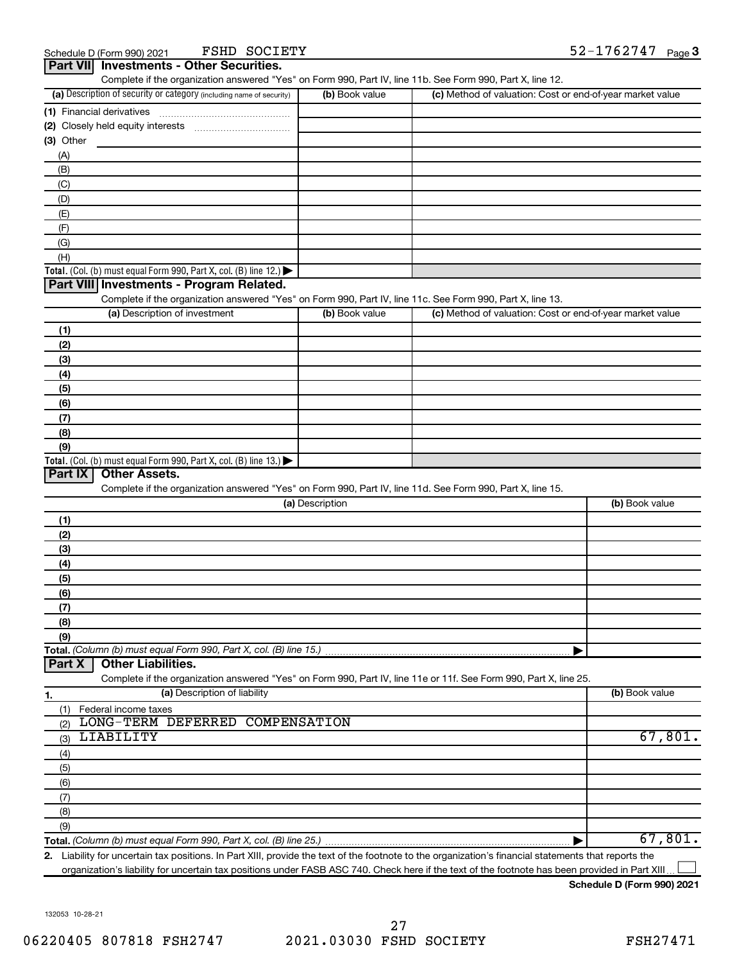FSHD SOCIETY

| Part VII Investments - Other Securities.                                                                               |                 |                                                           |                |
|------------------------------------------------------------------------------------------------------------------------|-----------------|-----------------------------------------------------------|----------------|
| Complete if the organization answered "Yes" on Form 990, Part IV, line 11b. See Form 990, Part X, line 12.             |                 |                                                           |                |
| (a) Description of security or category (including name of security)                                                   | (b) Book value  | (c) Method of valuation: Cost or end-of-year market value |                |
| (1) Financial derivatives                                                                                              |                 |                                                           |                |
|                                                                                                                        |                 |                                                           |                |
| (3) Other                                                                                                              |                 |                                                           |                |
| (A)                                                                                                                    |                 |                                                           |                |
| (B)                                                                                                                    |                 |                                                           |                |
| (C)                                                                                                                    |                 |                                                           |                |
| (D)                                                                                                                    |                 |                                                           |                |
| (E)                                                                                                                    |                 |                                                           |                |
| (F)                                                                                                                    |                 |                                                           |                |
| (G)                                                                                                                    |                 |                                                           |                |
| (H)                                                                                                                    |                 |                                                           |                |
| <b>Total.</b> (Col. (b) must equal Form 990, Part X, col. (B) line $12$ .)<br>Part VIII Investments - Program Related. |                 |                                                           |                |
| Complete if the organization answered "Yes" on Form 990, Part IV, line 11c. See Form 990, Part X, line 13.             |                 |                                                           |                |
| (a) Description of investment                                                                                          |                 | (c) Method of valuation: Cost or end-of-year market value |                |
|                                                                                                                        | (b) Book value  |                                                           |                |
| (1)                                                                                                                    |                 |                                                           |                |
| (2)                                                                                                                    |                 |                                                           |                |
| (3)                                                                                                                    |                 |                                                           |                |
| (4)                                                                                                                    |                 |                                                           |                |
| (5)                                                                                                                    |                 |                                                           |                |
| (6)                                                                                                                    |                 |                                                           |                |
| (7)                                                                                                                    |                 |                                                           |                |
| (8)                                                                                                                    |                 |                                                           |                |
| (9)                                                                                                                    |                 |                                                           |                |
| <b>Total.</b> (Col. (b) must equal Form 990, Part X, col. (B) line 13.)                                                |                 |                                                           |                |
| Part IX<br><b>Other Assets.</b>                                                                                        |                 |                                                           |                |
| Complete if the organization answered "Yes" on Form 990, Part IV, line 11d. See Form 990, Part X, line 15.             |                 |                                                           |                |
|                                                                                                                        | (a) Description |                                                           | (b) Book value |
| (1)                                                                                                                    |                 |                                                           |                |
| (2)                                                                                                                    |                 |                                                           |                |
| (3)                                                                                                                    |                 |                                                           |                |
| (4)                                                                                                                    |                 |                                                           |                |
| (5)                                                                                                                    |                 |                                                           |                |
| (6)                                                                                                                    |                 |                                                           |                |
| (7)                                                                                                                    |                 |                                                           |                |
| (8)                                                                                                                    |                 |                                                           |                |
| (9)                                                                                                                    |                 |                                                           |                |
| Total. (Column (b) must equal Form 990, Part X, col. (B) line 15.)                                                     |                 |                                                           |                |
| <b>Other Liabilities.</b><br>Part X                                                                                    |                 |                                                           |                |
| Complete if the organization answered "Yes" on Form 990, Part IV, line 11e or 11f. See Form 990, Part X, line 25.      |                 |                                                           |                |
| (a) Description of liability<br>1.                                                                                     |                 |                                                           | (b) Book value |
| (1) Federal income taxes                                                                                               |                 |                                                           |                |
| LONG-TERM DEFERRED COMPENSATION<br>(2)                                                                                 |                 |                                                           |                |
| LIABILITY<br>(3)                                                                                                       |                 |                                                           | 67,801.        |
| (4)                                                                                                                    |                 |                                                           |                |
| (5)                                                                                                                    |                 |                                                           |                |
| (6)                                                                                                                    |                 |                                                           |                |
| (7)                                                                                                                    |                 |                                                           |                |
| (8)                                                                                                                    |                 |                                                           |                |
| (9)                                                                                                                    |                 |                                                           |                |
| Total. (Column (b) must equal Form 990, Part X, col. (B) line 25.)                                                     |                 |                                                           | 67,801.        |

**2.** Liability for uncertain tax positions. In Part XIII, provide the text of the footnote to the organization's financial statements that reports the organization's liability for uncertain tax positions under FASB ASC 740. Check here if the text of the footnote has been provided in Part XIII.  $\perp$ 

**Schedule D (Form 990) 2021**

132053 10-28-21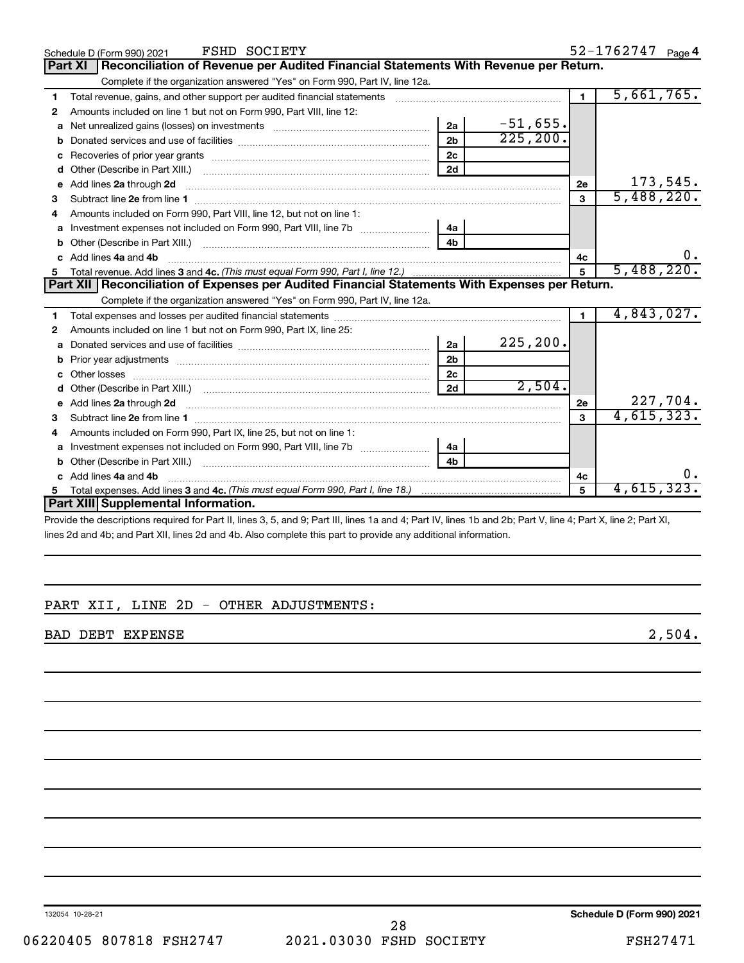|    | <b>FSHD SOCIETY</b><br>Schedule D (Form 990) 2021                                                                                                                                                                                   |                            |            |                | 52-1762747 Page 4 |
|----|-------------------------------------------------------------------------------------------------------------------------------------------------------------------------------------------------------------------------------------|----------------------------|------------|----------------|-------------------|
|    | Reconciliation of Revenue per Audited Financial Statements With Revenue per Return.<br><b>Part XI</b>                                                                                                                               |                            |            |                |                   |
|    | Complete if the organization answered "Yes" on Form 990, Part IV, line 12a.                                                                                                                                                         |                            |            |                |                   |
| 1  | Total revenue, gains, and other support per audited financial statements [111] [11] Total revenue, gains, and other support per audited financial statements                                                                        |                            |            | $\mathbf{1}$   | 5,661,765.        |
| 2  | Amounts included on line 1 but not on Form 990, Part VIII, line 12:                                                                                                                                                                 |                            |            |                |                   |
| a  |                                                                                                                                                                                                                                     | 2a                         | $-51,655.$ |                |                   |
| b  |                                                                                                                                                                                                                                     | 2 <sub>b</sub>             | 225, 200.  |                |                   |
| c  |                                                                                                                                                                                                                                     | 2c                         |            |                |                   |
| d  |                                                                                                                                                                                                                                     | 2d                         |            |                |                   |
| е  | Add lines 2a through 2d <b>continuum continuum contract and continuum contract a</b> through 2d continuum contract and continuum contract a term of the contract of the contract and contract a term of the contract of the contrac |                            |            | 2e             | 173,545.          |
| з  |                                                                                                                                                                                                                                     |                            |            | 3              | 5,488,220.        |
|    | Amounts included on Form 990, Part VIII, line 12, but not on line 1:                                                                                                                                                                |                            |            |                |                   |
|    |                                                                                                                                                                                                                                     | 4а                         |            |                |                   |
| b  |                                                                                                                                                                                                                                     | 4 <sub>h</sub>             |            |                |                   |
| C. | Add lines 4a and 4b                                                                                                                                                                                                                 |                            |            | 4c             |                   |
|    |                                                                                                                                                                                                                                     |                            |            | 5              | 5,488,220.        |
|    | Part XII   Reconciliation of Expenses per Audited Financial Statements With Expenses per Return.                                                                                                                                    |                            |            |                |                   |
|    | Complete if the organization answered "Yes" on Form 990, Part IV, line 12a.                                                                                                                                                         |                            |            |                |                   |
| 1  |                                                                                                                                                                                                                                     |                            |            | $\blacksquare$ | 4,843,027.        |
| 2  | Amounts included on line 1 but not on Form 990, Part IX, line 25:                                                                                                                                                                   |                            |            |                |                   |
| a  |                                                                                                                                                                                                                                     | 2a                         | 225, 200.  |                |                   |
| b  |                                                                                                                                                                                                                                     | 2 <sub>b</sub>             |            |                |                   |
|    |                                                                                                                                                                                                                                     | 2 <sub>c</sub>             |            |                |                   |
| d  |                                                                                                                                                                                                                                     | 2d                         | 2,504.     |                |                   |
|    |                                                                                                                                                                                                                                     |                            |            | 2e             | 227,704.          |
| з  |                                                                                                                                                                                                                                     |                            |            | $\mathbf{a}$   | 4,615,323.        |
| 4  | Amounts included on Form 990, Part IX, line 25, but not on line 1:                                                                                                                                                                  |                            |            |                |                   |
| a  |                                                                                                                                                                                                                                     | 4a                         |            |                |                   |
|    | Other (Describe in Part XIII.)                                                                                                                                                                                                      | 4 <sub>b</sub>             |            |                |                   |
|    | Add lines 4a and 4b                                                                                                                                                                                                                 |                            |            | 4c             |                   |
| 5  |                                                                                                                                                                                                                                     |                            |            | 5              | 4,615,323.        |
|    | Part XIII Supplemental Information.                                                                                                                                                                                                 |                            |            |                |                   |
|    |                                                                                                                                                                                                                                     | $\cdots$ $\cdots$ $\cdots$ |            |                |                   |

Provide the descriptions required for Part II, lines 3, 5, and 9; Part III, lines 1a and 4; Part IV, lines 1b and 2b; Part V, line 4; Part X, line 2; Part XI, lines 2d and 4b; and Part XII, lines 2d and 4b. Also complete this part to provide any additional information.

### PART XII, LINE 2D - OTHER ADJUSTMENTS:

BAD DEBT EXPENSE 2,504.

132054 10-28-21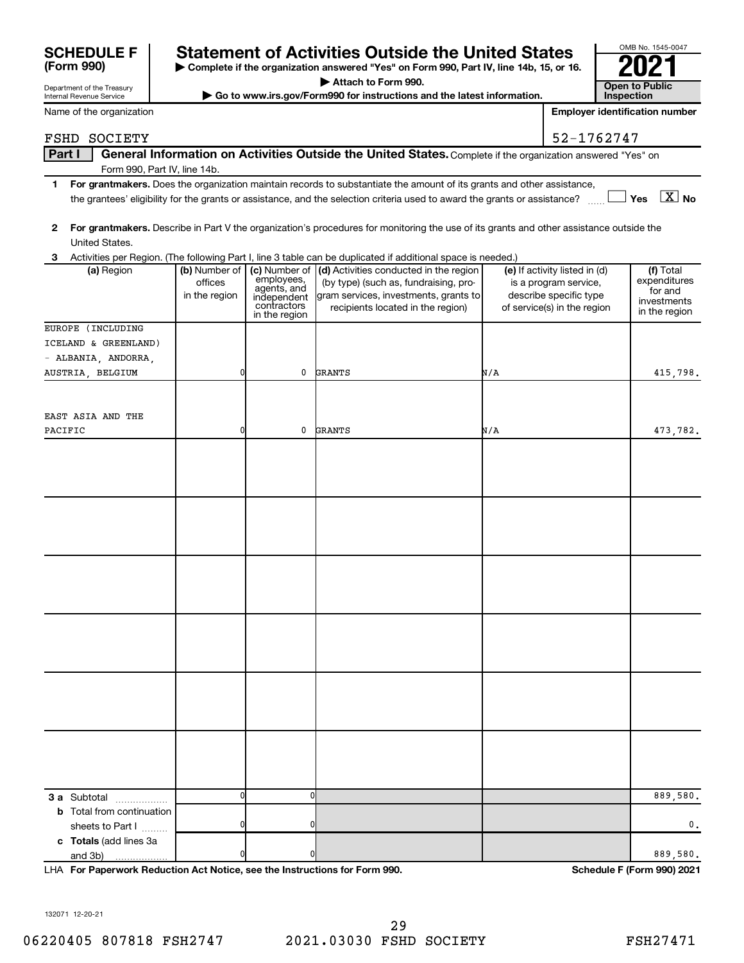| (Form 990)                 |
|----------------------------|
| Department of the Treasury |

## **SCHEDULE F Statement of Activities Outside the United States 2021**

**| Complete if the organization answered "Yes" on Form 990, Part IV, line 14b, 15, or 16. | Attach to Form 990.**

 $\triangleright$  Go to www.irs.gov/Form990 for instructions and the latest information.

| OMB No. 1545-0047                   |
|-------------------------------------|
| 202                                 |
| <b>Open to Public</b><br>Inspection |

Internal Revenue Service Name of the organization

**Employer identification number**

### FSHD SOCIETY **52-1762747**

Part I | General Information on Activities Outside the United States. Complete if the organization answered "Yes" on Form 990, Part IV, line 14b.

- **1 For grantmakers.**  Does the organization maintain records to substantiate the amount of its grants and other assistance, **Yes No** the grantees' eligibility for the grants or assistance, and the selection criteria used to award the grants or assistance? ~~ † † X
- **2 For grantmakers.**  Describe in Part V the organization's procedures for monitoring the use of its grants and other assistance outside the United States.

| 3                                 |                                           |                                                                          | Activities per Region. (The following Part I, line 3 table can be duplicated if additional space is needed.)                                                                |                                                                                                                 |                                                                      |
|-----------------------------------|-------------------------------------------|--------------------------------------------------------------------------|-----------------------------------------------------------------------------------------------------------------------------------------------------------------------------|-----------------------------------------------------------------------------------------------------------------|----------------------------------------------------------------------|
| (a) Region                        | (b) Number of<br>offices<br>in the region | employees,<br>agents, and<br>independent<br>contractors<br>in the region | (c) Number of (d) Activities conducted in the region<br>(by type) (such as, fundraising, pro-<br>gram services, investments, grants to<br>recipients located in the region) | (e) If activity listed in (d)<br>is a program service,<br>describe specific type<br>of service(s) in the region | (f) Total<br>expenditures<br>for and<br>investments<br>in the region |
| EUROPE (INCLUDING                 |                                           |                                                                          |                                                                                                                                                                             |                                                                                                                 |                                                                      |
| ICELAND & GREENLAND)              |                                           |                                                                          |                                                                                                                                                                             |                                                                                                                 |                                                                      |
| - ALBANIA, ANDORRA,               |                                           |                                                                          |                                                                                                                                                                             |                                                                                                                 |                                                                      |
| AUSTRIA, BELGIUM                  | 0                                         | 0                                                                        | <b>GRANTS</b>                                                                                                                                                               | N/A                                                                                                             | 415,798.                                                             |
| EAST ASIA AND THE<br>PACIFIC      | $\overline{0}$                            | $\mathbf 0$                                                              | <b>GRANTS</b>                                                                                                                                                               | N/A                                                                                                             | 473,782.                                                             |
|                                   |                                           |                                                                          |                                                                                                                                                                             |                                                                                                                 |                                                                      |
|                                   |                                           |                                                                          |                                                                                                                                                                             |                                                                                                                 |                                                                      |
|                                   |                                           |                                                                          |                                                                                                                                                                             |                                                                                                                 |                                                                      |
|                                   |                                           |                                                                          |                                                                                                                                                                             |                                                                                                                 |                                                                      |
|                                   |                                           |                                                                          |                                                                                                                                                                             |                                                                                                                 |                                                                      |
|                                   |                                           |                                                                          |                                                                                                                                                                             |                                                                                                                 |                                                                      |
| <b>3 a</b> Subtotal               | $\overline{0}$                            | $\mathbf{0}$                                                             |                                                                                                                                                                             |                                                                                                                 | 889,580.                                                             |
| <b>b</b> Total from continuation  |                                           |                                                                          |                                                                                                                                                                             |                                                                                                                 |                                                                      |
| sheets to Part I                  | $\overline{0}$                            | 0                                                                        |                                                                                                                                                                             |                                                                                                                 | 0.                                                                   |
| c Totals (add lines 3a<br>and 3b) | 0                                         | 0                                                                        |                                                                                                                                                                             |                                                                                                                 | 889,580.                                                             |

**For Paperwork Reduction Act Notice, see the Instructions for Form 990. Schedule F (Form 990) 2021** LHA

132071 12-20-21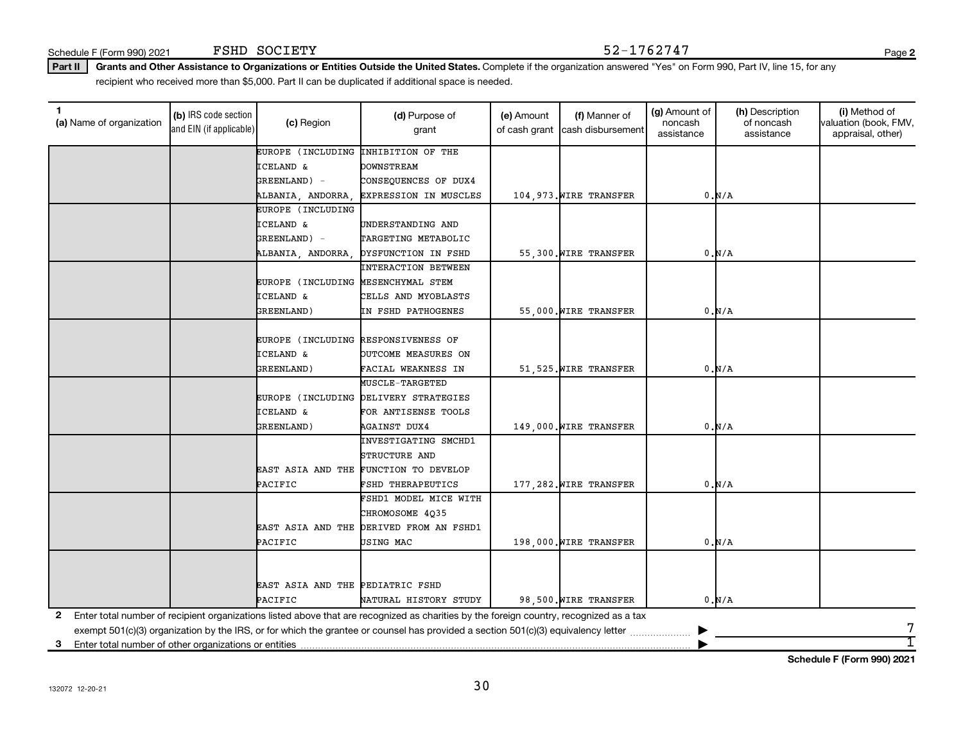Schedule F (Form 990) 2021 FSHD SOCIETY  $52-1762747$ FSHD SOCIETY

**2**

Part II | Grants and Other Assistance to Organizations or Entities Outside the United States. Complete if the organization answered "Yes" on Form 990, Part IV, line 15, for any recipient who received more than \$5,000. Part II can be duplicated if additional space is needed.

| 1<br>(a) Name of organization                              | (b) IRS code section<br>and EIN (if applicable) | (c) Region                          | (d) Purpose of<br>grant                                                                                                                 | (e) Amount<br>of cash grant | (f) Manner of<br>cash disbursement | (g) Amount of<br>noncash<br>assistance | (h) Description<br>of noncash<br>assistance | (i) Method of<br>valuation (book, FMV,<br>appraisal, other) |
|------------------------------------------------------------|-------------------------------------------------|-------------------------------------|-----------------------------------------------------------------------------------------------------------------------------------------|-----------------------------|------------------------------------|----------------------------------------|---------------------------------------------|-------------------------------------------------------------|
|                                                            |                                                 | EUROPE (INCLUDING                   | INHIBITION OF THE                                                                                                                       |                             |                                    |                                        |                                             |                                                             |
|                                                            |                                                 | <b>ICELAND &amp;</b>                | <b>DOWNSTREAM</b>                                                                                                                       |                             |                                    |                                        |                                             |                                                             |
|                                                            |                                                 | GREENLAND) -                        | CONSEQUENCES OF DUX4                                                                                                                    |                             |                                    |                                        |                                             |                                                             |
|                                                            |                                                 | ALBANIA, ANDORRA,                   | <b>EXPRESSION IN MUSCLES</b>                                                                                                            |                             | 104,973. WIRE TRANSFER             |                                        | 0.M/A                                       |                                                             |
|                                                            |                                                 | EUROPE (INCLUDING                   |                                                                                                                                         |                             |                                    |                                        |                                             |                                                             |
|                                                            |                                                 | <b>ICELAND &amp;</b>                | UNDERSTANDING AND                                                                                                                       |                             |                                    |                                        |                                             |                                                             |
|                                                            |                                                 | GREENLAND) -                        | TARGETING METABOLIC                                                                                                                     |                             |                                    |                                        |                                             |                                                             |
|                                                            |                                                 | ALBANIA, ANDORRA,                   | DYSFUNCTION IN FSHD                                                                                                                     |                             | 55,300. WIRE TRANSFER              |                                        | 0.N/A                                       |                                                             |
|                                                            |                                                 |                                     | INTERACTION BETWEEN                                                                                                                     |                             |                                    |                                        |                                             |                                                             |
|                                                            |                                                 | EUROPE (INCLUDING MESENCHYMAL STEM  |                                                                                                                                         |                             |                                    |                                        |                                             |                                                             |
|                                                            |                                                 | <b>ICELAND &amp;</b>                | CELLS AND MYOBLASTS                                                                                                                     |                             |                                    |                                        |                                             |                                                             |
|                                                            |                                                 | GREENLAND)                          | IN FSHD PATHOGENES                                                                                                                      |                             | 55,000. WIRE TRANSFER              |                                        | 0.N/A                                       |                                                             |
|                                                            |                                                 |                                     |                                                                                                                                         |                             |                                    |                                        |                                             |                                                             |
|                                                            |                                                 | EUROPE (INCLUDING RESPONSIVENESS OF |                                                                                                                                         |                             |                                    |                                        |                                             |                                                             |
|                                                            |                                                 | <b>ICELAND &amp;</b>                | OUTCOME MEASURES ON                                                                                                                     |                             |                                    |                                        |                                             |                                                             |
|                                                            |                                                 | GREENLAND)                          | FACIAL WEAKNESS IN                                                                                                                      |                             | 51,525. WIRE TRANSFER              |                                        | 0.N/A                                       |                                                             |
|                                                            |                                                 |                                     | <b>MUSCLE-TARGETED</b>                                                                                                                  |                             |                                    |                                        |                                             |                                                             |
|                                                            |                                                 |                                     | EUROPE (INCLUDING DELIVERY STRATEGIES                                                                                                   |                             |                                    |                                        |                                             |                                                             |
|                                                            |                                                 | <b>ICELAND &amp;</b>                | FOR ANTISENSE TOOLS                                                                                                                     |                             |                                    |                                        |                                             |                                                             |
|                                                            |                                                 | GREENLAND)                          | <b>AGAINST DUX4</b>                                                                                                                     |                             | 149,000. WIRE TRANSFER             |                                        | 0.M/A                                       |                                                             |
|                                                            |                                                 |                                     | INVESTIGATING SMCHD1                                                                                                                    |                             |                                    |                                        |                                             |                                                             |
|                                                            |                                                 |                                     | STRUCTURE AND                                                                                                                           |                             |                                    |                                        |                                             |                                                             |
|                                                            |                                                 |                                     | EAST ASIA AND THE FUNCTION TO DEVELOP                                                                                                   |                             |                                    |                                        |                                             |                                                             |
|                                                            |                                                 | PACIFIC                             | FSHD THERAPEUTICS                                                                                                                       |                             | 177.282. WIRE TRANSFER             |                                        | 0.M/A                                       |                                                             |
|                                                            |                                                 |                                     | FSHD1 MODEL MICE WITH                                                                                                                   |                             |                                    |                                        |                                             |                                                             |
|                                                            |                                                 |                                     | CHROMOSOME 4Q35                                                                                                                         |                             |                                    |                                        |                                             |                                                             |
|                                                            |                                                 | EAST ASIA AND THE                   | DERIVED FROM AN FSHD1                                                                                                                   |                             |                                    |                                        |                                             |                                                             |
|                                                            |                                                 | PACIFIC                             | USING MAC                                                                                                                               |                             | 198,000. WIRE TRANSFER             |                                        | 0.M/A                                       |                                                             |
|                                                            |                                                 |                                     |                                                                                                                                         |                             |                                    |                                        |                                             |                                                             |
|                                                            |                                                 |                                     |                                                                                                                                         |                             |                                    |                                        |                                             |                                                             |
|                                                            |                                                 | EAST ASIA AND THE PEDIATRIC FSHD    |                                                                                                                                         |                             |                                    |                                        |                                             |                                                             |
|                                                            |                                                 | PACIFIC                             | NATURAL HISTORY STUDY                                                                                                                   |                             | 98,500. WIRE TRANSFER              |                                        | 0.N/A                                       |                                                             |
|                                                            |                                                 |                                     |                                                                                                                                         |                             |                                    |                                        |                                             |                                                             |
| 2                                                          |                                                 |                                     | Enter total number of recipient organizations listed above that are recognized as charities by the foreign country, recognized as a tax |                             |                                    |                                        |                                             | 7                                                           |
|                                                            |                                                 |                                     | exempt $501(c)(3)$ organization by the IRS, or for which the grantee or counsel has provided a section $501(c)(3)$ equivalency letter   |                             |                                    |                                        |                                             | 1                                                           |
| Enter total number of other organizations or entities<br>з |                                                 |                                     |                                                                                                                                         |                             |                                    |                                        |                                             |                                                             |

**Schedule F (Form 990) 2021**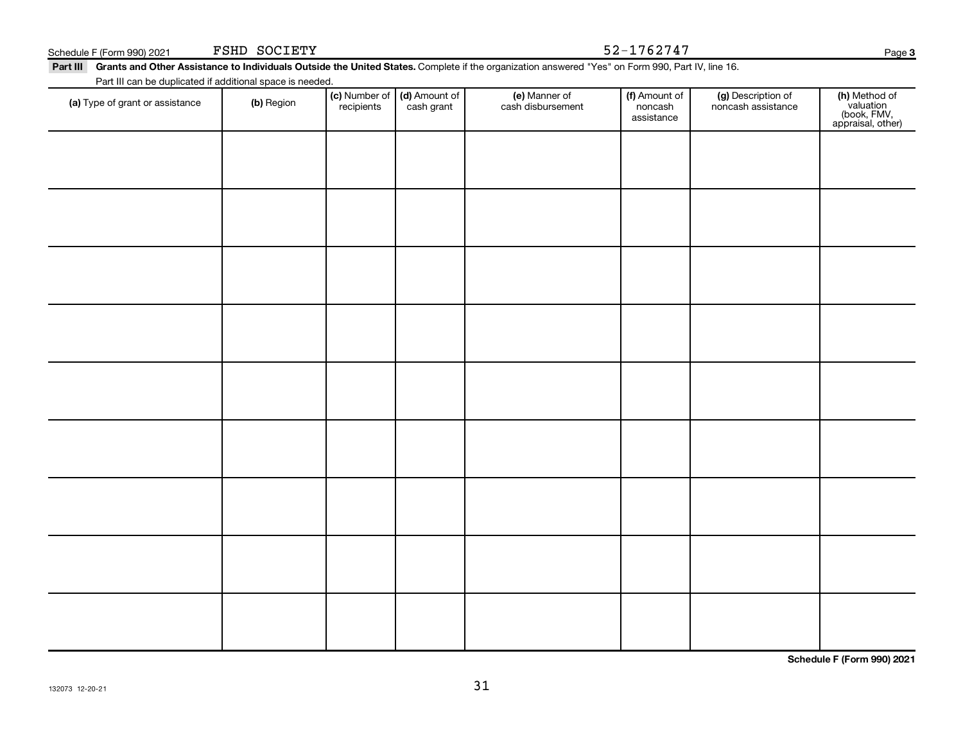| Part III Grants and Other Assistance to Individuals Outside the United States. Complete if the organization answered "Yes" on Form 990, Part IV, line 16. |  |
|-----------------------------------------------------------------------------------------------------------------------------------------------------------|--|
|                                                                                                                                                           |  |

Part III can be duplicated if additional space is needed.

| r art in carried displicated in additional space is riceded.<br>(a) Type of grant or assistance | (b) Region | (c) Number of<br>recipients | (d) Amount of<br>cash grant | (e) Manner of<br>cash disbursement | (f) Amount of<br>noncash<br>assistance | (g) Description of<br>noncash assistance | (h) Method of<br>valuation<br>(book, FMV,<br>appraisal, other) |
|-------------------------------------------------------------------------------------------------|------------|-----------------------------|-----------------------------|------------------------------------|----------------------------------------|------------------------------------------|----------------------------------------------------------------|
|                                                                                                 |            |                             |                             |                                    |                                        |                                          |                                                                |
|                                                                                                 |            |                             |                             |                                    |                                        |                                          |                                                                |
|                                                                                                 |            |                             |                             |                                    |                                        |                                          |                                                                |
|                                                                                                 |            |                             |                             |                                    |                                        |                                          |                                                                |
|                                                                                                 |            |                             |                             |                                    |                                        |                                          |                                                                |
|                                                                                                 |            |                             |                             |                                    |                                        |                                          |                                                                |
|                                                                                                 |            |                             |                             |                                    |                                        |                                          |                                                                |
|                                                                                                 |            |                             |                             |                                    |                                        |                                          |                                                                |
|                                                                                                 |            |                             |                             |                                    |                                        |                                          |                                                                |
|                                                                                                 |            |                             |                             |                                    |                                        |                                          |                                                                |

31

**Schedule F (Form 990) 2021**

 $F_{\rm H D}$  SOCIETY  $52-1762747$ 

**3**

|  | Schedule F (Form 990) 2021 |  | FSHD | SOCIETY | .<br>1762747<br>- ۷ د | Paɑe |  |
|--|----------------------------|--|------|---------|-----------------------|------|--|
|--|----------------------------|--|------|---------|-----------------------|------|--|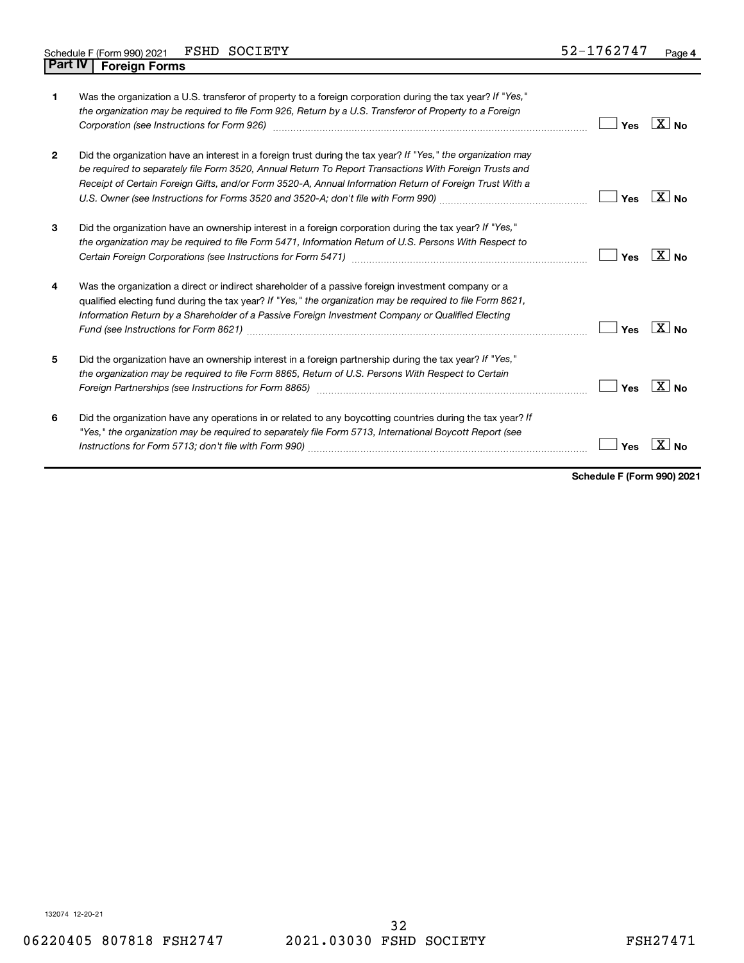| 1              | Was the organization a U.S. transferor of property to a foreign corporation during the tax year? If "Yes,"<br>the organization may be required to file Form 926, Return by a U.S. Transferor of Property to a Foreign<br>Corporation (see Instructions for Form 926) manufactured control and the control of the control of the control of the control of the control of the control of the control of the control of the control of the control of the | Yes | <b>XINo</b>       |
|----------------|---------------------------------------------------------------------------------------------------------------------------------------------------------------------------------------------------------------------------------------------------------------------------------------------------------------------------------------------------------------------------------------------------------------------------------------------------------|-----|-------------------|
| $\overline{2}$ | Did the organization have an interest in a foreign trust during the tax year? If "Yes," the organization may<br>be required to separately file Form 3520, Annual Return To Report Transactions With Foreign Trusts and<br>Receipt of Certain Foreign Gifts, and/or Form 3520-A, Annual Information Return of Foreign Trust With a                                                                                                                       | Yes | $X _{\text{No}}$  |
| 3              | Did the organization have an ownership interest in a foreign corporation during the tax year? If "Yes,"<br>the organization may be required to file Form 5471, Information Return of U.S. Persons With Respect to                                                                                                                                                                                                                                       | Yes | $X _{N_{\Omega}}$ |
| 4              | Was the organization a direct or indirect shareholder of a passive foreign investment company or a<br>qualified electing fund during the tax year? If "Yes," the organization may be required to file Form 8621,<br>Information Return by a Shareholder of a Passive Foreign Investment Company or Qualified Electing                                                                                                                                   | Yes | $X _{\text{No}}$  |
| 5              | Did the organization have an ownership interest in a foreign partnership during the tax year? If "Yes,"<br>the organization may be required to file Form 8865, Return of U.S. Persons With Respect to Certain<br>Foreign Partnerships (see Instructions for Form 8865)                                                                                                                                                                                  | Yes | $X _{N_{\Omega}}$ |
| 6              | Did the organization have any operations in or related to any boycotting countries during the tax year? If<br>"Yes," the organization may be required to separately file Form 5713, International Boycott Report (see                                                                                                                                                                                                                                   | Yes |                   |

**Schedule F (Form 990) 2021**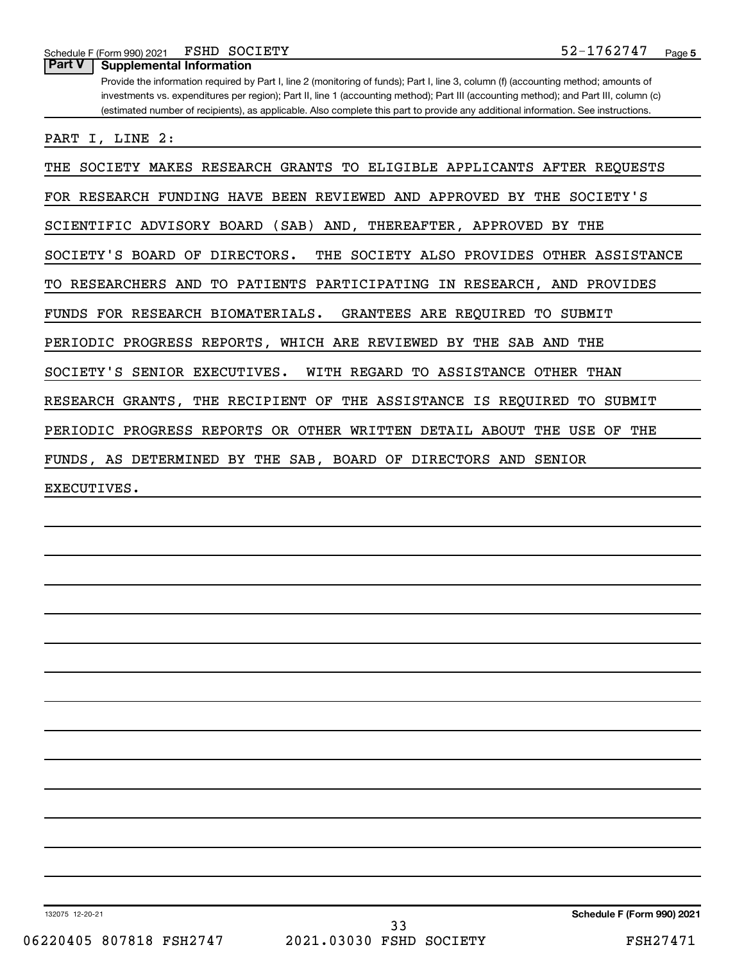Schedule F (Form 990) 2021 FSHD SOCIETY  $52-1762747$ FSHD SOCIETY

Provide the information required by Part I, line 2 (monitoring of funds); Part I, line 3, column (f) (accounting method; amounts of investments vs. expenditures per region); Part II, line 1 (accounting method); Part III (accounting method); and Part III, column (c) (estimated number of recipients), as applicable. Also complete this part to provide any additional information. See instructions. **Part V Supplemental Information**

PART I, LINE 2:

THE SOCIETY MAKES RESEARCH GRANTS TO ELIGIBLE APPLICANTS AFTER REQUESTS

FOR RESEARCH FUNDING HAVE BEEN REVIEWED AND APPROVED BY THE SOCIETY'S

SCIENTIFIC ADVISORY BOARD (SAB) AND, THEREAFTER, APPROVED BY THE

SOCIETY'S BOARD OF DIRECTORS. THE SOCIETY ALSO PROVIDES OTHER ASSISTANCE

TO RESEARCHERS AND TO PATIENTS PARTICIPATING IN RESEARCH, AND PROVIDES

FUNDS FOR RESEARCH BIOMATERIALS. GRANTEES ARE REQUIRED TO SUBMIT

PERIODIC PROGRESS REPORTS, WHICH ARE REVIEWED BY THE SAB AND THE

SOCIETY'S SENIOR EXECUTIVES. WITH REGARD TO ASSISTANCE OTHER THAN

RESEARCH GRANTS, THE RECIPIENT OF THE ASSISTANCE IS REQUIRED TO SUBMIT

PERIODIC PROGRESS REPORTS OR OTHER WRITTEN DETAIL ABOUT THE USE OF THE

FUNDS, AS DETERMINED BY THE SAB, BOARD OF DIRECTORS AND SENIOR

EXECUTIVES.

132075 12-20-21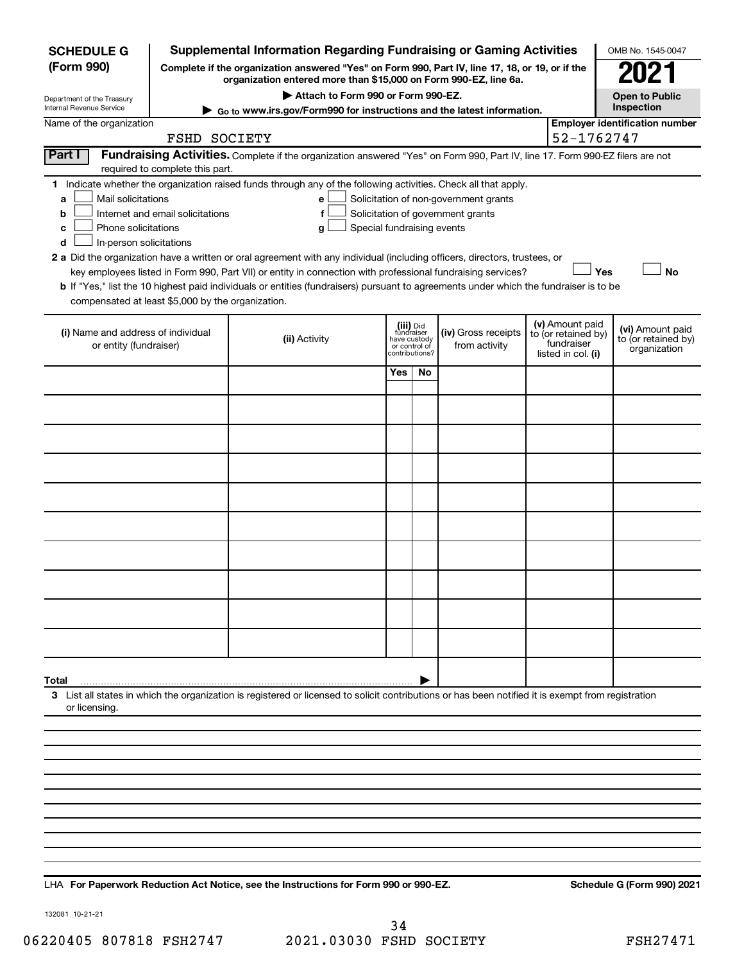| <b>SCHEDULE G</b>                                            |                                                                                                                                                                                                                                                                                                                                                                                                                                                                                                                                                                                                                  | <b>Supplemental Information Regarding Fundraising or Gaming Activities</b>                                                                                          |                                                                            |    |                                      |  |                                                                            | OMB No. 1545-0047                                       |  |  |
|--------------------------------------------------------------|------------------------------------------------------------------------------------------------------------------------------------------------------------------------------------------------------------------------------------------------------------------------------------------------------------------------------------------------------------------------------------------------------------------------------------------------------------------------------------------------------------------------------------------------------------------------------------------------------------------|---------------------------------------------------------------------------------------------------------------------------------------------------------------------|----------------------------------------------------------------------------|----|--------------------------------------|--|----------------------------------------------------------------------------|---------------------------------------------------------|--|--|
| (Form 990)                                                   |                                                                                                                                                                                                                                                                                                                                                                                                                                                                                                                                                                                                                  | Complete if the organization answered "Yes" on Form 990, Part IV, line 17, 18, or 19, or if the<br>organization entered more than \$15,000 on Form 990-EZ, line 6a. |                                                                            |    |                                      |  |                                                                            | 2021                                                    |  |  |
| Department of the Treasury                                   |                                                                                                                                                                                                                                                                                                                                                                                                                                                                                                                                                                                                                  | Attach to Form 990 or Form 990-EZ.                                                                                                                                  |                                                                            |    |                                      |  |                                                                            | <b>Open to Public</b>                                   |  |  |
| Internal Revenue Service<br>Name of the organization         |                                                                                                                                                                                                                                                                                                                                                                                                                                                                                                                                                                                                                  | Go to www.irs.gov/Form990 for instructions and the latest information.                                                                                              |                                                                            |    |                                      |  |                                                                            | Inspection<br><b>Employer identification number</b>     |  |  |
|                                                              | FSHD SOCIETY                                                                                                                                                                                                                                                                                                                                                                                                                                                                                                                                                                                                     |                                                                                                                                                                     |                                                                            |    |                                      |  | 52-1762747                                                                 |                                                         |  |  |
| Part I                                                       | required to complete this part.                                                                                                                                                                                                                                                                                                                                                                                                                                                                                                                                                                                  | Fundraising Activities. Complete if the organization answered "Yes" on Form 990, Part IV, line 17. Form 990-EZ filers are not                                       |                                                                            |    |                                      |  |                                                                            |                                                         |  |  |
| a<br>b<br>с<br>d                                             | 1 Indicate whether the organization raised funds through any of the following activities. Check all that apply.<br>Mail solicitations<br>Solicitation of non-government grants<br>е<br>Internet and email solicitations<br>Solicitation of government grants<br>f<br>Phone solicitations<br>Special fundraising events<br>g<br>In-person solicitations<br>2 a Did the organization have a written or oral agreement with any individual (including officers, directors, trustees, or<br>Yes<br>key employees listed in Form 990, Part VII) or entity in connection with professional fundraising services?<br>No |                                                                                                                                                                     |                                                                            |    |                                      |  |                                                                            |                                                         |  |  |
| compensated at least \$5,000 by the organization.            |                                                                                                                                                                                                                                                                                                                                                                                                                                                                                                                                                                                                                  | b If "Yes," list the 10 highest paid individuals or entities (fundraisers) pursuant to agreements under which the fundraiser is to be                               |                                                                            |    |                                      |  |                                                                            |                                                         |  |  |
| (i) Name and address of individual<br>or entity (fundraiser) |                                                                                                                                                                                                                                                                                                                                                                                                                                                                                                                                                                                                                  | (ii) Activity                                                                                                                                                       | (iii) Did<br>fundraiser<br>have custody<br>or control of<br>contributions? |    | (iv) Gross receipts<br>from activity |  | (v) Amount paid<br>to (or retained by)<br>fundraiser<br>listed in col. (i) | (vi) Amount paid<br>to (or retained by)<br>organization |  |  |
|                                                              |                                                                                                                                                                                                                                                                                                                                                                                                                                                                                                                                                                                                                  |                                                                                                                                                                     | Yes                                                                        | No |                                      |  |                                                                            |                                                         |  |  |
|                                                              |                                                                                                                                                                                                                                                                                                                                                                                                                                                                                                                                                                                                                  |                                                                                                                                                                     |                                                                            |    |                                      |  |                                                                            |                                                         |  |  |
|                                                              |                                                                                                                                                                                                                                                                                                                                                                                                                                                                                                                                                                                                                  |                                                                                                                                                                     |                                                                            |    |                                      |  |                                                                            |                                                         |  |  |
|                                                              |                                                                                                                                                                                                                                                                                                                                                                                                                                                                                                                                                                                                                  |                                                                                                                                                                     |                                                                            |    |                                      |  |                                                                            |                                                         |  |  |
|                                                              |                                                                                                                                                                                                                                                                                                                                                                                                                                                                                                                                                                                                                  |                                                                                                                                                                     |                                                                            |    |                                      |  |                                                                            |                                                         |  |  |
|                                                              |                                                                                                                                                                                                                                                                                                                                                                                                                                                                                                                                                                                                                  |                                                                                                                                                                     |                                                                            |    |                                      |  |                                                                            |                                                         |  |  |
|                                                              |                                                                                                                                                                                                                                                                                                                                                                                                                                                                                                                                                                                                                  |                                                                                                                                                                     |                                                                            |    |                                      |  |                                                                            |                                                         |  |  |
|                                                              |                                                                                                                                                                                                                                                                                                                                                                                                                                                                                                                                                                                                                  |                                                                                                                                                                     |                                                                            |    |                                      |  |                                                                            |                                                         |  |  |
|                                                              |                                                                                                                                                                                                                                                                                                                                                                                                                                                                                                                                                                                                                  |                                                                                                                                                                     |                                                                            |    |                                      |  |                                                                            |                                                         |  |  |
|                                                              |                                                                                                                                                                                                                                                                                                                                                                                                                                                                                                                                                                                                                  |                                                                                                                                                                     |                                                                            |    |                                      |  |                                                                            |                                                         |  |  |
| Total                                                        |                                                                                                                                                                                                                                                                                                                                                                                                                                                                                                                                                                                                                  |                                                                                                                                                                     |                                                                            |    |                                      |  |                                                                            |                                                         |  |  |
| or licensing.                                                |                                                                                                                                                                                                                                                                                                                                                                                                                                                                                                                                                                                                                  | 3 List all states in which the organization is registered or licensed to solicit contributions or has been notified it is exempt from registration                  |                                                                            |    |                                      |  |                                                                            |                                                         |  |  |
|                                                              |                                                                                                                                                                                                                                                                                                                                                                                                                                                                                                                                                                                                                  |                                                                                                                                                                     |                                                                            |    |                                      |  |                                                                            |                                                         |  |  |
|                                                              |                                                                                                                                                                                                                                                                                                                                                                                                                                                                                                                                                                                                                  |                                                                                                                                                                     |                                                                            |    |                                      |  |                                                                            |                                                         |  |  |
|                                                              |                                                                                                                                                                                                                                                                                                                                                                                                                                                                                                                                                                                                                  |                                                                                                                                                                     |                                                                            |    |                                      |  |                                                                            |                                                         |  |  |
|                                                              |                                                                                                                                                                                                                                                                                                                                                                                                                                                                                                                                                                                                                  |                                                                                                                                                                     |                                                                            |    |                                      |  |                                                                            |                                                         |  |  |
|                                                              |                                                                                                                                                                                                                                                                                                                                                                                                                                                                                                                                                                                                                  |                                                                                                                                                                     |                                                                            |    |                                      |  |                                                                            |                                                         |  |  |
|                                                              |                                                                                                                                                                                                                                                                                                                                                                                                                                                                                                                                                                                                                  |                                                                                                                                                                     |                                                                            |    |                                      |  |                                                                            |                                                         |  |  |
|                                                              |                                                                                                                                                                                                                                                                                                                                                                                                                                                                                                                                                                                                                  |                                                                                                                                                                     |                                                                            |    |                                      |  |                                                                            |                                                         |  |  |

LHA For Paperwork Reduction Act Notice, see the Instructions for Form 990 or 990-EZ. Schedule G (Form 990) 2021

132081 10-21-21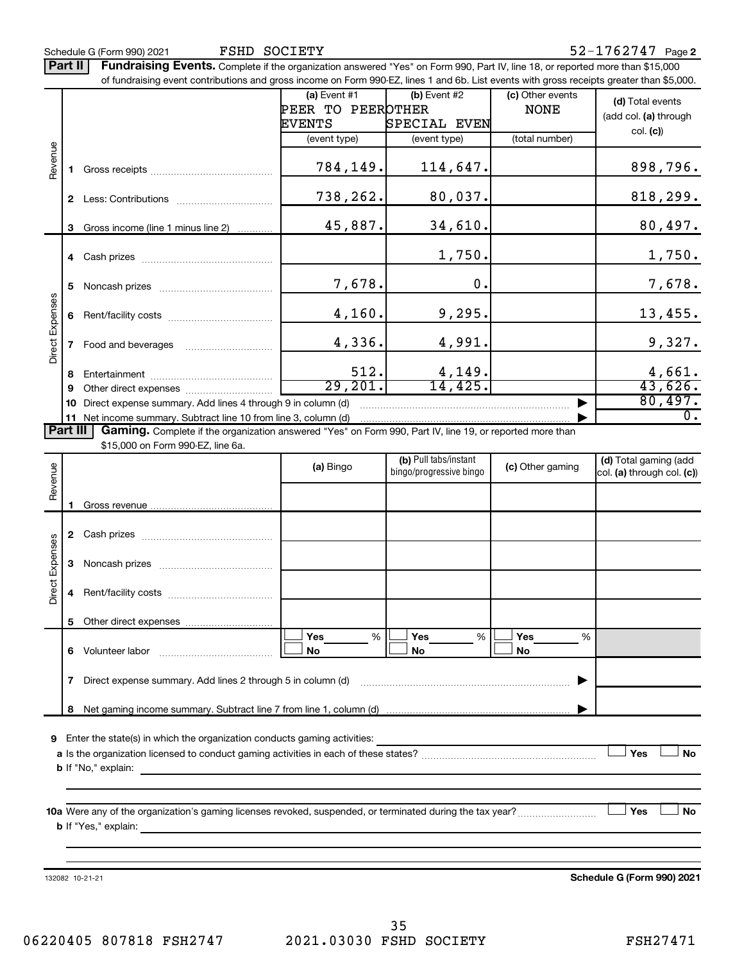FSHD SOCIETY

Part II | Fundraising Events. Complete if the organization answered "Yes" on Form 990, Part IV, line 18, or reported more than \$15,000 of fundraising event contributions and gross income on Form 990-EZ, lines 1 and 6b. List events with gross receipts greater than \$5,000.

|                 |                |                                                                                                                 | (a) Event $#1$<br>PEER TO PEEROTHER | $(b)$ Event #2                                   | (c) Other events | (d) Total events                                    |  |  |
|-----------------|----------------|-----------------------------------------------------------------------------------------------------------------|-------------------------------------|--------------------------------------------------|------------------|-----------------------------------------------------|--|--|
|                 |                |                                                                                                                 | EVENTS                              |                                                  | <b>NONE</b>      | (add col. (a) through                               |  |  |
|                 |                |                                                                                                                 |                                     | SPECIAL EVEN                                     |                  | col. (c)                                            |  |  |
|                 |                |                                                                                                                 | (event type)                        | (event type)                                     | (total number)   |                                                     |  |  |
| Revenue         | 1.             |                                                                                                                 | 784,149.                            | 114,647.                                         |                  | 898,796.                                            |  |  |
|                 | 2              |                                                                                                                 | 738,262.                            | 80,037.                                          |                  | 818,299.                                            |  |  |
|                 |                | 3 Gross income (line 1 minus line 2)                                                                            | 45,887.                             | 34,610.                                          |                  | 80,497.                                             |  |  |
|                 |                |                                                                                                                 |                                     | 1,750.                                           |                  | 1,750.                                              |  |  |
| Direct Expenses | 5.             |                                                                                                                 | 7,678.                              | 0.                                               |                  | 7,678.                                              |  |  |
|                 | 6              |                                                                                                                 | 4,160.                              | 9,295.                                           |                  | 13,455.                                             |  |  |
|                 | $\overline{7}$ |                                                                                                                 | 4,336.                              | 4,991.                                           |                  | 9,327.                                              |  |  |
|                 |                |                                                                                                                 | 512.                                |                                                  |                  |                                                     |  |  |
|                 | 8              |                                                                                                                 |                                     | 4,149.                                           |                  | 4,661.                                              |  |  |
|                 | 9              |                                                                                                                 | 29,201.                             | 14,425.                                          |                  | 43,626.                                             |  |  |
|                 | 10             | Direct expense summary. Add lines 4 through 9 in column (d)                                                     |                                     |                                                  |                  | 80,497.                                             |  |  |
|                 |                | 11 Net income summary. Subtract line 10 from line 3, column (d)                                                 |                                     |                                                  |                  | $\overline{0}$ .                                    |  |  |
| <b>Part III</b> |                | <b>Gaming.</b> Complete if the organization answered "Yes" on Form 990, Part IV, line 19, or reported more than |                                     |                                                  |                  |                                                     |  |  |
|                 |                | \$15,000 on Form 990-EZ, line 6a.                                                                               |                                     |                                                  |                  |                                                     |  |  |
|                 |                |                                                                                                                 | (a) Bingo                           | (b) Pull tabs/instant<br>bingo/progressive bingo | (c) Other gaming | (d) Total gaming (add<br>col. (a) through col. (c)) |  |  |
| Revenue         |                | $1$ Cross revenue                                                                                               |                                     |                                                  |                  |                                                     |  |  |

| ድ               |                                                                  |                                                                                                                                                                                                |  |                          |  |                  |      |                  |   |  |
|-----------------|------------------------------------------------------------------|------------------------------------------------------------------------------------------------------------------------------------------------------------------------------------------------|--|--------------------------|--|------------------|------|------------------|---|--|
|                 | 2                                                                |                                                                                                                                                                                                |  |                          |  |                  |      |                  |   |  |
|                 | 3                                                                |                                                                                                                                                                                                |  |                          |  |                  |      |                  |   |  |
| Direct Expenses | 4                                                                |                                                                                                                                                                                                |  |                          |  |                  |      |                  |   |  |
|                 | 5                                                                |                                                                                                                                                                                                |  |                          |  |                  |      |                  |   |  |
|                 | 6                                                                | Volunteer labor                                                                                                                                                                                |  | <b>Yes</b><br>$\%$<br>No |  | <b>Yes</b><br>No | $\%$ | <b>Yes</b><br>No | % |  |
|                 | Direct expense summary. Add lines 2 through 5 in column (d)<br>7 |                                                                                                                                                                                                |  |                          |  |                  |      |                  |   |  |
|                 | 8                                                                |                                                                                                                                                                                                |  |                          |  |                  |      |                  |   |  |
| 9               |                                                                  | Enter the state(s) in which the organization conducts gaming activities:<br>المعادل والمنافسة والمنافس والمتنادين والمتنادين والمتنادين والمتنادين والمتنادين والمتنادين والمتنادين والمتنادين |  |                          |  |                  |      |                  |   |  |

**a Yes No** Is the organization licensed to conduct gaming activities in each of these states? ~~~~~~~~~~~~~~~~~~~~ † † **b** If "No," explain:

**10 a Yes No** Were any of the organization's gaming licenses revoked, suspended, or terminated during the tax year? ~~~~~~~~~ † † **b** If "Yes," explain:

132082 10-21-21

**Schedule G (Form 990) 2021**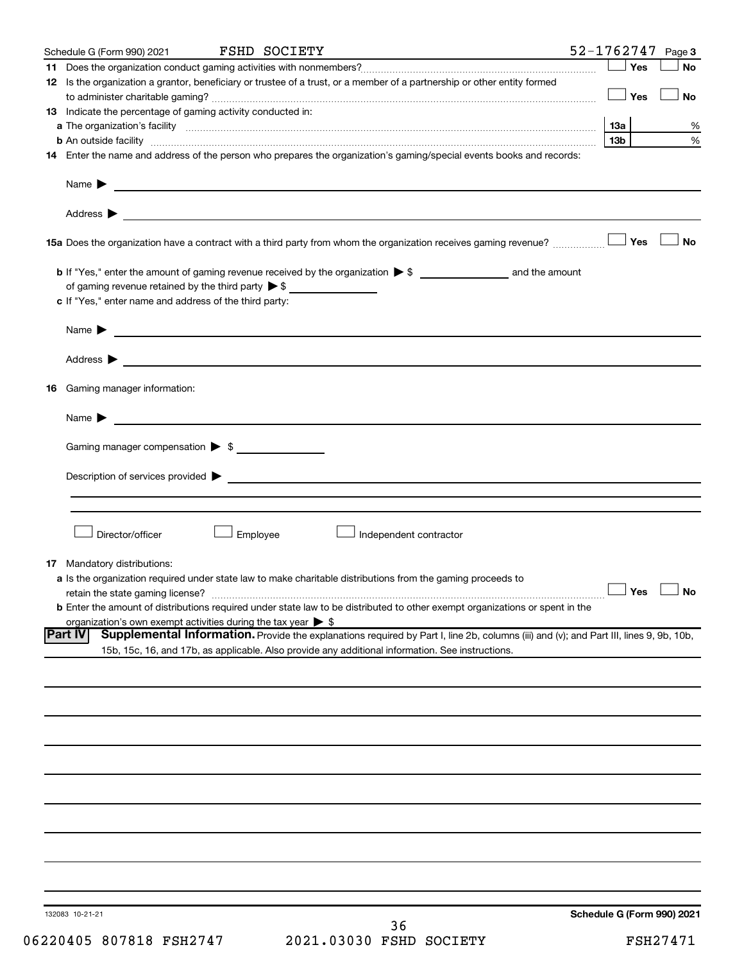|    | Schedule G (Form 990) 2021                                                   | <b>FSHD SOCIETY</b>                                                                                                                                                                                                            | 52-1762747<br>Page 3              |
|----|------------------------------------------------------------------------------|--------------------------------------------------------------------------------------------------------------------------------------------------------------------------------------------------------------------------------|-----------------------------------|
|    |                                                                              |                                                                                                                                                                                                                                | Yes<br>No                         |
|    |                                                                              | 12 Is the organization a grantor, beneficiary or trustee of a trust, or a member of a partnership or other entity formed                                                                                                       |                                   |
|    |                                                                              |                                                                                                                                                                                                                                | Yes<br><b>No</b>                  |
|    | 13 Indicate the percentage of gaming activity conducted in:                  |                                                                                                                                                                                                                                |                                   |
|    |                                                                              | a The organization's facility www.communication.communications are produced as the organization's facility www.communications and a series of the original state of the state of the state of the state of the state of the st | 13a<br>%                          |
|    |                                                                              |                                                                                                                                                                                                                                | 13 <sub>b</sub><br>%              |
|    |                                                                              | 14 Enter the name and address of the person who prepares the organization's gaming/special events books and records:                                                                                                           |                                   |
|    |                                                                              |                                                                                                                                                                                                                                |                                   |
|    |                                                                              |                                                                                                                                                                                                                                |                                   |
|    |                                                                              |                                                                                                                                                                                                                                |                                   |
|    |                                                                              |                                                                                                                                                                                                                                |                                   |
|    |                                                                              |                                                                                                                                                                                                                                |                                   |
|    |                                                                              |                                                                                                                                                                                                                                | Yes<br>No                         |
|    |                                                                              | 15a Does the organization have a contract with a third party from whom the organization receives gaming revenue?                                                                                                               |                                   |
|    |                                                                              |                                                                                                                                                                                                                                |                                   |
|    |                                                                              |                                                                                                                                                                                                                                |                                   |
|    |                                                                              |                                                                                                                                                                                                                                |                                   |
|    | c If "Yes," enter name and address of the third party:                       |                                                                                                                                                                                                                                |                                   |
|    |                                                                              |                                                                                                                                                                                                                                |                                   |
|    |                                                                              | Name $\blacktriangleright$ $\_\_\_\_\_\_\_\_\$                                                                                                                                                                                 |                                   |
|    |                                                                              |                                                                                                                                                                                                                                |                                   |
|    |                                                                              |                                                                                                                                                                                                                                |                                   |
|    |                                                                              |                                                                                                                                                                                                                                |                                   |
| 16 | Gaming manager information:                                                  |                                                                                                                                                                                                                                |                                   |
|    |                                                                              |                                                                                                                                                                                                                                |                                   |
|    |                                                                              |                                                                                                                                                                                                                                |                                   |
|    |                                                                              |                                                                                                                                                                                                                                |                                   |
|    | Gaming manager compensation > \$                                             |                                                                                                                                                                                                                                |                                   |
|    |                                                                              |                                                                                                                                                                                                                                |                                   |
|    |                                                                              |                                                                                                                                                                                                                                |                                   |
|    |                                                                              |                                                                                                                                                                                                                                |                                   |
|    |                                                                              |                                                                                                                                                                                                                                |                                   |
|    |                                                                              |                                                                                                                                                                                                                                |                                   |
|    | Director/officer                                                             | Employee<br>Independent contractor                                                                                                                                                                                             |                                   |
|    |                                                                              |                                                                                                                                                                                                                                |                                   |
|    | <b>17</b> Mandatory distributions:                                           |                                                                                                                                                                                                                                |                                   |
|    |                                                                              | a Is the organization required under state law to make charitable distributions from the gaming proceeds to                                                                                                                    |                                   |
|    | retain the state gaming license?                                             |                                                                                                                                                                                                                                | $\Box$ Yes $\Box$ No              |
|    |                                                                              | <b>b</b> Enter the amount of distributions required under state law to be distributed to other exempt organizations or spent in the                                                                                            |                                   |
|    | organization's own exempt activities during the tax year $\triangleright$ \$ |                                                                                                                                                                                                                                |                                   |
|    | <b>Part IV</b>                                                               | Supplemental Information. Provide the explanations required by Part I, line 2b, columns (iii) and (v); and Part III, lines 9, 9b, 10b,                                                                                         |                                   |
|    |                                                                              | 15b, 15c, 16, and 17b, as applicable. Also provide any additional information. See instructions.                                                                                                                               |                                   |
|    |                                                                              |                                                                                                                                                                                                                                |                                   |
|    |                                                                              |                                                                                                                                                                                                                                |                                   |
|    |                                                                              |                                                                                                                                                                                                                                |                                   |
|    |                                                                              |                                                                                                                                                                                                                                |                                   |
|    |                                                                              |                                                                                                                                                                                                                                |                                   |
|    |                                                                              |                                                                                                                                                                                                                                |                                   |
|    |                                                                              |                                                                                                                                                                                                                                |                                   |
|    |                                                                              |                                                                                                                                                                                                                                |                                   |
|    |                                                                              |                                                                                                                                                                                                                                |                                   |
|    |                                                                              |                                                                                                                                                                                                                                |                                   |
|    |                                                                              |                                                                                                                                                                                                                                |                                   |
|    |                                                                              |                                                                                                                                                                                                                                |                                   |
|    |                                                                              |                                                                                                                                                                                                                                |                                   |
|    |                                                                              |                                                                                                                                                                                                                                |                                   |
|    |                                                                              |                                                                                                                                                                                                                                |                                   |
|    |                                                                              |                                                                                                                                                                                                                                |                                   |
|    |                                                                              |                                                                                                                                                                                                                                |                                   |
|    |                                                                              |                                                                                                                                                                                                                                |                                   |
|    | 132083 10-21-21                                                              | つよ                                                                                                                                                                                                                             | <b>Schedule G (Form 990) 2021</b> |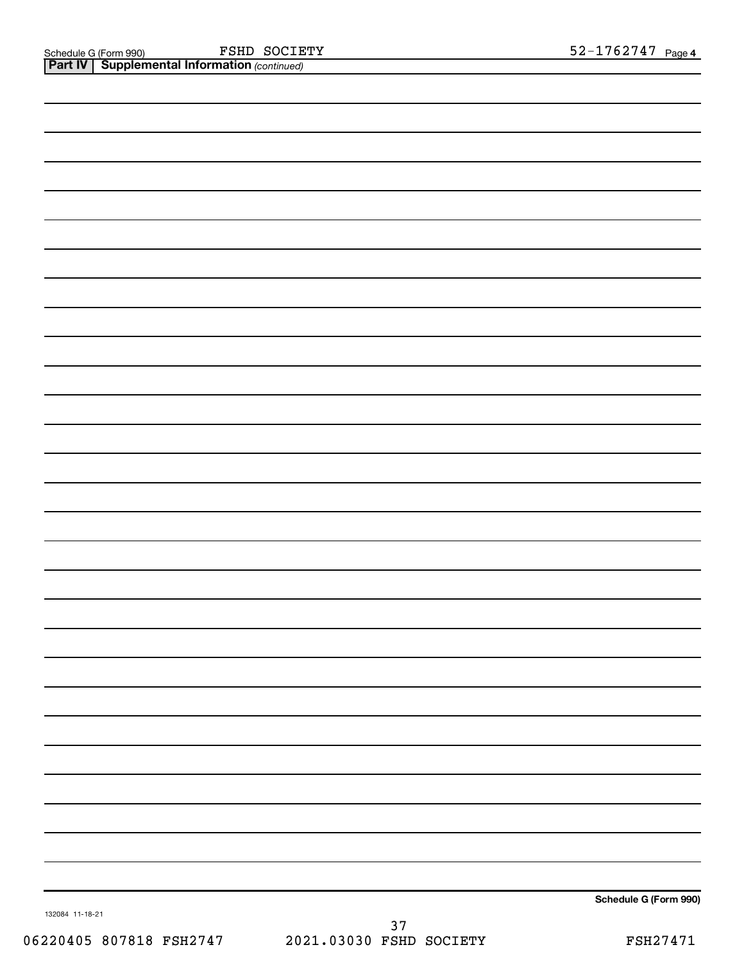FSHD SOCIETY

**Part IV** | Supplemental Information (continued)

**Schedule G (Form 990)**

132084 11-18-21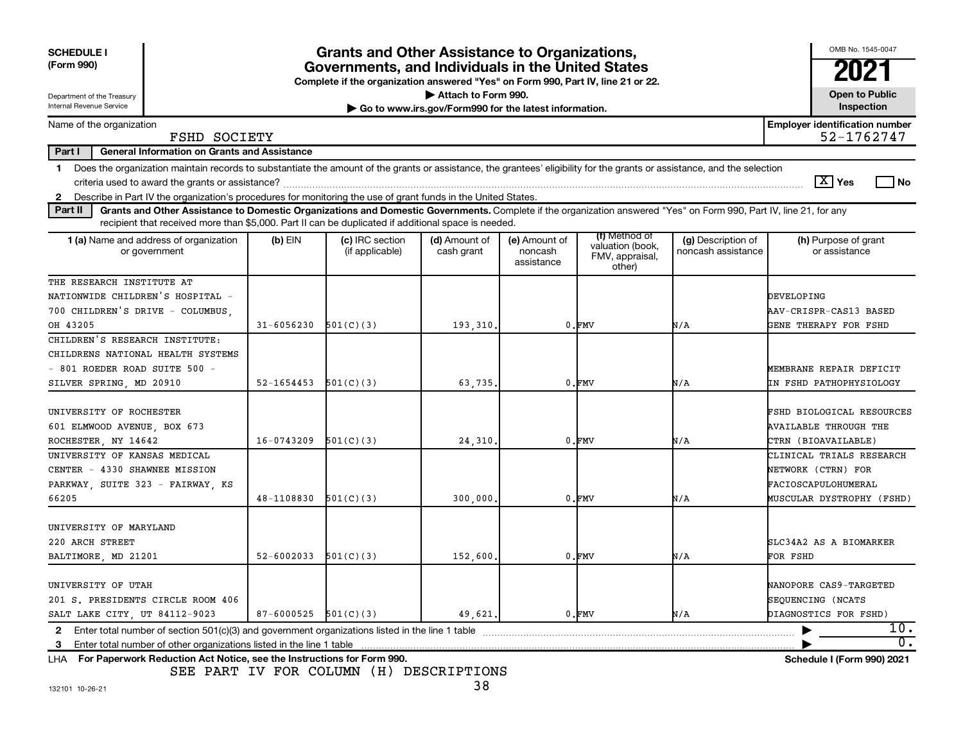| <b>SCHEDULE I</b><br>(Form 990)                                                                                                                                                                                                                                                      |                | <b>Grants and Other Assistance to Organizations,</b><br>Governments, and Individuals in the United States<br>Complete if the organization answered "Yes" on Form 990, Part IV, line 21 or 22. |                                                                              |                                        |                                                                |                                          | OMB No. 1545-0047<br>2021                                                        |
|--------------------------------------------------------------------------------------------------------------------------------------------------------------------------------------------------------------------------------------------------------------------------------------|----------------|-----------------------------------------------------------------------------------------------------------------------------------------------------------------------------------------------|------------------------------------------------------------------------------|----------------------------------------|----------------------------------------------------------------|------------------------------------------|----------------------------------------------------------------------------------|
| Department of the Treasury<br>Internal Revenue Service                                                                                                                                                                                                                               |                |                                                                                                                                                                                               | Attach to Form 990.<br>Go to www.irs.gov/Form990 for the latest information. |                                        |                                                                |                                          | <b>Open to Public</b><br><b>Inspection</b>                                       |
| Name of the organization<br>FSHD SOCIETY                                                                                                                                                                                                                                             |                |                                                                                                                                                                                               |                                                                              |                                        |                                                                |                                          | <b>Employer identification number</b><br>52-1762747                              |
| Part I<br><b>General Information on Grants and Assistance</b>                                                                                                                                                                                                                        |                |                                                                                                                                                                                               |                                                                              |                                        |                                                                |                                          |                                                                                  |
| Does the organization maintain records to substantiate the amount of the grants or assistance, the grantees' eligibility for the grants or assistance, and the selection<br>1.                                                                                                       |                |                                                                                                                                                                                               |                                                                              |                                        |                                                                |                                          | $\boxed{\text{X}}$ Yes<br>No.                                                    |
| 2 Describe in Part IV the organization's procedures for monitoring the use of grant funds in the United States.                                                                                                                                                                      |                |                                                                                                                                                                                               |                                                                              |                                        |                                                                |                                          |                                                                                  |
| Part II<br>Grants and Other Assistance to Domestic Organizations and Domestic Governments. Complete if the organization answered "Yes" on Form 990, Part IV, line 21, for any<br>recipient that received more than \$5,000. Part II can be duplicated if additional space is needed. |                |                                                                                                                                                                                               |                                                                              |                                        |                                                                |                                          |                                                                                  |
| 1 (a) Name and address of organization<br>or government                                                                                                                                                                                                                              | $(b)$ EIN      | (c) IRC section<br>(if applicable)                                                                                                                                                            | (d) Amount of<br>cash grant                                                  | (e) Amount of<br>noncash<br>assistance | (f) Method of<br>valuation (book,<br>FMV, appraisal,<br>other) | (g) Description of<br>noncash assistance | (h) Purpose of grant<br>or assistance                                            |
| THE RESEARCH INSTITUTE AT                                                                                                                                                                                                                                                            |                |                                                                                                                                                                                               |                                                                              |                                        |                                                                |                                          |                                                                                  |
| NATIONWIDE CHILDREN'S HOSPITAL -                                                                                                                                                                                                                                                     |                |                                                                                                                                                                                               |                                                                              |                                        |                                                                |                                          | <b>DEVELOPING</b>                                                                |
| 700 CHILDREN'S DRIVE - COLUMBUS.                                                                                                                                                                                                                                                     |                |                                                                                                                                                                                               |                                                                              | AAV-CRISPR-CAS13 BASED                 |                                                                |                                          |                                                                                  |
| OH 43205                                                                                                                                                                                                                                                                             | $31 - 6056230$ | 501(C)(3)                                                                                                                                                                                     | 193,310.                                                                     |                                        | $0.$ $FMV$                                                     | N/A                                      | GENE THERAPY FOR FSHD                                                            |
| CHILDREN'S RESEARCH INSTITUTE:                                                                                                                                                                                                                                                       |                |                                                                                                                                                                                               |                                                                              |                                        |                                                                |                                          |                                                                                  |
| CHILDRENS NATIONAL HEALTH SYSTEMS                                                                                                                                                                                                                                                    |                |                                                                                                                                                                                               |                                                                              |                                        |                                                                |                                          |                                                                                  |
| $-$ 801 ROEDER ROAD SUITE 500 $-$                                                                                                                                                                                                                                                    |                |                                                                                                                                                                                               |                                                                              |                                        |                                                                |                                          | MEMBRANE REPAIR DEFICIT                                                          |
| SILVER SPRING, MD 20910                                                                                                                                                                                                                                                              | 52-1654453     | 501(C)(3)                                                                                                                                                                                     | 63,735.                                                                      |                                        | $0.$ $FMV$                                                     | N/A                                      | IN FSHD PATHOPHYSIOLOGY                                                          |
| UNIVERSITY OF ROCHESTER<br>601 ELMWOOD AVENUE, BOX 673<br>ROCHESTER, NY 14642                                                                                                                                                                                                        | 16-0743209     | 501(C)(3)                                                                                                                                                                                     | 24,310                                                                       |                                        | $0.$ $FMV$                                                     | N/A                                      | FSHD BIOLOGICAL RESOURCES<br><b>AVAILABLE THROUGH THE</b><br>CTRN (BIOAVAILABLE) |
| UNIVERSITY OF KANSAS MEDICAL                                                                                                                                                                                                                                                         |                |                                                                                                                                                                                               |                                                                              |                                        |                                                                |                                          | CLINICAL TRIALS RESEARCH                                                         |
| CENTER - 4330 SHAWNEE MISSION                                                                                                                                                                                                                                                        |                |                                                                                                                                                                                               |                                                                              |                                        |                                                                |                                          | NETWORK (CTRN) FOR                                                               |
| PARKWAY, SUITE 323 - FAIRWAY, KS                                                                                                                                                                                                                                                     |                |                                                                                                                                                                                               |                                                                              |                                        |                                                                |                                          | FACIOSCAPULOHUMERAL                                                              |
| 66205                                                                                                                                                                                                                                                                                | 48-1108830     | 501(C)(3)                                                                                                                                                                                     | 300,000,                                                                     |                                        | $0.$ $FMV$                                                     | N/A                                      | MUSCULAR DYSTROPHY (FSHD)                                                        |
| UNIVERSITY OF MARYLAND<br>220 ARCH STREET                                                                                                                                                                                                                                            | 52-6002033     | 501(C)(3)                                                                                                                                                                                     |                                                                              |                                        | $0.$ $FMV$                                                     | N/A                                      | SLC34A2 AS A BIOMARKER<br>FOR FSHD                                               |
| BALTIMORE, MD 21201                                                                                                                                                                                                                                                                  |                |                                                                                                                                                                                               | 152,600                                                                      |                                        |                                                                |                                          |                                                                                  |
| UNIVERSITY OF UTAH<br>201 S. PRESIDENTS CIRCLE ROOM 406<br>SALT LAKE CITY, UT 84112-9023                                                                                                                                                                                             | 87-6000525     | 501(C)(3)                                                                                                                                                                                     | 49,621,                                                                      |                                        | $0.$ $FMV$                                                     | N/A                                      | NANOPORE CAS9-TARGETED<br>SEQUENCING (NCATS<br>DIAGNOSTICS FOR FSHD)             |
| Enter total number of section $501(c)(3)$ and government organizations listed in the line 1 table<br>$\mathbf{2}$                                                                                                                                                                    |                |                                                                                                                                                                                               |                                                                              |                                        |                                                                |                                          | 10.                                                                              |
| 3                                                                                                                                                                                                                                                                                    |                |                                                                                                                                                                                               |                                                                              |                                        |                                                                |                                          | 0.                                                                               |
| LHA For Paperwork Reduction Act Notice, see the Instructions for Form 990.                                                                                                                                                                                                           |                |                                                                                                                                                                                               |                                                                              |                                        |                                                                |                                          | Schedule I (Form 990) 2021                                                       |

SEE PART IV FOR COLUMN (H) DESCRIPTIONS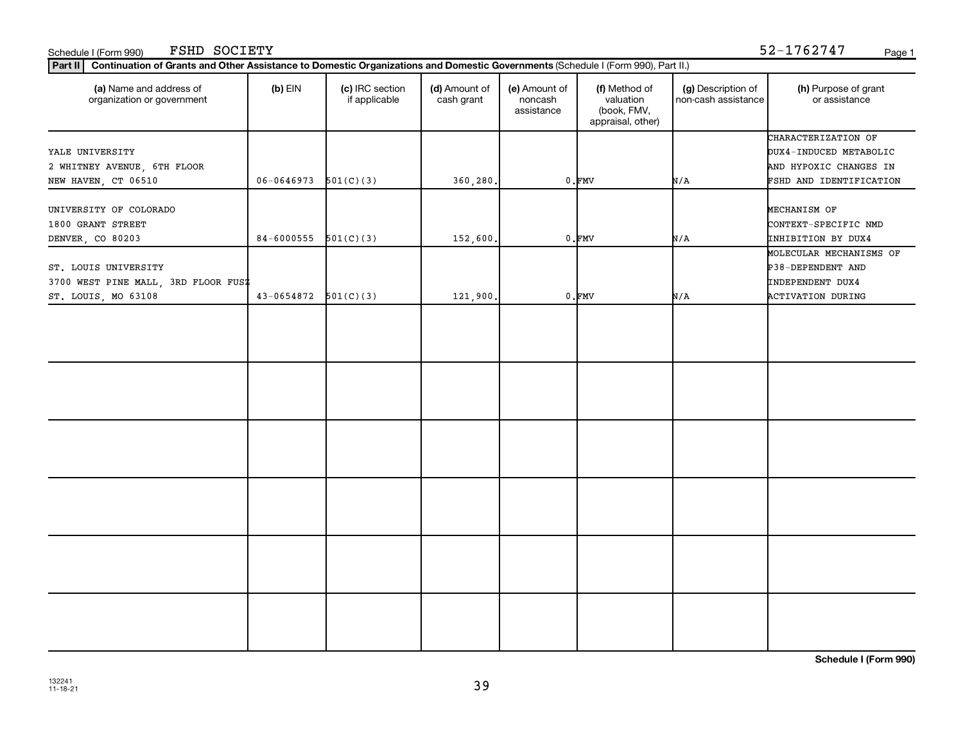#### Schedule I (Form 990) Page 1 FSHD SOCIETY 52-1762747

| (a) Name and address of<br>organization or government                              | $(b)$ EIN                | (c) IRC section<br>if applicable | (d) Amount of<br>cash grant | (e) Amount of<br>noncash<br>assistance | (f) Method of<br>valuation<br>(book, FMV,<br>appraisal, other) | (g) Description of<br>non-cash assistance | (h) Purpose of grant<br>or assistance                                                              |
|------------------------------------------------------------------------------------|--------------------------|----------------------------------|-----------------------------|----------------------------------------|----------------------------------------------------------------|-------------------------------------------|----------------------------------------------------------------------------------------------------|
| YALE UNIVERSITY<br>2 WHITNEY AVENUE, 6TH FLOOR<br>NEW HAVEN, CT 06510              | 06-0646973               | 501(C)(3)                        | 360,280.                    |                                        | $0.$ FMV                                                       | N/A                                       | CHARACTERIZATION OF<br>DUX4-INDUCED METABOLIC<br>AND HYPOXIC CHANGES IN<br>FSHD AND IDENTIFICATION |
| UNIVERSITY OF COLORADO<br>1800 GRANT STREET<br>DENVER, CO 80203                    | $84-6000555$ $501(C)(3)$ |                                  | 152,600.                    |                                        | $0.$ $FMV$                                                     | N/A                                       | MECHANISM OF<br>CONTEXT-SPECIFIC NMD<br>INHIBITION BY DUX4                                         |
| ST. LOUIS UNIVERSITY<br>3700 WEST PINE MALL, 3RD FLOOR FUSZ<br>ST. LOUIS, MO 63108 | $43-0654872$ $501(C)(3)$ |                                  | 121,900.                    |                                        | $0.$ $FMV$                                                     | N/A                                       | MOLECULAR MECHANISMS OF<br>P38-DEPENDENT AND<br>INDEPENDENT DUX4<br><b>ACTIVATION DURING</b>       |
|                                                                                    |                          |                                  |                             |                                        |                                                                |                                           |                                                                                                    |
|                                                                                    |                          |                                  |                             |                                        |                                                                |                                           |                                                                                                    |
|                                                                                    |                          |                                  |                             |                                        |                                                                |                                           |                                                                                                    |
|                                                                                    |                          |                                  |                             |                                        |                                                                |                                           |                                                                                                    |
|                                                                                    |                          |                                  |                             |                                        |                                                                |                                           |                                                                                                    |
|                                                                                    |                          |                                  |                             |                                        |                                                                |                                           |                                                                                                    |

**Schedule I (Form 990)**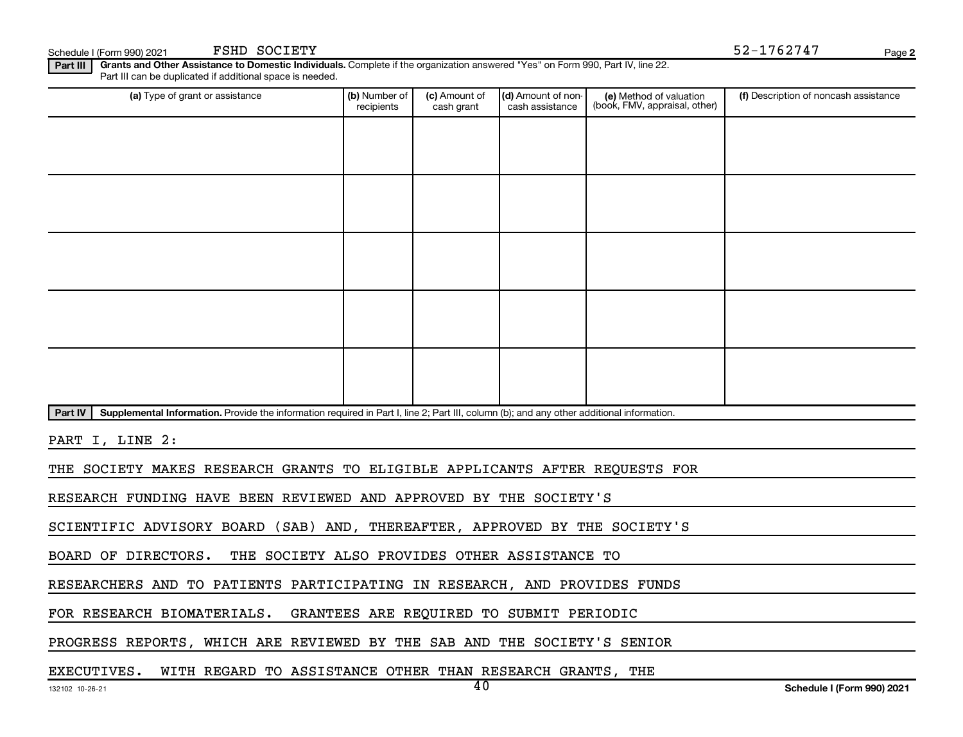$S$ chedule I (Form 990) 2021 PSHD  $S$ OCIETY  $52-1762747$ FSHD SOCIETY

**2**

**Part III | Grants and Other Assistance to Domestic Individuals.** Complete if the organization answered "Yes" on Form 990, Part IV, line 22. Part III can be duplicated if additional space is needed.

| (a) Type of grant or assistance                                                                                                                      | (b) Number of<br>recipients | (c) Amount of<br>cash grant | (d) Amount of non-<br>cash assistance | (e) Method of valuation<br>(book, FMV, appraisal, other) | (f) Description of noncash assistance |
|------------------------------------------------------------------------------------------------------------------------------------------------------|-----------------------------|-----------------------------|---------------------------------------|----------------------------------------------------------|---------------------------------------|
|                                                                                                                                                      |                             |                             |                                       |                                                          |                                       |
|                                                                                                                                                      |                             |                             |                                       |                                                          |                                       |
|                                                                                                                                                      |                             |                             |                                       |                                                          |                                       |
|                                                                                                                                                      |                             |                             |                                       |                                                          |                                       |
|                                                                                                                                                      |                             |                             |                                       |                                                          |                                       |
|                                                                                                                                                      |                             |                             |                                       |                                                          |                                       |
|                                                                                                                                                      |                             |                             |                                       |                                                          |                                       |
|                                                                                                                                                      |                             |                             |                                       |                                                          |                                       |
|                                                                                                                                                      |                             |                             |                                       |                                                          |                                       |
|                                                                                                                                                      |                             |                             |                                       |                                                          |                                       |
| Part IV<br>Supplemental Information. Provide the information required in Part I, line 2; Part III, column (b); and any other additional information. |                             |                             |                                       |                                                          |                                       |

PART I, LINE 2:

THE SOCIETY MAKES RESEARCH GRANTS TO ELIGIBLE APPLICANTS AFTER REQUESTS FOR

RESEARCH FUNDING HAVE BEEN REVIEWED AND APPROVED BY THE SOCIETY'S

SCIENTIFIC ADVISORY BOARD (SAB) AND, THEREAFTER, APPROVED BY THE SOCIETY'S

BOARD OF DIRECTORS. THE SOCIETY ALSO PROVIDES OTHER ASSISTANCE TO

RESEARCHERS AND TO PATIENTS PARTICIPATING IN RESEARCH, AND PROVIDES FUNDS

FOR RESEARCH BIOMATERIALS. GRANTEES ARE REQUIRED TO SUBMIT PERIODIC

PROGRESS REPORTS, WHICH ARE REVIEWED BY THE SAB AND THE SOCIETY'S SENIOR

EXECUTIVES. WITH REGARD TO ASSISTANCE OTHER THAN RESEARCH GRANTS, THE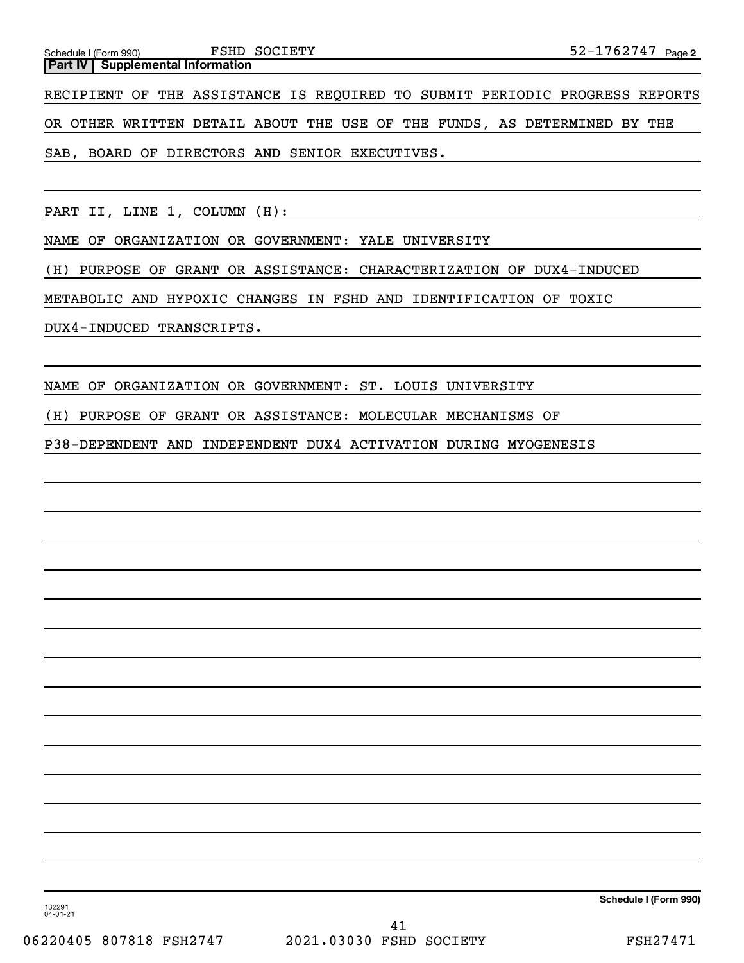**2** Schedule I (Form 990) Page **Part IV Supplemental Information** FSHD SOCIETY

RECIPIENT OF THE ASSISTANCE IS REQUIRED TO SUBMIT PERIODIC PROGRESS REPORTS OR OTHER WRITTEN DETAIL ABOUT THE USE OF THE FUNDS, AS DETERMINED BY THE SAB, BOARD OF DIRECTORS AND SENIOR EXECUTIVES.

PART II, LINE 1, COLUMN (H):

NAME OF ORGANIZATION OR GOVERNMENT: YALE UNIVERSITY

(H) PURPOSE OF GRANT OR ASSISTANCE: CHARACTERIZATION OF DUX4-INDUCED

METABOLIC AND HYPOXIC CHANGES IN FSHD AND IDENTIFICATION OF TOXIC

DUX4-INDUCED TRANSCRIPTS.

NAME OF ORGANIZATION OR GOVERNMENT: ST. LOUIS UNIVERSITY

(H) PURPOSE OF GRANT OR ASSISTANCE: MOLECULAR MECHANISMS OF

P38-DEPENDENT AND INDEPENDENT DUX4 ACTIVATION DURING MYOGENESIS

**Schedule I (Form 990)**

132291 04-01-21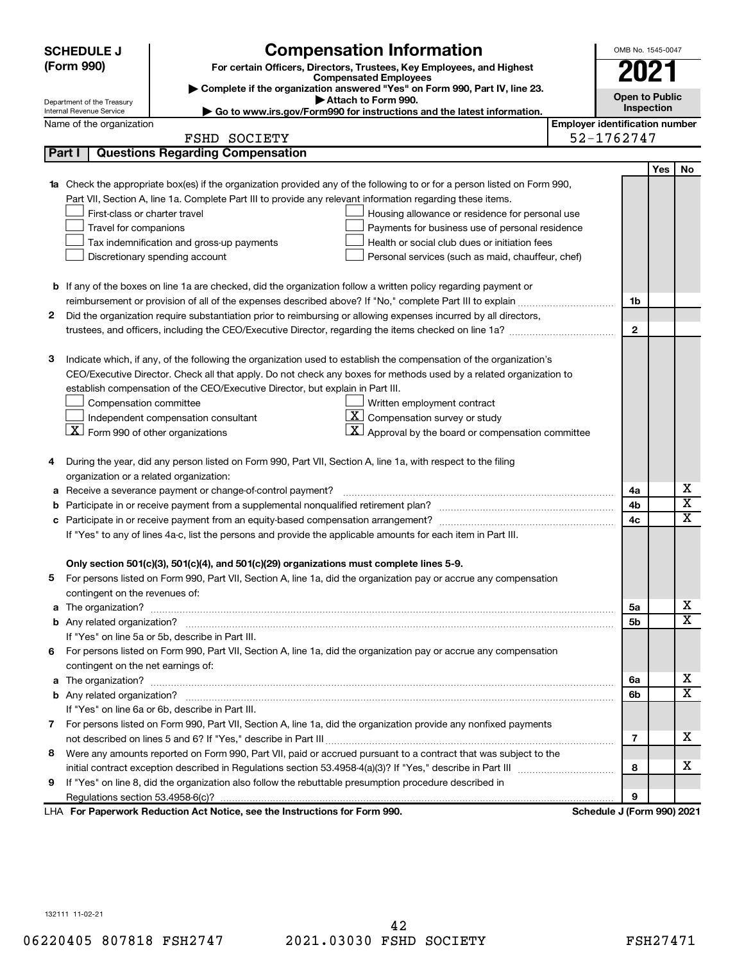|    | <b>SCHEDULE J</b>                                      | <b>Compensation Information</b>                                                                                                                                                                               |                                       | OMB No. 1545-0047          |            |                         |  |
|----|--------------------------------------------------------|---------------------------------------------------------------------------------------------------------------------------------------------------------------------------------------------------------------|---------------------------------------|----------------------------|------------|-------------------------|--|
|    | (Form 990)                                             | For certain Officers, Directors, Trustees, Key Employees, and Highest                                                                                                                                         |                                       | 2021                       |            |                         |  |
|    |                                                        | <b>Compensated Employees</b>                                                                                                                                                                                  |                                       |                            |            |                         |  |
|    |                                                        | Complete if the organization answered "Yes" on Form 990, Part IV, line 23.<br>Attach to Form 990.                                                                                                             |                                       | <b>Open to Public</b>      |            |                         |  |
|    | Department of the Treasury<br>Internal Revenue Service | Go to www.irs.gov/Form990 for instructions and the latest information.                                                                                                                                        |                                       | Inspection                 |            |                         |  |
|    | Name of the organization                               |                                                                                                                                                                                                               | <b>Employer identification number</b> |                            |            |                         |  |
|    |                                                        | <b>FSHD SOCIETY</b>                                                                                                                                                                                           |                                       | 52-1762747                 |            |                         |  |
|    | Part I                                                 | <b>Questions Regarding Compensation</b>                                                                                                                                                                       |                                       |                            |            |                         |  |
|    |                                                        |                                                                                                                                                                                                               |                                       |                            | <b>Yes</b> | No                      |  |
|    |                                                        | 1a Check the appropriate box(es) if the organization provided any of the following to or for a person listed on Form 990,                                                                                     |                                       |                            |            |                         |  |
|    |                                                        | Part VII, Section A, line 1a. Complete Part III to provide any relevant information regarding these items.                                                                                                    |                                       |                            |            |                         |  |
|    | First-class or charter travel                          | Housing allowance or residence for personal use                                                                                                                                                               |                                       |                            |            |                         |  |
|    | Travel for companions                                  | Payments for business use of personal residence                                                                                                                                                               |                                       |                            |            |                         |  |
|    |                                                        | Health or social club dues or initiation fees<br>Tax indemnification and gross-up payments                                                                                                                    |                                       |                            |            |                         |  |
|    |                                                        | Discretionary spending account<br>Personal services (such as maid, chauffeur, chef)                                                                                                                           |                                       |                            |            |                         |  |
|    |                                                        |                                                                                                                                                                                                               |                                       |                            |            |                         |  |
|    |                                                        | <b>b</b> If any of the boxes on line 1a are checked, did the organization follow a written policy regarding payment or                                                                                        |                                       |                            |            |                         |  |
|    |                                                        |                                                                                                                                                                                                               |                                       | 1b                         |            |                         |  |
| 2  |                                                        | Did the organization require substantiation prior to reimbursing or allowing expenses incurred by all directors,                                                                                              |                                       |                            |            |                         |  |
|    |                                                        |                                                                                                                                                                                                               |                                       | $\mathbf{2}$               |            |                         |  |
|    |                                                        |                                                                                                                                                                                                               |                                       |                            |            |                         |  |
| 3  |                                                        | Indicate which, if any, of the following the organization used to establish the compensation of the organization's                                                                                            |                                       |                            |            |                         |  |
|    |                                                        | CEO/Executive Director. Check all that apply. Do not check any boxes for methods used by a related organization to                                                                                            |                                       |                            |            |                         |  |
|    |                                                        | establish compensation of the CEO/Executive Director, but explain in Part III.                                                                                                                                |                                       |                            |            |                         |  |
|    | Compensation committee                                 | Written employment contract                                                                                                                                                                                   |                                       |                            |            |                         |  |
|    |                                                        | <u>x</u><br>Compensation survey or study<br>Independent compensation consultant                                                                                                                               |                                       |                            |            |                         |  |
|    | $X$ Form 990 of other organizations                    | $\mathbf{X}$ Approval by the board or compensation committee                                                                                                                                                  |                                       |                            |            |                         |  |
|    |                                                        |                                                                                                                                                                                                               |                                       |                            |            |                         |  |
| 4  |                                                        | During the year, did any person listed on Form 990, Part VII, Section A, line 1a, with respect to the filing                                                                                                  |                                       |                            |            |                         |  |
|    | organization or a related organization:                |                                                                                                                                                                                                               |                                       |                            |            | х                       |  |
| а  |                                                        | Receive a severance payment or change-of-control payment?                                                                                                                                                     |                                       | 4a                         |            | $\overline{\textbf{x}}$ |  |
| b  |                                                        |                                                                                                                                                                                                               |                                       | 4b                         |            | X                       |  |
| c  |                                                        |                                                                                                                                                                                                               |                                       | 4c                         |            |                         |  |
|    |                                                        | If "Yes" to any of lines 4a-c, list the persons and provide the applicable amounts for each item in Part III.                                                                                                 |                                       |                            |            |                         |  |
|    |                                                        |                                                                                                                                                                                                               |                                       |                            |            |                         |  |
|    |                                                        | Only section 501(c)(3), 501(c)(4), and 501(c)(29) organizations must complete lines 5-9.<br>For persons listed on Form 990, Part VII, Section A, line 1a, did the organization pay or accrue any compensation |                                       |                            |            |                         |  |
|    | contingent on the revenues of:                         |                                                                                                                                                                                                               |                                       |                            |            |                         |  |
|    |                                                        |                                                                                                                                                                                                               |                                       | 5а                         |            | x                       |  |
|    |                                                        |                                                                                                                                                                                                               |                                       | 5b                         |            | X                       |  |
|    |                                                        | If "Yes" on line 5a or 5b, describe in Part III.                                                                                                                                                              |                                       |                            |            |                         |  |
| 6. |                                                        | For persons listed on Form 990, Part VII, Section A, line 1a, did the organization pay or accrue any compensation                                                                                             |                                       |                            |            |                         |  |
|    | contingent on the net earnings of:                     |                                                                                                                                                                                                               |                                       |                            |            |                         |  |
|    |                                                        |                                                                                                                                                                                                               |                                       | 6a                         |            | х                       |  |
|    |                                                        |                                                                                                                                                                                                               |                                       | 6b                         |            | X                       |  |
|    |                                                        | If "Yes" on line 6a or 6b, describe in Part III.                                                                                                                                                              |                                       |                            |            |                         |  |
|    |                                                        | 7 For persons listed on Form 990, Part VII, Section A, line 1a, did the organization provide any nonfixed payments                                                                                            |                                       |                            |            |                         |  |
|    |                                                        |                                                                                                                                                                                                               |                                       | 7                          |            | x                       |  |
|    |                                                        | 8 Were any amounts reported on Form 990, Part VII, paid or accrued pursuant to a contract that was subject to the                                                                                             |                                       |                            |            |                         |  |
|    |                                                        |                                                                                                                                                                                                               |                                       | 8                          |            | x                       |  |
| 9  |                                                        | If "Yes" on line 8, did the organization also follow the rebuttable presumption procedure described in                                                                                                        |                                       |                            |            |                         |  |
|    |                                                        |                                                                                                                                                                                                               |                                       | 9                          |            |                         |  |
|    |                                                        | LHA For Paperwork Reduction Act Notice, see the Instructions for Form 990.                                                                                                                                    |                                       | Schedule J (Form 990) 2021 |            |                         |  |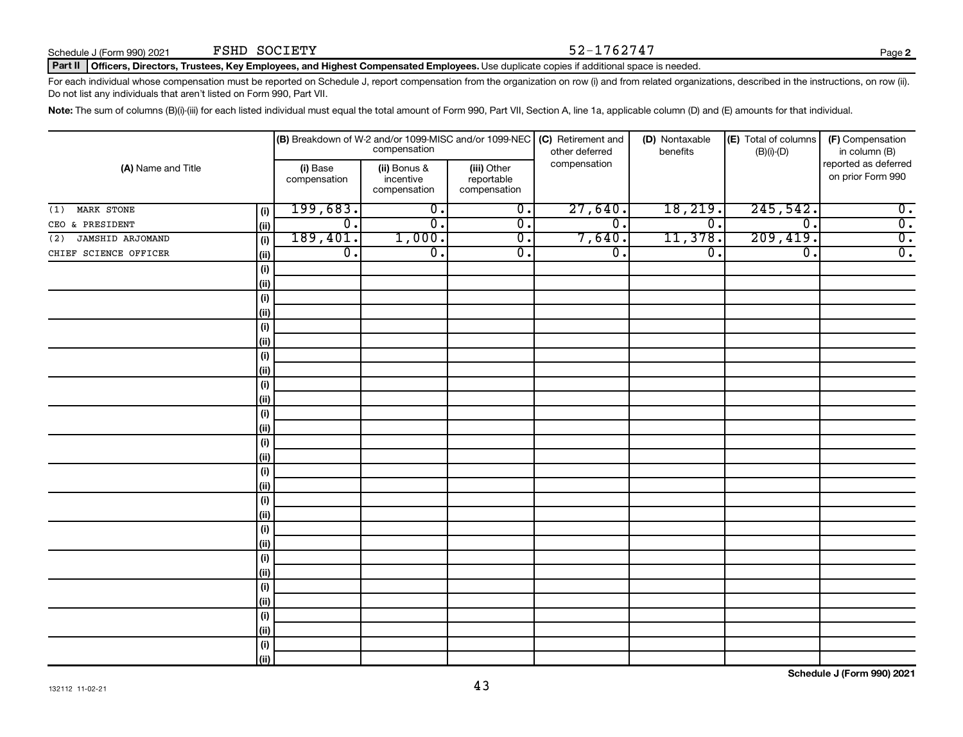### Schedule J (Form 990) 2021 FSHD SOCIETY  $52-1762747$

**2**

#### Part II | Officers, Directors, Trustees, Key Employees, and Highest Compensated Employees. Use duplicate copies if additional space is needed.

For each individual whose compensation must be reported on Schedule J, report compensation from the organization on row (i) and from related organizations, described in the instructions, on row (ii). Do not list any individuals that aren't listed on Form 990, Part VII.

Note: The sum of columns (B)(i)-(iii) for each listed individual must equal the total amount of Form 990, Part VII, Section A, line 1a, applicable column (D) and (E) amounts for that individual.

| (A) Name and Title      |      |                          | compensation                              |                                           | (B) Breakdown of W-2 and/or 1099-MISC and/or 1099-NEC   (C) Retirement and<br>other deferred | (D) Nontaxable<br>benefits | (E) Total of columns<br>$(B)(i)-(D)$ | (F) Compensation<br>in column (B)         |
|-------------------------|------|--------------------------|-------------------------------------------|-------------------------------------------|----------------------------------------------------------------------------------------------|----------------------------|--------------------------------------|-------------------------------------------|
|                         |      | (i) Base<br>compensation | (ii) Bonus &<br>incentive<br>compensation | (iii) Other<br>reportable<br>compensation | compensation                                                                                 |                            |                                      | reported as deferred<br>on prior Form 990 |
| MARK STONE<br>(1)       | (i)  | 199,683.                 | $\overline{0}$ .                          | $\overline{\mathfrak{o}}$ .               | 27,640.                                                                                      | 18, 219.                   | 245,542.                             | $\overline{0}$ .                          |
| CEO & PRESIDENT         | (ii) | $\overline{0}$ .         | $\overline{\mathfrak{o}}$ .               | $\overline{0}$ .                          | $\overline{0}$ .                                                                             | $\overline{0}$ .           | $\overline{\mathfrak{o}}$ .          | $\overline{0}$ .                          |
| JAMSHID ARJOMAND<br>(2) | (i)  | 189,401.                 | 1,000.                                    | $\overline{0}$ .                          | 7,640.                                                                                       | 11,378.                    | 209,419.                             | $\overline{0}$ .                          |
| CHIEF SCIENCE OFFICER   | (ii) | $\overline{0}$ .         | $\overline{\mathfrak{o}}$ .               | $\overline{0}$ .                          | $\overline{0}$ .                                                                             | $\overline{0}$ .           | $\overline{\mathfrak{o}}$ .          | $\overline{0}$ .                          |
|                         | (i)  |                          |                                           |                                           |                                                                                              |                            |                                      |                                           |
|                         | (ii) |                          |                                           |                                           |                                                                                              |                            |                                      |                                           |
|                         | (i)  |                          |                                           |                                           |                                                                                              |                            |                                      |                                           |
|                         | (ii) |                          |                                           |                                           |                                                                                              |                            |                                      |                                           |
|                         | (i)  |                          |                                           |                                           |                                                                                              |                            |                                      |                                           |
|                         | (ii) |                          |                                           |                                           |                                                                                              |                            |                                      |                                           |
|                         | (i)  |                          |                                           |                                           |                                                                                              |                            |                                      |                                           |
|                         | (ii) |                          |                                           |                                           |                                                                                              |                            |                                      |                                           |
|                         | (i)  |                          |                                           |                                           |                                                                                              |                            |                                      |                                           |
|                         | (ii) |                          |                                           |                                           |                                                                                              |                            |                                      |                                           |
|                         | (i)  |                          |                                           |                                           |                                                                                              |                            |                                      |                                           |
|                         | (ii) |                          |                                           |                                           |                                                                                              |                            |                                      |                                           |
|                         | (i)  |                          |                                           |                                           |                                                                                              |                            |                                      |                                           |
|                         | (ii) |                          |                                           |                                           |                                                                                              |                            |                                      |                                           |
|                         | (i)  |                          |                                           |                                           |                                                                                              |                            |                                      |                                           |
|                         | (ii) |                          |                                           |                                           |                                                                                              |                            |                                      |                                           |
|                         | (i)  |                          |                                           |                                           |                                                                                              |                            |                                      |                                           |
|                         | (ii) |                          |                                           |                                           |                                                                                              |                            |                                      |                                           |
|                         | (i)  |                          |                                           |                                           |                                                                                              |                            |                                      |                                           |
|                         | (ii) |                          |                                           |                                           |                                                                                              |                            |                                      |                                           |
|                         | (i)  |                          |                                           |                                           |                                                                                              |                            |                                      |                                           |
|                         | (ii) |                          |                                           |                                           |                                                                                              |                            |                                      |                                           |
|                         | (i)  |                          |                                           |                                           |                                                                                              |                            |                                      |                                           |
|                         | (ii) |                          |                                           |                                           |                                                                                              |                            |                                      |                                           |
|                         | (i)  |                          |                                           |                                           |                                                                                              |                            |                                      |                                           |
|                         | (ii) |                          |                                           |                                           |                                                                                              |                            |                                      |                                           |
|                         | (i)  |                          |                                           |                                           |                                                                                              |                            |                                      |                                           |
|                         | (ii) |                          |                                           |                                           |                                                                                              |                            |                                      |                                           |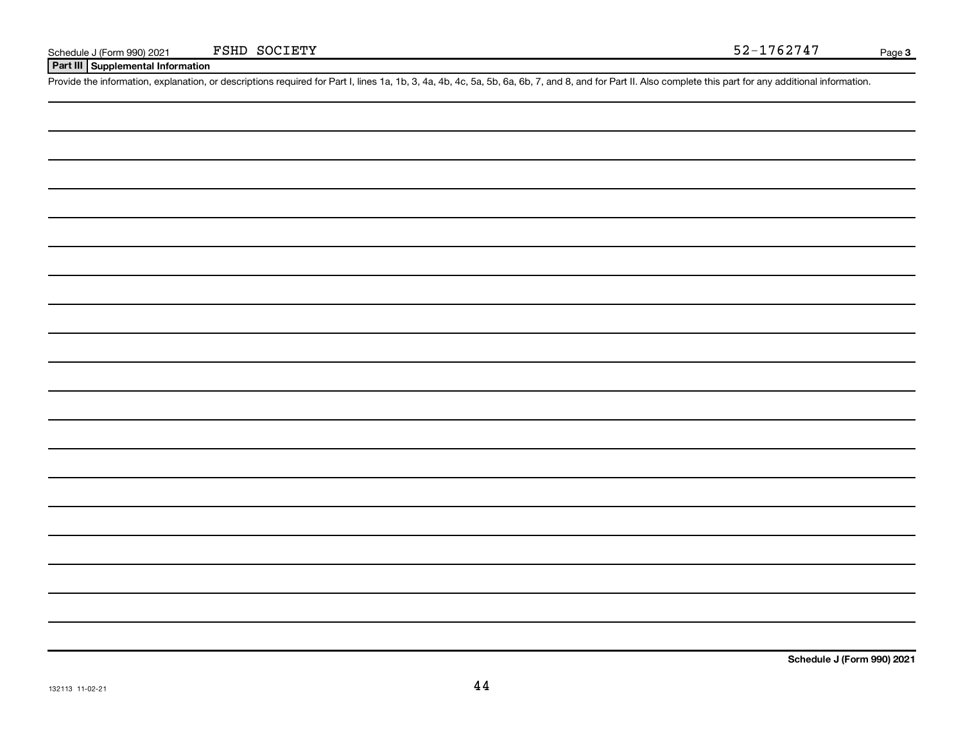**Part III Supplemental Information**

Provide the information, explanation, or descriptions required for Part I, lines 1a, 1b, 3, 4a, 4b, 4c, 5a, 5b, 6a, 6b, 7, and 8, and for Part II. Also complete this part for any additional information.

**Schedule J (Form 990) 2021**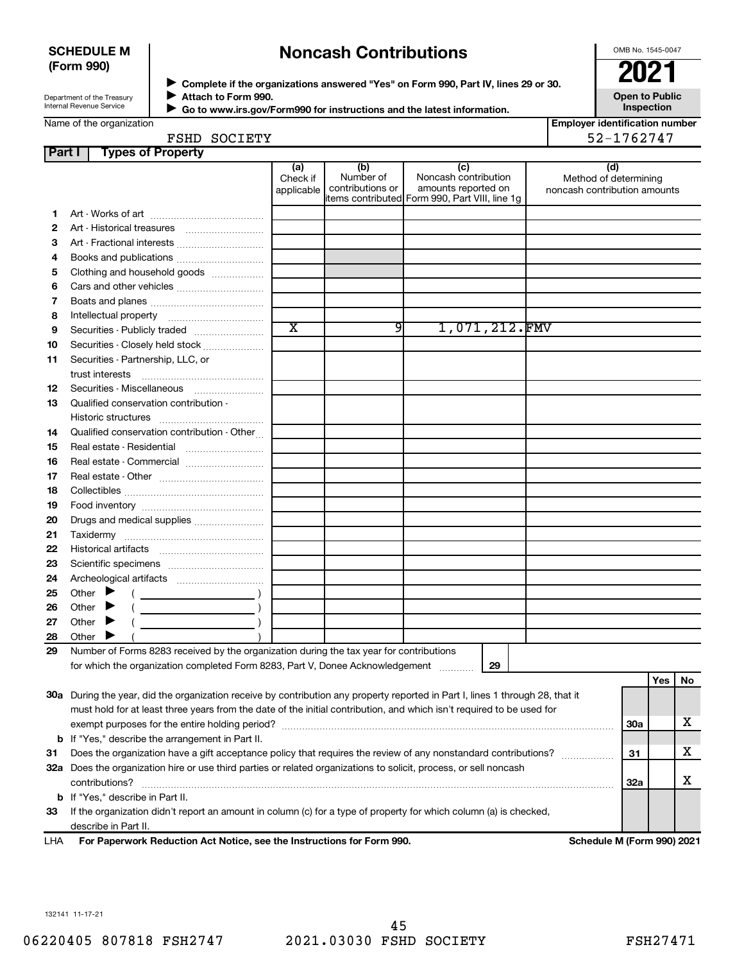### **SCHEDULE M (Form 990)**

## **Noncash Contributions**

OMB No. 1545-0047

Department of the Treasury Internal Revenue Service

◆ Complete if the organizations answered "Yes" on Form 990, Part IV, lines 29 or 30.<br>▶ Complete if the organizations answered "Yes" on Form 990, Part IV, lines 29 or 30. **Attach to Form 990.**  $\blacktriangleright$ 

 **Go to www.irs.gov/Form990 for instructions and the latest information.** J

**Open to Public Inspection**

**Employer identification number**

| Name of the organization |  |
|--------------------------|--|
|                          |  |

| Employer identification numl |
|------------------------------|
| 52-1762747                   |

**Part I Types of Property** FSHD SOCIETY

|     |                                                                                                                                | (a)                   | (b)              | (c)                                             |  | (d)                          |    |     |    |
|-----|--------------------------------------------------------------------------------------------------------------------------------|-----------------------|------------------|-------------------------------------------------|--|------------------------------|----|-----|----|
|     |                                                                                                                                | Check if              | Number of        | Noncash contribution                            |  | Method of determining        |    |     |    |
|     |                                                                                                                                | applicable            | contributions or | amounts reported on                             |  | noncash contribution amounts |    |     |    |
|     |                                                                                                                                |                       |                  | litems contributed Form 990, Part VIII, line 1q |  |                              |    |     |    |
| 1.  |                                                                                                                                |                       |                  |                                                 |  |                              |    |     |    |
| 2   |                                                                                                                                |                       |                  |                                                 |  |                              |    |     |    |
| 3   | Art - Fractional interests                                                                                                     |                       |                  |                                                 |  |                              |    |     |    |
| 4   | Books and publications                                                                                                         |                       |                  |                                                 |  |                              |    |     |    |
| 5   | Clothing and household goods                                                                                                   |                       |                  |                                                 |  |                              |    |     |    |
| 6   | Cars and other vehicles                                                                                                        |                       |                  |                                                 |  |                              |    |     |    |
| 7   |                                                                                                                                |                       |                  |                                                 |  |                              |    |     |    |
| 8   |                                                                                                                                |                       |                  |                                                 |  |                              |    |     |    |
| 9   | Securities - Publicly traded                                                                                                   | $\overline{\text{x}}$ | 9                | 1,071,212.FMV                                   |  |                              |    |     |    |
| 10  | Securities - Closely held stock                                                                                                |                       |                  |                                                 |  |                              |    |     |    |
| 11  | Securities - Partnership, LLC, or                                                                                              |                       |                  |                                                 |  |                              |    |     |    |
|     |                                                                                                                                |                       |                  |                                                 |  |                              |    |     |    |
| 12  | Securities - Miscellaneous                                                                                                     |                       |                  |                                                 |  |                              |    |     |    |
| 13  | Qualified conservation contribution -                                                                                          |                       |                  |                                                 |  |                              |    |     |    |
|     |                                                                                                                                |                       |                  |                                                 |  |                              |    |     |    |
| 14  | Qualified conservation contribution - Other                                                                                    |                       |                  |                                                 |  |                              |    |     |    |
|     |                                                                                                                                |                       |                  |                                                 |  |                              |    |     |    |
| 15  |                                                                                                                                |                       |                  |                                                 |  |                              |    |     |    |
| 16  | Real estate - Commercial                                                                                                       |                       |                  |                                                 |  |                              |    |     |    |
|     | 17                                                                                                                             |                       |                  |                                                 |  |                              |    |     |    |
| 18  |                                                                                                                                |                       |                  |                                                 |  |                              |    |     |    |
| 19  |                                                                                                                                |                       |                  |                                                 |  |                              |    |     |    |
| 20  | Drugs and medical supplies                                                                                                     |                       |                  |                                                 |  |                              |    |     |    |
| 21  |                                                                                                                                |                       |                  |                                                 |  |                              |    |     |    |
| 22  |                                                                                                                                |                       |                  |                                                 |  |                              |    |     |    |
| 23  |                                                                                                                                |                       |                  |                                                 |  |                              |    |     |    |
| 24  |                                                                                                                                |                       |                  |                                                 |  |                              |    |     |    |
| 25  | Other $\blacktriangleright$<br>$\left(\begin{array}{ccc}\n&\n&\n\end{array}\right)$                                            |                       |                  |                                                 |  |                              |    |     |    |
| 26  | Other $\blacktriangleright$<br>$\overline{\phantom{a}}$ )                                                                      |                       |                  |                                                 |  |                              |    |     |    |
| 27  | Other $\blacktriangleright$                                                                                                    |                       |                  |                                                 |  |                              |    |     |    |
| 28  | Other                                                                                                                          |                       |                  |                                                 |  |                              |    |     |    |
| 29  | Number of Forms 8283 received by the organization during the tax year for contributions                                        |                       |                  |                                                 |  |                              |    |     |    |
|     | for which the organization completed Form 8283, Part V, Donee Acknowledgement                                                  |                       |                  | 29                                              |  |                              |    |     |    |
|     |                                                                                                                                |                       |                  |                                                 |  |                              |    | Yes | No |
|     | 30a During the year, did the organization receive by contribution any property reported in Part I, lines 1 through 28, that it |                       |                  |                                                 |  |                              |    |     |    |
|     | must hold for at least three years from the date of the initial contribution, and which isn't required to be used for          |                       |                  |                                                 |  |                              |    |     |    |
|     |                                                                                                                                |                       |                  |                                                 |  | <b>30a</b>                   |    | x   |    |
|     | <b>b</b> If "Yes," describe the arrangement in Part II.                                                                        |                       |                  |                                                 |  |                              |    |     |    |
| 31  | Does the organization have a gift acceptance policy that requires the review of any nonstandard contributions?                 |                       |                  |                                                 |  |                              |    |     | х  |
|     | 32a Does the organization hire or use third parties or related organizations to solicit, process, or sell noncash              |                       |                  |                                                 |  |                              | 31 |     |    |
|     | 32a                                                                                                                            |                       |                  |                                                 |  |                              |    |     | х  |
|     | <b>b</b> If "Yes," describe in Part II.                                                                                        |                       |                  |                                                 |  |                              |    |     |    |
| 33  | If the organization didn't report an amount in column (c) for a type of property for which column (a) is checked,              |                       |                  |                                                 |  |                              |    |     |    |
|     | describe in Part II.                                                                                                           |                       |                  |                                                 |  |                              |    |     |    |
| LHA | For Paperwork Reduction Act Notice, see the Instructions for Form 990.                                                         |                       |                  |                                                 |  | Schedule M (Form 990) 2021   |    |     |    |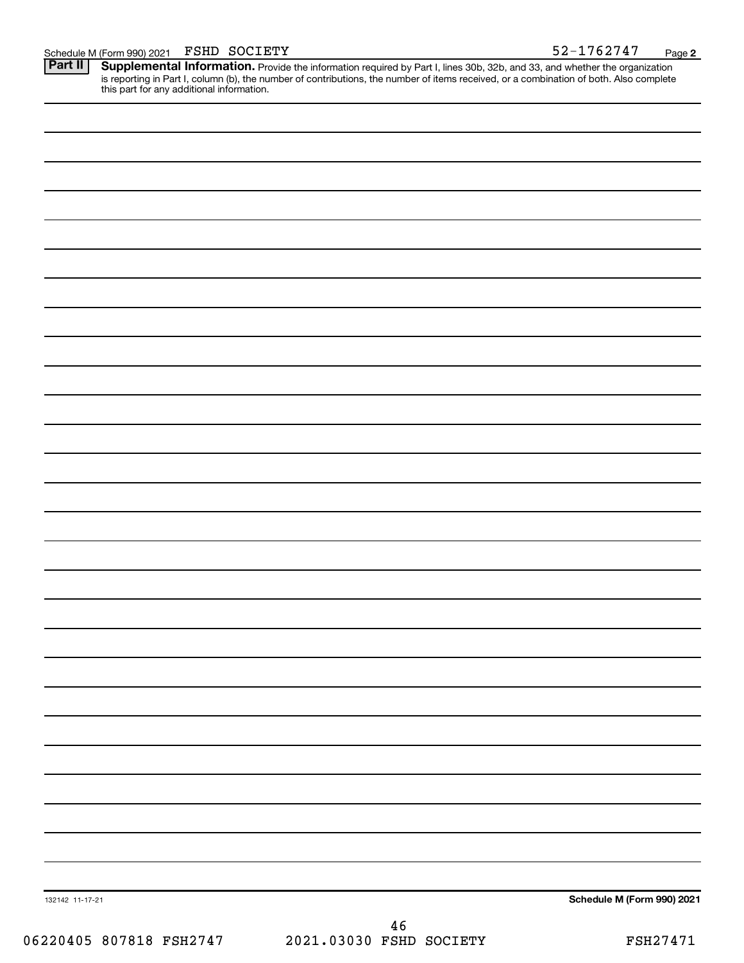Schedule M (Form 990) 2021 FSHD SOCIETY<br>**Part II** Supplemental Information. Provide the information required by Part I. lines 30b. 32b. and 33, and whether the orga Provide the information required by Part I, lines 30b, 32b, and 33, and whether the organization is reporting in Part I, column (b), the number of contributions, the number of items received, or a combination of both. Also complete this part for any additional information. **Part II Supplemental Information.** 

| 132142 11-17-21 | Schedule M (Form 990) 2021 |
|-----------------|----------------------------|
|                 | AC                         |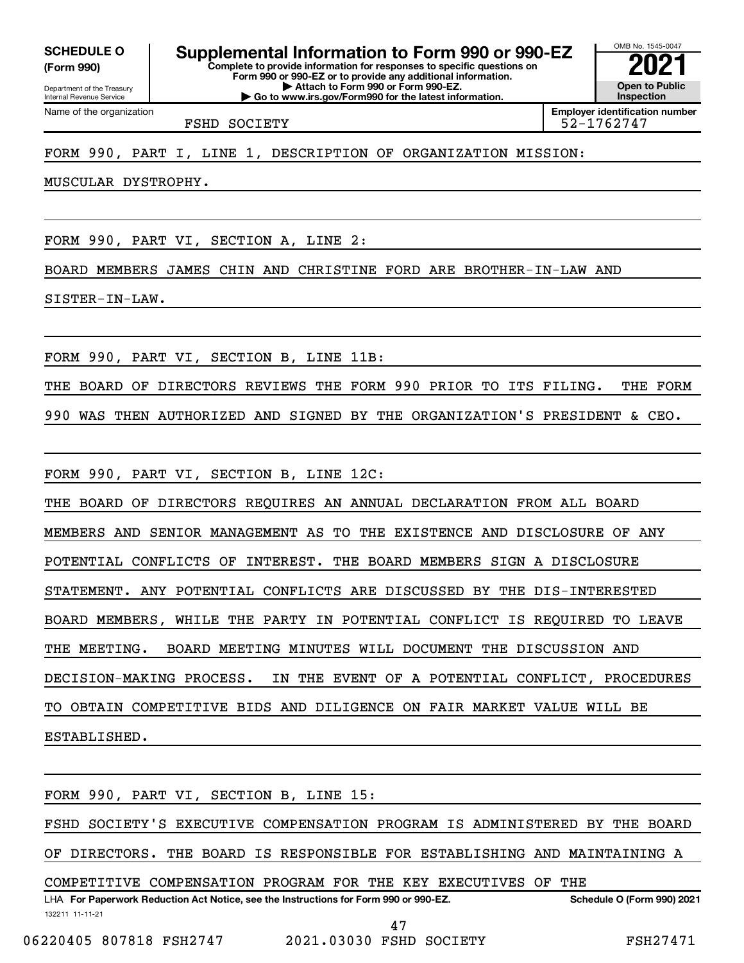**(Form 990)**

Department of the Treasury Internal Revenue Service

Name of the organization

**Complete to provide information for responses to specific questions on Form 990 or 990-EZ or to provide any additional information. | Attach to Form 990 or Form 990-EZ. | Go to www.irs.gov/Form990 for the latest information. SCHEDULE O Supplemental Information to Form 990 or 990-EZ**  $\frac{10008000}{202}$ 

OMB No. 1545-0047 **Open to Public Inspection Employer identification number**

FSHD SOCIETY **12000** 12000 12000 12000 12000 12000 12000 12000 12000 12000 12000 12000 12000 12000 12000 12000 12000 12000 12000 12000 12000 12000 12000 12000 12000 12000 12000 12000 12000 12000 12000 12000 12000 12000 120

### FORM 990, PART I, LINE 1, DESCRIPTION OF ORGANIZATION MISSION:

MUSCULAR DYSTROPHY.

FORM 990, PART VI, SECTION A, LINE 2:

BOARD MEMBERS JAMES CHIN AND CHRISTINE FORD ARE BROTHER-IN-LAW AND

SISTER-IN-LAW.

FORM 990, PART VI, SECTION B, LINE 11B:

THE BOARD OF DIRECTORS REVIEWS THE FORM 990 PRIOR TO ITS FILING. THE FORM

990 WAS THEN AUTHORIZED AND SIGNED BY THE ORGANIZATION'S PRESIDENT & CEO.

FORM 990, PART VI, SECTION B, LINE 12C:

THE BOARD OF DIRECTORS REQUIRES AN ANNUAL DECLARATION FROM ALL BOARD

MEMBERS AND SENIOR MANAGEMENT AS TO THE EXISTENCE AND DISCLOSURE OF ANY

POTENTIAL CONFLICTS OF INTEREST. THE BOARD MEMBERS SIGN A DISCLOSURE

STATEMENT. ANY POTENTIAL CONFLICTS ARE DISCUSSED BY THE DIS-INTERESTED

BOARD MEMBERS, WHILE THE PARTY IN POTENTIAL CONFLICT IS REQUIRED TO LEAVE

THE MEETING. BOARD MEETING MINUTES WILL DOCUMENT THE DISCUSSION AND

DECISION-MAKING PROCESS. IN THE EVENT OF A POTENTIAL CONFLICT, PROCEDURES

TO OBTAIN COMPETITIVE BIDS AND DILIGENCE ON FAIR MARKET VALUE WILL BE

ESTABLISHED.

FORM 990, PART VI, SECTION B, LINE 15:

FSHD SOCIETY'S EXECUTIVE COMPENSATION PROGRAM IS ADMINISTERED BY THE BOARD

OF DIRECTORS. THE BOARD IS RESPONSIBLE FOR ESTABLISHING AND MAINTAINING A

COMPETITIVE COMPENSATION PROGRAM FOR THE KEY EXECUTIVES OF THE

132211 11-11-21 LHA For Paperwork Reduction Act Notice, see the Instructions for Form 990 or 990-EZ. Schedule O (Form 990) 2021